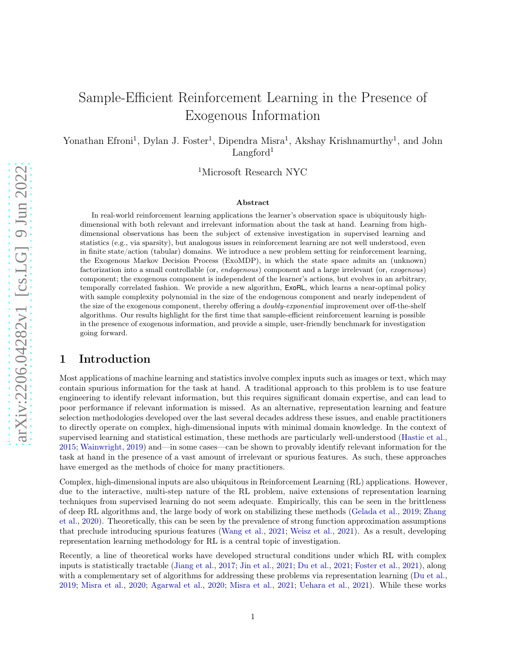# Sample-Efficient Reinforcement Learning in the Presence of Exogenous Information

Yonathan Efroni<sup>1</sup>, Dylan J. Foster<sup>1</sup>, Dipendra Misra<sup>1</sup>, Akshay Krishnamurthy<sup>1</sup>, and John Langford<sup>1</sup>

<sup>1</sup>Microsoft Research NYC

#### Abstract

In real-world reinforcement learning applications the learner's observation space is ubiquitously highdimensional with both relevant and irrelevant information about the task at hand. Learning from highdimensional observations has been the subject of extensive investigation in supervised learning and statistics (e.g., via sparsity), but analogous issues in reinforcement learning are not well understood, even in finite state/action (tabular) domains. We introduce a new problem setting for reinforcement learning, the Exogenous Markov Decision Process (ExoMDP), in which the state space admits an (unknown) factorization into a small controllable (or, endogenous) component and a large irrelevant (or, exogenous) component; the exogenous component is independent of the learner's actions, but evolves in an arbitrary, temporally correlated fashion. We provide a new algorithm, ExoRL, which learns a near-optimal policy with sample complexity polynomial in the size of the endogenous component and nearly independent of the size of the exogenous component, thereby offering a *doubly-exponential* improvement over off-the-shelf algorithms. Our results highlight for the first time that sample-efficient reinforcement learning is possible in the presence of exogenous information, and provide a simple, user-friendly benchmark for investigation going forward.

# 1 Introduction

Most applications of machine learning and statistics involve complex inputs such as images or text, which may contain spurious information for the task at hand. A traditional approach to this problem is to use feature engineering to identify relevant information, but this requires significant domain expertise, and can lead to poor performance if relevant information is missed. As an alternative, representation learning and feature selection methodologies developed over the last several decades address these issues, and enable practitioners to directly operate on complex, high-dimensional inputs with minimal domain knowledge. In the context of supervised learning and statistical estimation, these methods are particularly well-understood [\(Hastie et al.,](#page-12-0) [2015;](#page-12-0) [Wainwright,](#page-13-0) [2019](#page-13-0)) and—in some cases—can be shown to provably identify relevant information for the task at hand in the presence of a vast amount of irrelevant or spurious features. As such, these approaches have emerged as the methods of choice for many practitioners.

Complex, high-dimensional inputs are also ubiquitous in Reinforcement Learning (RL) applications. However, due to the interactive, multi-step nature of the RL problem, naive extensions of representation learning techniques from supervised learning do not seem adequate. Empirically, this can be seen in the brittleness of de[ep RL algorithms and, the large body of work on stabilizing these methods](#page-13-1) [\(Gelada et al.](#page-12-1)[,](#page-13-1) [2019](#page-12-1); Zhang et al., [2020](#page-13-1)). Theoretically, this can be seen by the prevalence of strong function approximation assumptions that preclude introducing spurious features [\(Wang et al.,](#page-13-2) [2021](#page-13-2); [Weisz et al.](#page-13-3), [2021\)](#page-13-3). As a result, developing representation learning methodology for RL is a central topic of investigation.

Recently, a line of theoretical works have developed structural conditions under which RL with complex inputs is statistically tractable [\(Jiang et al.](#page-12-2), [2017;](#page-12-2) [Jin et al.,](#page-13-4) [2021;](#page-13-4) [Du et al.](#page-12-3), [2021](#page-12-3); [Foster et al.](#page-12-4), [2021](#page-12-4)), along with a complementary set of algorithms for addressing these problems via representation learning [\(Du et al.,](#page-12-5) [2019;](#page-12-5) [Misra et al.,](#page-13-5) [2020](#page-13-5); [Agarwal et al.](#page-12-6), [2020;](#page-12-6) [Misra et al.](#page-13-6), [2021](#page-13-6); [Uehara et al.](#page-13-7), [2021](#page-13-7)). While these works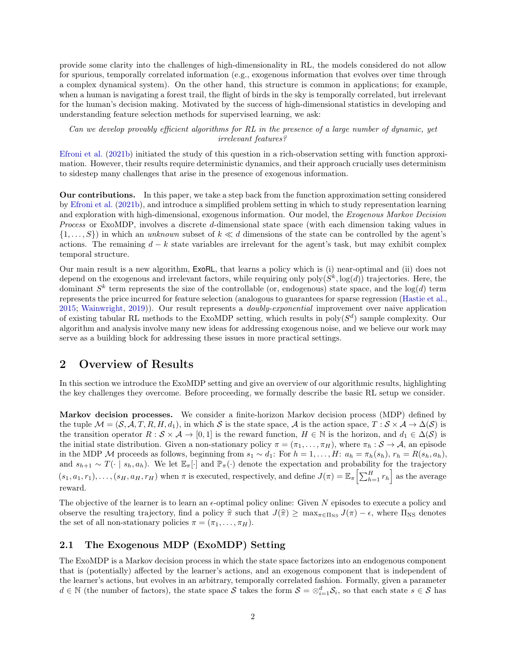provide some clarity into the challenges of high-dimensionality in RL, the models considered do not allow for spurious, temporally correlated information (e.g., exogenous information that evolves over time through a complex dynamical system). On the other hand, this structure is common in applications; for example, when a human is navigating a forest trail, the flight of birds in the sky is temporally correlated, but irrelevant for the human's decision making. Motivated by the success of high-dimensional statistics in developing and understanding feature selection methods for supervised learning, we ask:

Can we develop provably efficient algorithms for RL in the presence of a large number of dynamic, yet irrelevant features?

Efroni et al. [\(2021b](#page-12-7)) initiated the study of this question in a rich-observation setting with function approximation. However, their results require deterministic dynamics, and their approach crucially uses determinism to sidestep many challenges that arise in the presence of exogenous information.

Our contributions. In this paper, we take a step back from the function approximation setting considered by [Efroni et al.](#page-12-7) [\(2021b\)](#page-12-7), and introduce a simplified problem setting in which to study representation learning and exploration with high-dimensional, exogenous information. Our model, the Exogenous Markov Decision Process or ExoMDP, involves a discrete d-dimensional state space (with each dimension taking values in  $\{1,\ldots,S\}$  in which an unknown subset of  $k \ll d$  dimensions of the state can be controlled by the agent's actions. The remaining  $d - k$  state variables are irrelevant for the agent's task, but may exhibit complex temporal structure.

Our main result is a new algorithm, ExoRL, that learns a policy which is (i) near-optimal and (ii) does not depend on the exogenous and irrelevant factors, while requiring only  $poly(S^k, \log(d))$  trajectories. Here, the dominant  $S^k$  term represents the size of the controllable (or, endogenous) state space, and the  $log(d)$  term represents the price incurred for feature selection (analogous to guarantees for sparse regression [\(Hastie et al.,](#page-12-0) [2015;](#page-12-0) [Wainwright,](#page-13-0) [2019\)](#page-13-0)). Our result represents a doubly-exponential improvement over naive application of existing tabular RL methods to the ExoMDP setting, which results in  $poly(S^d)$  sample complexity. Our algorithm and analysis involve many new ideas for addressing exogenous noise, and we believe our work may serve as a building block for addressing these issues in more practical settings.

# <span id="page-1-0"></span>2 Overview of Results

In this section we introduce the ExoMDP setting and give an overview of our algorithmic results, highlighting the key challenges they overcome. Before proceeding, we formally describe the basic RL setup we consider.

Markov decision processes. We consider a finite-horizon Markov decision process (MDP) defined by the tuple  $\mathcal{M} = (\mathcal{S}, \mathcal{A}, T, R, H, d_1)$ , in which S is the state space,  $\mathcal{A}$  is the action space,  $T : \mathcal{S} \times \mathcal{A} \to \Delta(\mathcal{S})$  is the transition operator  $R : \mathcal{S} \times \mathcal{A} \to [0,1]$  is the reward function,  $H \in \mathbb{N}$  is the horizon, and  $d_1 \in \Delta(\mathcal{S})$  is the initial state distribution. Given a non-stationary policy  $\pi = (\pi_1, \ldots, \pi_H)$ , where  $\pi_h : S \to A$ , an episode in the MDP M proceeds as follows, beginning from  $s_1 \sim d_1$ : For  $h = 1, \ldots, H: a_h = \pi_h(s_h), r_h = R(s_h, a_h)$ , and  $s_{h+1} \sim T(\cdot | s_h, a_h)$ . We let  $\mathbb{E}_{\pi}[\cdot]$  and  $\mathbb{P}_{\pi}(\cdot)$  denote the expectation and probability for the trajectory  $(s_1, a_1, r_1), \ldots, (s_H, a_H, r_H)$  when  $\pi$  is executed, respectively, and define  $J(\pi) = \mathbb{E}_{\pi} \left[ \sum_{h=1}^H r_h \right]$  as the average reward.

The objective of the learner is to learn an  $\epsilon$ -optimal policy online: Given N episodes to execute a policy and observe the resulting trajectory, find a policy  $\hat{\pi}$  such that  $J(\hat{\pi}) \ge \max_{\pi \in \Pi_{\text{NS}}} J(\pi) - \epsilon$ , where  $\Pi_{\text{NS}}$  denotes the set of all non-stationary policies  $\pi = (\pi_1, \ldots, \pi_H)$ .

#### 2.1 The Exogenous MDP (ExoMDP) Setting

The ExoMDP is a Markov decision process in which the state space factorizes into an endogenous component that is (potentially) affected by the learner's actions, and an exogenous component that is independent of the learner's actions, but evolves in an arbitrary, temporally correlated fashion. Formally, given a parameter  $d \in \mathbb{N}$  (the number of factors), the state space S takes the form  $\mathcal{S} = \otimes_{i=1}^d \mathcal{S}_i$ , so that each state  $s \in \mathcal{S}$  has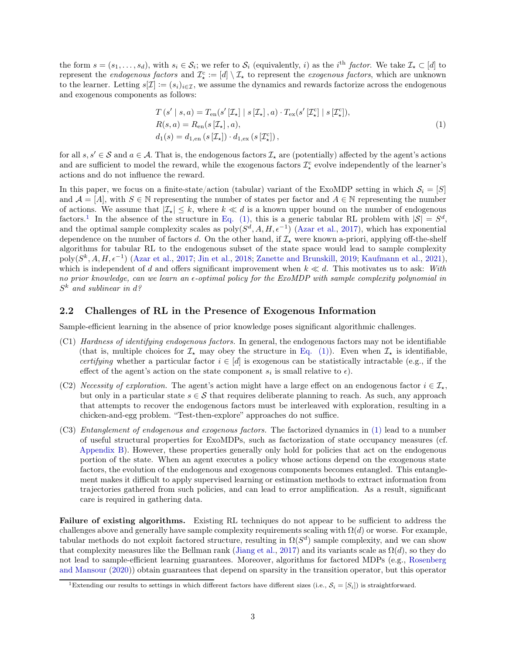the form  $s = (s_1, \ldots, s_d)$ , with  $s_i \in S_i$ ; we refer to  $S_i$  (equivalently, i) as the i<sup>th</sup> factor. We take  $\mathcal{I}_\star \subset [d]$  to represent the *endogenous factors* and  $\mathcal{I}_{\star}^c := [d] \setminus \mathcal{I}_{\star}$  to represent the *exogenous factors*, which are unknown to the learner. Letting  $s[\mathcal{I}] := (s_i)_{i \in \mathcal{I}}$ , we assume the dynamics and rewards factorize across the endogenous and exogenous components as follows:

<span id="page-2-0"></span>
$$
T(s' | s, a) = T_{en}(s' [\mathcal{I}_{\star}] | s [\mathcal{I}_{\star}], a) \cdot T_{ex}(s' [\mathcal{I}_{\star}^c] | s [\mathcal{I}_{\star}^c]),
$$
  
\n
$$
R(s, a) = R_{en}(s [\mathcal{I}_{\star}], a),
$$
  
\n
$$
d_1(s) = d_{1, en}(s [\mathcal{I}_{\star}]) \cdot d_{1, ex}(s [\mathcal{I}_{\star}^c]),
$$
\n
$$
(1)
$$

for all  $s, s' \in \mathcal{S}$  and  $a \in \mathcal{A}$ . That is, the endogenous factors  $\mathcal{I}_{\star}$  are (potentially) affected by the agent's actions and are sufficient to model the reward, while the exogenous factors  $\mathcal{I}_{\star}^{\rm c}$  evolve independently of the learner's actions and do not influence the reward.

In this paper, we focus on a finite-state/action (tabular) variant of the ExoMDP setting in which  $S_i = [S]$ and  $\mathcal{A} = [A]$ , with  $S \in \mathbb{N}$  representing the number of states per factor and  $A \in \mathbb{N}$  representing the number of actions. We assume that  $|\mathcal{I}_{\star}| \leq k$ , where  $k \ll d$  is a known upper bound on the number of endogenous factors.<sup>1</sup> In the absence of the structure in [Eq. \(1\),](#page-2-0) this is a generic tabular RL problem with  $|S| = S^d$ , and the optimal sample complexity scales as  $\text{poly}(S^d, A, H, \epsilon^{-1})$  [\(Azar et al.,](#page-12-8) [2017](#page-12-8)), which has exponential dependence on the number of factors d. On the other hand, if  $\mathcal{I}_\star$  were known a-priori, applying off-the-shelf algorithms for tabular RL to the endogenous subset of the state space would lead to sample complexity  $poly(S^k, A, H, \epsilon^{-1})$  [\(Azar et al.,](#page-12-8) [2017;](#page-12-8) [Jin et al.,](#page-13-8) [2018;](#page-13-8) [Zanette and Brunskill,](#page-13-9) [2019](#page-13-9); [Kaufmann et al.,](#page-13-10) [2021\)](#page-13-10), which is independent of d and offers significant improvement when  $k \ll d$ . This motivates us to ask: With no prior knowledge, can we learn an  $\epsilon$ -optimal policy for the ExoMDP with sample complexity polynomial in  $S^k$  and sublinear in d?

#### 2.2 Challenges of RL in the Presence of Exogenous Information

Sample-efficient learning in the absence of prior knowledge poses significant algorithmic challenges.

- (C1) Hardness of identifying endogenous factors. In general, the endogenous factors may not be identifiable (that is, multiple choices for  $\mathcal{I}_{\star}$  may obey the structure in [Eq. \(1\)\)](#page-2-0). Even when  $\mathcal{I}_{\star}$  is identifiable, certifying whether a particular factor  $i \in [d]$  is exogenous can be statistically intractable (e.g., if the effect of the agent's action on the state component  $s_i$  is small relative to  $\epsilon$ ).
- (C2) Necessity of exploration. The agent's action might have a large effect on an endogenous factor  $i \in \mathcal{I}_{\star}$ , but only in a particular state  $s \in \mathcal{S}$  that requires deliberate planning to reach. As such, any approach that attempts to recover the endogenous factors must be interleaved with exploration, resulting in a chicken-and-egg problem. "Test-then-explore" approaches do not suffice.
- (C3) Entanglement of endogenous and exogenous factors. The factorized dynamics in [\(1\)](#page-2-0) lead to a number of useful structural properties for ExoMDPs, such as factorization of state occupancy measures (cf. [Appendix B\)](#page-21-0). However, these properties generally only hold for policies that act on the endogenous portion of the state. When an agent executes a policy whose actions depend on the exogenous state factors, the evolution of the endogenous and exogenous components becomes entangled. This entanglement makes it difficult to apply supervised learning or estimation methods to extract information from trajectories gathered from such policies, and can lead to error amplification. As a result, significant care is required in gathering data.

Failure of existing algorithms. Existing RL techniques do not appear to be sufficient to address the challenges above and generally have sample complexity requirements scaling with  $\Omega(d)$  or worse. For example, tabular methods do not exploit factored structure, resulting in  $\Omega(S^d)$  sample complexity, and we can show that complexity measures like the Bellman rank [\(Jiang et al.](#page-12-2), [2017\)](#page-12-2) and its variants scale as  $\Omega(d)$ , so they do not lead to s[ample-efficient learning guarantees. Moreover,](#page-13-11) algorithms for factored MDPs (e.g., Rosenberg and Mansour [\(2020\)](#page-13-11)) obtain guarantees that depend on sparsity in the transition operator, but this operator

<sup>&</sup>lt;sup>1</sup>Extending our results to settings in which different factors have different sizes (i.e.,  $S_i = [S_i]$ ) is straightforward.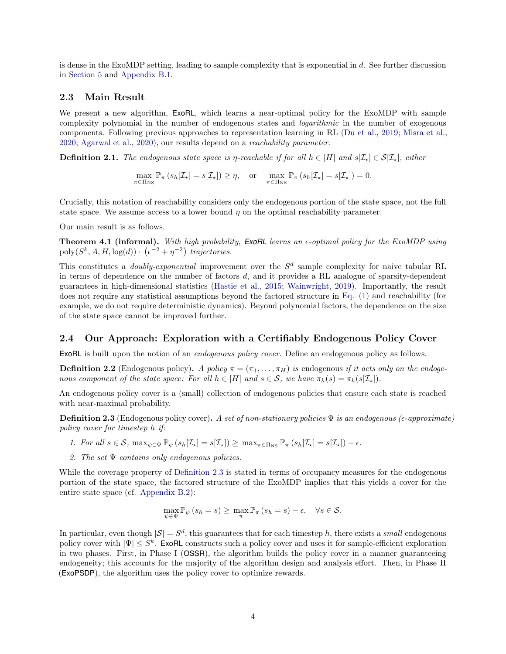is dense in the ExoMDP setting, leading to sample complexity that is exponential in  $d$ . See further discussion in [Section 5](#page-10-0) and [Appendix B.1.](#page-21-1)

#### 2.3 Main Result

We present a new algorithm,  $ExoRL$ , which learns a near-optimal policy for the ExoMDP with sample complexity polynomial in the number of endogenous states and logarithmic in the number of exogenous components. Following previous approaches to representation learning in RL [\(Du et al.,](#page-12-5) [2019;](#page-12-5) [Misra et al.,](#page-13-5) [2020;](#page-13-5) [Agarwal et al.](#page-12-6), [2020](#page-12-6)), our results depend on a reachability parameter.

**Definition 2.1.** The endogenous state space is  $\eta$ -reachable if for all  $h \in [H]$  and  $s[\mathcal{I}_\star] \in \mathcal{S}[\mathcal{I}_\star]$ , either

$$
\max_{\pi \in \Pi_{\mathrm{NS}}} \mathbb{P}_{\pi} \left( s_h[\mathcal{I}_{\star}] = s[\mathcal{I}_{\star}] \right) \geq \eta, \quad \text{or} \quad \max_{\pi \in \Pi_{\mathrm{NS}}} \mathbb{P}_{\pi} \left( s_h[\mathcal{I}_{\star}] = s[\mathcal{I}_{\star}] \right) = 0.
$$

Crucially, this notation of reachability considers only the endogenous portion of the state space, not the full state space. We assume access to a lower bound  $\eta$  on the optimal reachability parameter.

Our main result is as follows.

**Theorem 4.1 (informal).** With high probability, **ExoRL** learns an  $\epsilon$ -optimal policy for the ExoMDP using poly $(S^k, A, H, \log(d)) \cdot (\epsilon^{-2} + \eta^{-2})$  trajectories.

This constitutes a *doubly-exponential* improvement over the  $S<sup>d</sup>$  sample complexity for naive tabular RL in terms of dependence on the number of factors d, and it provides a RL analogue of sparsity-dependent guarantees in high-dimensional statistics [\(Hastie et al.](#page-12-0), [2015](#page-12-0); [Wainwright](#page-13-0), [2019](#page-13-0)). Importantly, the result does not require any statistical assumptions beyond the factored structure in [Eq. \(1\)](#page-2-0) and reachability (for example, we do not require deterministic dynamics). Beyond polynomial factors, the dependence on the size of the state space cannot be improved further.

#### 2.4 Our Approach: Exploration with a Certifiably Endogenous Policy Cover

ExoRL is built upon the notion of an endogenous policy cover. Define an endogenous policy as follows.

**Definition 2.2** (Endogenous policy). A policy  $\pi = (\pi_1, \dots, \pi_H)$  is endogenous if it acts only on the endogenous component of the state space: For all  $h \in [H]$  and  $s \in \mathcal{S}$ , we have  $\pi_h(s) = \pi_h(s[\mathcal{I}_\star]).$ 

<span id="page-3-0"></span>An endogenous policy cover is a (small) collection of endogenous policies that ensure each state is reached with near-maximal probability.

**Definition 2.3** (Endogenous policy cover). A set of non-stationary policies  $\Psi$  is an endogenous ( $\epsilon$ -approximate) policy cover for timestep h if:

- 1. For all  $s \in \mathcal{S}$ ,  $\max_{\psi \in \Psi} \mathbb{P}_{\psi}(s_h[\mathcal{I}_\star] = s[\mathcal{I}_\star]) \geq \max_{\pi \in \Pi_{\mathcal{NS}}} \mathbb{P}_{\pi}(s_h[\mathcal{I}_\star] = s[\mathcal{I}_\star]) \epsilon$ .
- 2. The set  $\Psi$  contains only endogenous policies.

While the coverage property of [Definition 2.3](#page-3-0) is stated in terms of occupancy measures for the endogenous portion of the state space, the factored structure of the ExoMDP implies that this yields a cover for the entire state space (cf. [Appendix B.2\)](#page-22-0):

$$
\max_{\psi \in \Psi} \mathbb{P}_{\psi}(s_h = s) \geq \max_{\pi} \mathbb{P}_{\pi}(s_h = s) - \epsilon, \quad \forall s \in \mathcal{S}.
$$

In particular, even though  $|S| = S^d$ , this guarantees that for each timestep h, there exists a *small* endogenous policy cover with  $|\Psi| \leq S^k$ . ExoRL constructs such a policy cover and uses it for sample-efficient exploration in two phases. First, in Phase I (OSSR), the algorithm builds the policy cover in a manner guaranteeing endogeneity; this accounts for the majority of the algorithm design and analysis effort. Then, in Phase II (ExoPSDP), the algorithm uses the policy cover to optimize rewards.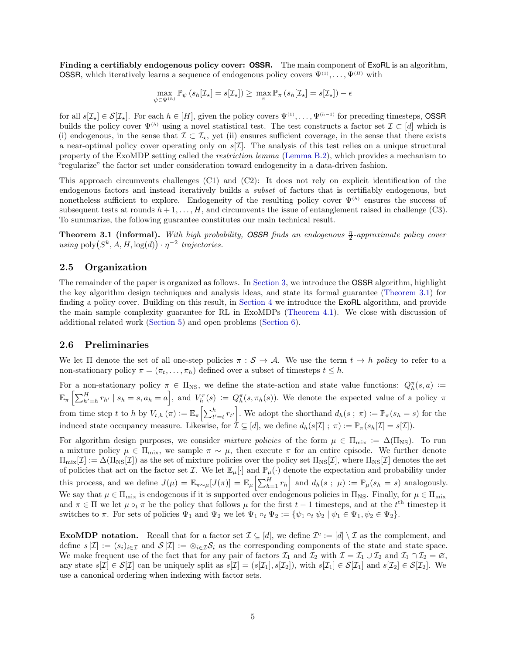Finding a certifiably endogenous policy cover: **OSSR**. The main component of ExoRL is an algorithm, **OSSR**, which iteratively learns a sequence of endogenous policy covers  $\Psi^{(1)}, \ldots, \Psi^{(H)}$  with

$$
\max_{\psi \in \Psi^{(h)}} \mathbb{P}_{\psi} \left( s_h[\mathcal{I}_{\star}] = s[\mathcal{I}_{\star}] \right) \geq \max_{\pi} \mathbb{P}_{\pi} \left( s_h[\mathcal{I}_{\star}] = s[\mathcal{I}_{\star}] \right) - \epsilon
$$

for all  $s[\mathcal{I}_\star] \in \mathcal{S}[\mathcal{I}_\star]$ . For each  $h \in [H]$ , given the policy covers  $\Psi^{(1)}, \ldots, \Psi^{(h-1)}$  for preceding timesteps, OSSR builds the policy cover  $\Psi^{(h)}$  using a novel statistical test. The test constructs a factor set  $\mathcal{I} \subset [d]$  which is (i) endogenous, in the sense that  $\mathcal{I} \subset \mathcal{I}_{\star}$ , yet (ii) ensures sufficient coverage, in the sense that there exists a near-optimal policy cover operating only on  $s[\mathcal{I}]$ . The analysis of this test relies on a unique structural property of the ExoMDP setting called the restriction lemma [\(Lemma B.2\)](#page-24-0), which provides a mechanism to "regularize" the factor set under consideration toward endogeneity in a data-driven fashion.

This approach circumvents challenges (C1) and (C2): It does not rely on explicit identification of the endogenous factors and instead iteratively builds a subset of factors that is certifiably endogenous, but nonetheless sufficient to explore. Endogeneity of the resulting policy cover  $\Psi^{(h)}$  ensures the success of subsequent tests at rounds  $h + 1, \ldots, H$ , and circumvents the issue of entanglement raised in challenge (C3). To summarize, the following guarantee constitutes our main technical result.

**Theorem 3.1 (informal).** With high probability, **OSSR** finds an endogenous  $\frac{\eta}{2}$ -approximate policy cover using  $\text{poly}(S^k, A, H, \log(d)) \cdot \eta^{-2}$  trajectories.

#### 2.5 Organization

The remainder of the paper is organized as follows. In [Section 3,](#page-5-0) we introduce the OSSR algorithm, highlight the key algorithm design techniques and analysis ideas, and state its formal guarantee [\(Theorem 3.1\)](#page-9-0) for finding a policy cover. Building on this result, in [Section 4](#page-10-1) we introduce the ExoRL algorithm, and provide the main sample complexity guarantee for RL in ExoMDPs [\(Theorem 4.1\)](#page-10-2). We close with discussion of additional related work [\(Section 5\)](#page-10-0) and open problems [\(Section 6\)](#page-11-0).

#### 2.6 Preliminaries

We let  $\Pi$  denote the set of all one-step policies  $\pi : \mathcal{S} \to \mathcal{A}$ . We use the term  $t \to h$  policy to refer to a non-stationary policy  $\pi = (\pi_t, \ldots, \pi_h)$  defined over a subset of timesteps  $t \leq h$ .

For a non-stationary policy  $\pi \in \Pi_{\text{NS}}$ , we define the state-action and state value functions:  $Q_h^{\pi}(s, a) :=$  $\mathbb{E}_{\pi}\left[\sum_{h'=h}^{H} r_{h'} \mid s_h = s, a_h = a\right],$  and  $V_h^{\pi}(s) := Q_h^{\pi}(s, \pi_h(s))$ . We denote the expected value of a policy  $\pi$ from time step t to h by  $V_{t,h}(\pi) := \mathbb{E}_{\pi} \left[ \sum_{t'=t}^h r_{t'} \right]$ . We adopt the shorthand  $d_h(s; \pi) := \mathbb{P}_{\pi}(s_h = s)$  for the induced state occupancy measure. Likewise, for  $\mathcal{I} \subseteq [d]$ , we define  $d_h(s[\mathcal{I}]; \pi) := \mathbb{P}_{\pi}(s_h[\mathcal{I}] = s[\mathcal{I}]).$ 

For algorithm design purposes, we consider mixture policies of the form  $\mu \in \Pi_{\text{mix}} := \Delta(\Pi_{\text{NS}})$ . To run a mixture policy  $\mu \in \Pi_{mix}$ , we sample  $\pi \sim \mu$ , then execute  $\pi$  for an entire episode. We further denote  $\Pi_{\text{mix}}[\mathcal{I}] := \Delta(\Pi_{\text{NS}}[\mathcal{I}])$  as the set of mixture policies over the policy set  $\Pi_{\text{NS}}[\mathcal{I}]$ , where  $\Pi_{\text{NS}}[\mathcal{I}]$  denotes the set of policies that act on the factor set  $\mathcal{I}$ . We let  $\mathbb{E}_{\mu}[\cdot]$  and  $\mathbb{P}_{\mu}(\cdot)$  denote the expectation and probability under this process, and we define  $J(\mu) = \mathbb{E}_{\pi \sim \mu}[J(\pi)] = \mathbb{E}_{\mu} \left[ \sum_{h=1}^{H} r_h \right]$  and  $d_h(s ; \mu) := \mathbb{P}_{\mu}(s_h = s)$  analogously. We say that  $\mu \in \Pi_{\text{mix}}$  is endogenous if it is supported over endogenous policies in  $\Pi_{\text{NS}}$ . Finally, for  $\mu \in \Pi_{\text{mix}}$ and  $\pi \in \Pi$  we let  $\mu \circ_t \pi$  be the policy that follows  $\mu$  for the first  $t-1$  timesteps, and at the  $t^{\text{th}}$  timestep it switches to  $\pi$ . For sets of policies  $\Psi_1$  and  $\Psi_2$  we let  $\Psi_1 \circ_t \Psi_2 := {\psi_1 \circ_t \psi_2 \mid \psi_1 \in \Psi_1, \psi_2 \in \Psi_2}.$ 

**ExoMDP notation.** Recall that for a factor set  $\mathcal{I} \subseteq [d]$ , we define  $\mathcal{I}^c := [d] \setminus \mathcal{I}$  as the complement, and define  $s[\mathcal{I}] := (s_i)_{i \in \mathcal{I}}$  and  $\mathcal{S}[\mathcal{I}] := \otimes_{i \in \mathcal{I}} \mathcal{S}_i$  as the corresponding components of the state and state space. We make frequent use of the fact that for any pair of factors  $\mathcal{I}_1$  and  $\mathcal{I}_2$  with  $\mathcal{I} = \mathcal{I}_1 \cup \mathcal{I}_2$  and  $\mathcal{I}_1 \cap \mathcal{I}_2 = \emptyset$ , any state  $s[\mathcal{I}] \in \mathcal{S}[\mathcal{I}]$  can be uniquely split as  $s[\mathcal{I}] = (s[\mathcal{I}_1], s[\mathcal{I}_2])$ , with  $s[\mathcal{I}_1] \in \mathcal{S}[\mathcal{I}_1]$  and  $s[\mathcal{I}_2] \in \mathcal{S}[\mathcal{I}_2]$ . We use a canonical ordering when indexing with factor sets.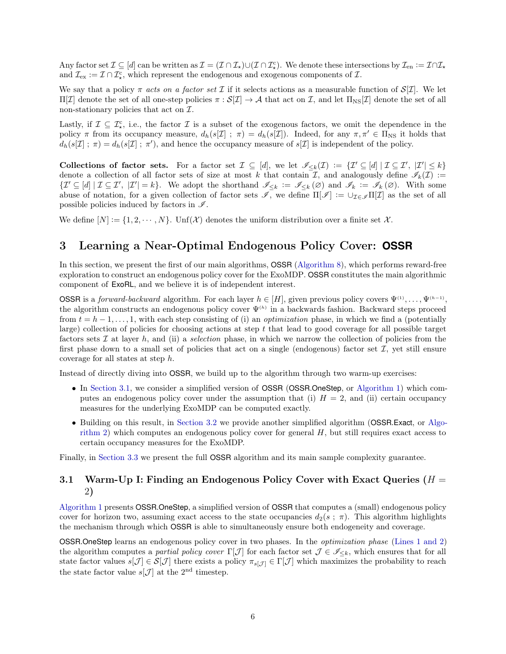Any factor set  $\mathcal{I} \subseteq [d]$  can be written as  $\mathcal{I} = (\mathcal{I} \cap \mathcal{I}_{\star}) \cup (\mathcal{I} \cap \mathcal{I}_{\star})$ . We denote these intersections by  $\mathcal{I}_{en} := \mathcal{I} \cap \mathcal{I}_{\star}$ and  $\mathcal{I}_{\text{ex}} := \mathcal{I} \cap \mathcal{I}_{\star}^{\text{c}}$ , which represent the endogenous and exogenous components of  $\mathcal{I}$ .

We say that a policy  $\pi$  acts on a factor set  $\mathcal I$  if it selects actions as a measurable function of  $\mathcal S[\mathcal I]$ . We let  $\Pi[\mathcal{I}]$  denote the set of all one-step policies  $\pi : \mathcal{S}[\mathcal{I}] \to \mathcal{A}$  that act on  $\mathcal{I}$ , and let  $\Pi_{\text{NS}}[\mathcal{I}]$  denote the set of all non-stationary policies that act on  $\mathcal{I}$ .

Lastly, if  $\mathcal{I} \subseteq \mathcal{I}_{\star}^c$ , i.e., the factor  $\mathcal{I}$  is a subset of the exogenous factors, we omit the dependence in the policy  $\pi$  from its occupancy measure,  $d_h(s[\mathcal{I}] ; \pi) = d_h(s[\mathcal{I}])$ . Indeed, for any  $\pi, \pi' \in \Pi_{\text{NS}}$  it holds that  $d_h(s[\mathcal{I}]; \pi) = d_h(s[\mathcal{I}]; \pi')$ , and hence the occupancy measure of  $s[\mathcal{I}]$  is independent of the policy.

Collections of factor sets. For a factor set  $\mathcal{I} \subseteq [d]$ , we let  $\mathcal{I}_{\leq k}(\mathcal{I}) := \{\mathcal{I}' \subseteq [d] \mid \mathcal{I} \subseteq \mathcal{I}', \;|\mathcal{I}'| \leq k\}$ denote a collection of all factor sets of size at most k that contain I, and analogously define  $\mathscr{I}_k(\mathcal{I}) :=$  $\{\mathcal{I}'\subseteq [d] \mid \mathcal{I}\subseteq \mathcal{I}', \ |\mathcal{I}'|=k\}.$  We adopt the shorthand  $\mathscr{I}_{\leq k} := \mathscr{I}_{\leq k}(\varnothing)$  and  $\mathscr{I}_k := \mathscr{I}_k(\varnothing)$ . With some abuse of notation, for a given collection of factor sets  $\mathscr{I},$  we define  $\Pi[\mathscr{I}] := \cup_{\mathcal{I} \in \mathscr{I}} \Pi[\mathcal{I}]$  as the set of all possible policies induced by factors in  $\mathscr{I}$ .

<span id="page-5-0"></span>We define  $[N] := \{1, 2, \dots, N\}$ . Unf $(X)$  denotes the uniform distribution over a finite set X.

# 3 Learning a Near-Optimal Endogenous Policy Cover: **OSSR**

In this section, we present the first of our main algorithms, OSSR [\(Algorithm 8\)](#page-47-0), which performs reward-free exploration to construct an endogenous policy cover for the ExoMDP. OSSR constitutes the main algorithmic component of ExoRL, and we believe it is of independent interest.

**OSSR** is a *forward-backward* algorithm. For each layer  $h \in [H]$ , given previous policy covers  $\Psi^{(1)}, \ldots, \Psi^{(h-1)}$ , the algorithm constructs an endogenous policy cover  $\Psi^{(h)}$  in a backwards fashion. Backward steps proceed from  $t = h - 1, \ldots, 1$ , with each step consisting of (i) an *optimization* phase, in which we find a (potentially large) collection of policies for choosing actions at step t that lead to good coverage for all possible target factors sets  $\mathcal I$  at layer h, and (ii) a selection phase, in which we narrow the collection of policies from the first phase down to a small set of policies that act on a single (endogenous) factor set  $\mathcal{I}$ , yet still ensure coverage for all states at step h.

Instead of directly diving into OSSR, we build up to the algorithm through two warm-up exercises:

- In [Section 3.1,](#page-5-1) we consider a simplified version of OSSR (OSSR.OneStep, or [Algorithm 1\)](#page-6-0) which computes an endogenous policy cover under the assumption that (i)  $H = 2$ , and (ii) certain occupancy measures for the underlying ExoMDP can be computed exactly.
- Building on this result, in [Section 3.2](#page-7-0) we provide another simplified algorithm (OSSR.Exact, or Algorithm 2) which computes an endogenous policy cover for general  $H$ , but still requires exact access to certain occupancy measures for the ExoMDP.

<span id="page-5-1"></span>Finally, in [Section 3.3](#page-9-1) we present the full OSSR algorithm and its main sample complexity guarantee.

### 3.1 Warm-Up I: Finding an Endogenous Policy Cover with Exact Queries  $(H =$ 2)

[Algorithm 1](#page-6-0) presents OSSR.OneStep, a simplified version of OSSR that computes a (small) endogenous policy cover for horizon two, assuming exact access to the state occupancies  $d_2(s; \pi)$ . This algorithm highlights the mechanism through which OSSR is able to simultaneously ensure both endogeneity and coverage.

OSSR.OneStep learns an endogenous policy cover in two phases. In the optimization phase [\(Lines 1 and 2\)](#page-47-1) the algorithm computes a partial policy cover  $\Gamma[\mathcal{J}]$  for each factor set  $\mathcal{J} \in \mathscr{I}_{\leq k}$ , which ensures that for all state factor values  $s[\mathcal{J}] \in \mathcal{S}[\mathcal{J}]$  there exists a policy  $\pi_{s[\mathcal{J}]} \in \Gamma[\mathcal{J}]$  which maximizes the probability to reach the state factor value  $s[\mathcal{J}]$  at the 2<sup>nd</sup> timestep.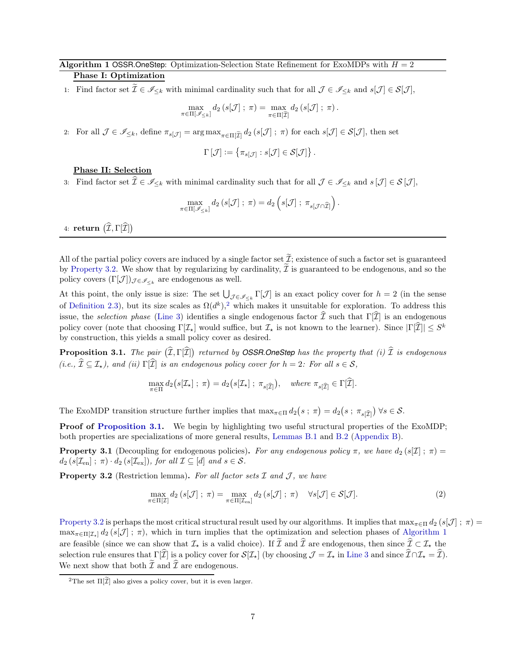# <span id="page-6-0"></span>Algorithm 1 OSSR. OneStep: Optimization-Selection State Refinement for ExoMDPs with  $H = 2$

# Phase I: Optimization

1: Find factor set  $\mathcal{I} \in \mathscr{I}_{\leq k}$  with minimal cardinality such that for all  $\mathcal{J} \in \mathscr{I}_{\leq k}$  and  $s[\mathcal{J}] \in \mathcal{S}[\mathcal{J}]$ ,

$$
\max_{\pi \in \Pi[\mathscr{I}_{\leq k}]} d_2\left(s[\mathcal{J}]\; ; \; \pi \right) = \max_{\pi \in \Pi[\widetilde{\mathcal{I}}]} d_2\left(s[\mathcal{J}]\; ; \; \pi \right).
$$

2: For all  $\mathcal{J} \in \mathscr{I}_{\leq k}$ , define  $\pi_{s[\mathcal{J}]} = \arg \max_{\pi \in \Pi[\widetilde{\mathcal{I}}]} d_2(s[\mathcal{J}]; \pi)$  for each  $s[\mathcal{J}] \in \mathcal{S}[\mathcal{J}]$ , then set

$$
\Gamma\left[\mathcal{J}\right]:=\left\{ \pi_{s[\mathcal{J}]}:s[\mathcal{J}]\in\mathcal{S}[\mathcal{J}]\right\} .
$$

#### Phase II: Selection

3: Find factor set  $\widehat{\mathcal{I}} \in \mathscr{I}_{\leq k}$  with minimal cardinality such that for all  $\mathcal{J} \in \mathscr{I}_{\leq k}$  and  $s[\mathcal{J}] \in \mathcal{S}[\mathcal{J}]$ ,

$$
\max_{\pi \in \Pi[\mathscr{I}_{\leq k}]} d_2\left(s[\mathcal{J}]; \, \pi\right) = d_2\left(s[\mathcal{J}]; \, \pi_{s[\mathcal{J} \cap \widehat{\mathcal{I}}]}\right).
$$

4: return  $\left( \widehat{\mathcal{I}},\Gamma[\widehat{\mathcal{I}}]\right)$ 

All of the partial policy covers are induced by a single factor set  $\tilde{\mathcal{I}}$ ; existence of such a factor set is guaranteed by [Property 3.2.](#page-6-1) We show that by regularizing by cardinality,  $\tilde{I}$  is guaranteed to be endogenous, and so the policy covers  $(\Gamma[\mathcal{J}])_{\mathcal{J}\in\mathscr{I}_{\leq k}}$  are endogenous as well.

At this point, the only issue is size: The set  $\bigcup_{\mathcal{J}\in\mathscr{I}_{\leq k}}\Gamma[\mathcal{J}]$  is an exact policy cover for  $h=2$  (in the sense of [Definition 2.3\)](#page-3-0), but its size scales as  $\Omega(d^k)$ ,<sup>2</sup> which makes it unsuitable for exploration. To address this issue, the selection phase [\(Line 3\)](#page-47-2) identifies a single endogenous factor  $\tilde{\mathcal{I}}$  such that Γ[ $\tilde{\mathcal{I}}$ ] is an endogenous policy cover (note that choosing  $\Gamma[\mathcal{I}_\star]$  would suffice, but  $\mathcal{I}_\star$  is not known to the learner). Since  $|\Gamma[\mathcal{I}]| \leq S^k$ by construction, this yields a small policy cover as desired.

<span id="page-6-2"></span>**Proposition 3.1.** The pair  $(\widehat{I}, \Gamma[\widehat{I}])$  returned by **OSSR.OneStep** has the property that (i)  $\widehat{I}$  is endogenous (i.e.,  $\hat{\mathcal{I}} \subseteq \mathcal{I}_{\star}$ ), and (ii)  $\Gamma[\hat{\mathcal{I}}]$  is an endogenous policy cover for  $h = 2$ : For all  $s \in \mathcal{S}$ ,

$$
\max_{\pi \in \Pi} d_2(s[\mathcal{I}_\star]; \; \pi) = d_2(s[\mathcal{I}_\star]; \; \pi_{s[\widehat{\mathcal{I}}]}) , \quad \text{where } \pi_{s[\widehat{\mathcal{I}}]} \in \Gamma[\widehat{\mathcal{I}}].
$$

The ExoMDP transition structure further implies that  $\max_{\pi \in \Pi} d_2(s; \pi) = d_2(s; \pi_{s[\widehat{I}]} ) \forall s \in \mathcal{S}.$ 

<span id="page-6-3"></span>Proof of [Proposition 3.1.](#page-6-2) We begin by highlighting two useful structural properties of the ExoMDP; both properties are specializations of more general results, [Lemmas B.1](#page-22-1) and [B.2](#page-24-0) [\(Appendix B\)](#page-21-0).

<span id="page-6-1"></span>**Property 3.1** (Decoupling for endogenous policies). For any endogenous policy  $\pi$ , we have  $d_2(s[\mathcal{I}]$ ;  $\pi)$  =  $d_2(s[\mathcal{I}_{en}] ; \pi) \cdot d_2(s[\mathcal{I}_{ex}]),$  for all  $\mathcal{I} \subseteq [d]$  and  $s \in \mathcal{S}.$ 

**Property 3.2** (Restriction lemma). For all factor sets  $I$  and  $J$ , we have

$$
\max_{\pi \in \Pi[\mathcal{I}]} d_2\left(s[\mathcal{J}]; \ \pi\right) = \max_{\pi \in \Pi[\mathcal{I}_{\text{en}}]} d_2\left(s[\mathcal{J}]; \ \pi\right) \quad \forall s[\mathcal{J}] \in \mathcal{S}[\mathcal{J}].\tag{2}
$$

[Property 3.2](#page-6-1) is perhaps the most critical structural result used by our algorithms. It implies that  $\max_{\pi \in \Pi} d_2(s[\mathcal{J}] : \pi)$  $\max_{\pi \in \Pi[\mathcal{I}_\star]} d_2(s[\mathcal{J}] ; \pi)$ , which in turn implies that the optimization and selection phases of [Algorithm 1](#page-6-0) are feasible (since we can show that  $\mathcal{I}_{\star}$  is a valid choice). If  $\tilde{\mathcal{I}}$  and  $\hat{\mathcal{I}}$  are endogenous, then since  $\hat{\mathcal{I}} \subset \mathcal{I}_{\star}$  the selection rule ensures that  $\Gamma[\widehat{\mathcal{I}}]$  is a policy cover for  $\mathcal{S}[\mathcal{I}_{\star}]$  (by choosing  $\mathcal{J} = \mathcal{I}_{\star}$  in [Line 3](#page-47-2) and since  $\widehat{\mathcal{I}} \cap \mathcal{I}_{\star} = \widehat{\mathcal{I}}$ ). We next show that both  $\tilde{\mathcal{I}}$  and  $\hat{\mathcal{I}}$  are endogenous.

<sup>&</sup>lt;sup>2</sup>The set  $\Pi[\widetilde{\mathcal{I}}]$  also gives a policy cover, but it is even larger.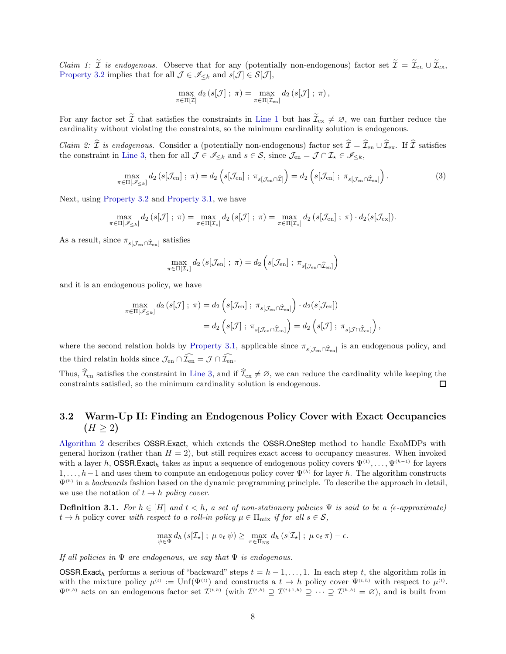*Claim 1:*  $\tilde{\mathcal{I}}$  *is endogenous.* Observe that for any (potentially non-endogenous) factor set  $\tilde{\mathcal{I}} = \tilde{\mathcal{I}}_{en} \cup \tilde{\mathcal{I}}_{ex}$ , [Property 3.2](#page-6-1) implies that for all  $\mathcal{J} \in \mathscr{I}_{\leq k}$  and  $s[\mathcal{J}] \in \mathcal{S}[\mathcal{J}],$ 

$$
\max_{\pi \in \Pi[\widetilde{\mathcal{I}}]} d_2\left(s[\mathcal{J}]; \ \pi\right) = \max_{\pi \in \Pi[\widetilde{\mathcal{I}}_{en}]} d_2\left(s[\mathcal{J}]; \ \pi\right),
$$

For any factor set  $\tilde{\mathcal{I}}$  that satisfies the constraints in [Line 1](#page-47-1) but has  $\tilde{\mathcal{I}}_{ex} \neq \emptyset$ , we can further reduce the cardinality without violating the constraints, so the minimum cardinality solution is endogenous.

*Claim 2:*  $\hat{\mathcal{I}}$  is endogenous. Consider a (potentially non-endogenous) factor set  $\hat{\mathcal{I}} = \hat{\mathcal{I}}_{en} \cup \hat{\mathcal{I}}_{ex}$ . If  $\hat{\mathcal{I}}$  satisfies the constraint in [Line 3,](#page-47-2) then for all  $\mathcal{J} \in \mathscr{I}_{\leq k}$  and  $s \in \mathcal{S}$ , since  $\mathcal{J}_{en} = \mathcal{J} \cap \mathcal{I}_{\star} \in \mathscr{I}_{\leq k}$ ,

$$
\max_{\pi \in \Pi[\mathscr{I}_{\leq k}]} d_2\left(s[\mathcal{J}_{\text{en}}]; \ \pi\right) = d_2\left(s[\mathcal{J}_{\text{en}}]; \ \pi_{s[\mathcal{J}_{\text{en}} \cap \widehat{\mathcal{I}}]}\right) = d_2\left(s[\mathcal{J}_{\text{en}}]; \ \pi_{s[\mathcal{J}_{\text{en}} \cap \widehat{\mathcal{I}}_{\text{en}}]}\right). \tag{3}
$$

Next, using [Property 3.2](#page-6-1) and [Property 3.1,](#page-6-3) we have

$$
\max_{\pi \in \Pi[\mathscr{I}_{\leq k}]} d_2\left(s[\mathcal{J}]; \ \pi\right) = \max_{\pi \in \Pi[\mathcal{I}_{\star}]} d_2\left(s[\mathcal{J}]; \ \pi\right) = \max_{\pi \in \Pi[\mathcal{I}_{\star}]} d_2\left(s[\mathcal{J}_{en}]; \ \pi\right) \cdot d_2\left(s[\mathcal{J}_{ex}]\right).
$$

As a result, since  $\pi_{s[\mathcal{J}_{en} \cap \widehat{\mathcal{I}}_{en}]}$  satisfies

$$
\max_{\pi \in \Pi[\mathcal{I}_\star]} d_2\left(s[\mathcal{J}_{en}]\; ; \; \pi\right) = d_2\left(s[\mathcal{J}_{en}]\; ; \; \pi_{s[\mathcal{J}_{en} \cap \widehat{\mathcal{I}}_{en}]}\right)
$$

and it is an endogenous policy, we have

$$
\max_{\pi \in \Pi[\mathscr{I}_{\leq k}]} d_2\left(s[\mathcal{J}]; \ \pi\right) = d_2\left(s[\mathcal{J}_{en}]; \ \pi_{s[\mathcal{J}_{en} \cap \widehat{\mathcal{I}}_{en}]} \right) \cdot d_2(s[\mathcal{J}_{ex}])
$$
\n
$$
= d_2\left(s[\mathcal{J}]; \ \pi_{s[\mathcal{J}_{en} \cap \widehat{\mathcal{I}}_{en}]} \right) = d_2\left(s[\mathcal{J}]; \ \pi_{s[\mathcal{J} \cap \widehat{\mathcal{I}}_{en}]} \right),
$$

where the second relation holds by [Property 3.1,](#page-6-3) applicable since  $\pi_{s[\mathcal{J}_{en} \cap \widehat{\mathcal{I}}_{en}]}$  is an endogenous policy, and the third relatin holds since  $\mathcal{J}_{\text{\rm en}}\cap\widehat{\mathcal{I}_{\text{\rm en}}}= \mathcal{J}\cap\widehat{\mathcal{I}_{\text{\rm en}}}.$ 

Thus,  $\widehat{\mathcal{I}}_{en}$  satisfies the constraint in [Line 3,](#page-47-2) and if  $\widehat{\mathcal{I}}_{ex} \neq \emptyset$ , we can reduce the cardinality while keeping the constraints satisfied, so the minimum cardinality solution is endogenous. constraints satisfied, so the minimum cardinality solution is endogenous.

## <span id="page-7-0"></span>3.2 Warm-Up II: Finding an Endogenous Policy Cover with Exact Occupancies  $(H > 2)$

[Algorithm 2](#page-8-0) describes OSSR.Exact, which extends the OSSR.OneStep method to handle ExoMDPs with general horizon (rather than  $H = 2$ ), but still requires exact access to occupancy measures. When invoked with a layer h, OSSR.Exact<sub>h</sub> takes as input a sequence of endogenous policy covers  $\Psi^{(1)}, \ldots, \Psi^{(h-1)}$  for layers  $1, \ldots, h-1$  and uses them to compute an endogenous policy cover  $\Psi^{(h)}$  for layer h. The algorithm constructs  $\Psi^{(h)}$  in a backwards fashion based on the dynamic programming principle. To describe the approach in detail, we use the notation of  $t \to h$  policy cover.

**Definition 3.1.** For  $h \in [H]$  and  $t < h$ , a set of non-stationary policies  $\Psi$  is said to be a ( $\epsilon$ -approximate)  $t \to h$  policy cover with respect to a roll-in policy  $\mu \in \Pi_{\text{mix}}$  if for all  $s \in \mathcal{S}$ ,

$$
\max_{\psi \in \Psi} d_h \left( s[\mathcal{I}_\star] \; ; \; \mu \circ_t \psi \right) \geq \max_{\pi \in \Pi_{\text{NS}}} d_h \left( s[\mathcal{I}_\star] \; ; \; \mu \circ_t \pi \right) - \epsilon.
$$

If all policies in  $\Psi$  are endogenous, we say that  $\Psi$  is endogenous.

**OSSR.Exact**h performs a serious of "backward" steps  $t = h - 1, \ldots, 1$ . In each step t, the algorithm rolls in with the mixture policy  $\mu^{(t)} := \mathrm{Unf}(\Psi^{(t)})$  and constructs a  $t \to h$  policy cover  $\Psi^{(t,h)}$  with respect to  $\mu^{(t)}$ .  $\Psi^{(t,h)}$  acts on an endogenous factor set  $\mathcal{I}^{(t,h)}$  (with  $\mathcal{I}^{(t,h)} \supseteq \mathcal{I}^{(t+1,h)} \supseteq \cdots \supseteq \mathcal{I}^{(h,h)} = \varnothing$ ), and is built from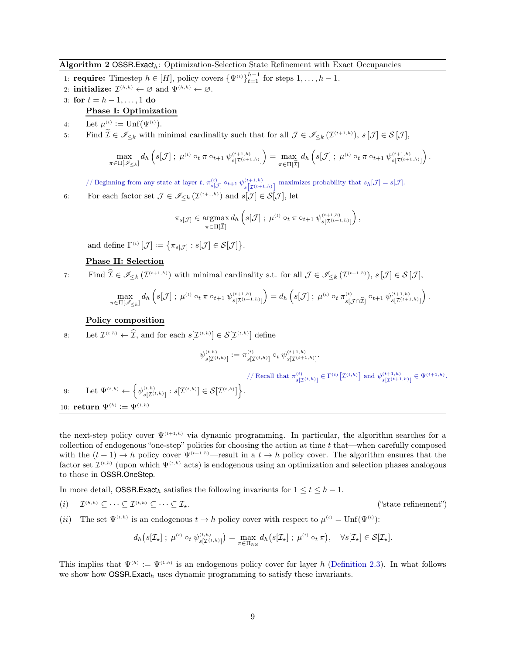#### <span id="page-8-0"></span>Algorithm 2 OSSR.Exact<sub>h</sub>: Optimization-Selection State Refinement with Exact Occupancies

- 1: **require:** Timestep  $h \in [H]$ , policy covers  $\{\Psi^{(t)}\}_{t=1}^{h-1}$  for steps  $1, \ldots, h-1$ .
- 2: **initialize:**  $\mathcal{I}^{(h,h)} \leftarrow \emptyset$  and  $\Psi^{(h,h)} \leftarrow \emptyset$ .
- 3: for  $t = h 1, ..., 1$  do Phase I: Optimization
- 4: Let  $\mu^{(t)} := \text{Unf}(\Psi^{(t)})$ .

 $\pi$ 

5: Find  $\widetilde{\mathcal{I}} \in \mathscr{I}_{\leq k}$  with minimal cardinality such that for all  $\mathcal{J} \in \mathscr{I}_{\leq k}(\mathcal{I}^{(t+1,h)}), s[\mathcal{J}] \in \mathcal{S}[\mathcal{J}],$ 

$$
\max_{\substack{\in \Pi[\mathscr{I}_{\leq k}]} } d_h \left( s[\mathcal{J}] \; ; \; \mu^{(t)} \circ_t \pi \circ_{t+1} \psi^{(t+1,h)}_{s[\mathcal{I}^{(t+1,h)}]} \right) = \max_{\pi \in \Pi[\widetilde{\mathcal{I}}]} d_h \left( s[\mathcal{J}] \; ; \; \mu^{(t)} \circ_t \pi \circ_{t+1} \psi^{(t+1,h)}_{s[\mathcal{I}^{(t+1,h)}]} \right).
$$

// Beginning from any state at layer t,  $\pi_{s[\mathcal{J}]}^{(t)} \circ t+1$   $\psi_{s[\mathcal{J}]}^{(t+1,h)}$  $\sum_{s}^{(t+1,h)}$  maximizes probability that  $s_h[\mathcal{J}] = s[\mathcal{J}].$ 

6: For each factor set  $\mathcal{J} \in \mathscr{I}_{\leq k}(\mathcal{I}^{(t+1,h)})$  and  $s[\mathcal{J}] \in \mathcal{S}[\mathcal{J}]$ , let

$$
\pi_{s[\mathcal{J}]}\in\underset{\pi\in\Pi[\widetilde{\mathcal{I}}]}\text{argmax}\,d_h\left(s[\mathcal{J}]\; ;\; \mu^{\text{\tiny $(t)$}}\circ_t\pi\circ_{t+1}\psi_{s[\mathcal{I}^{(t+1,h)}])}^{\text{\tiny $(t+1,h)$}}\right),
$$

and define  $\Gamma^{(t)}\left[\mathcal{J}\right] := \left\{ \pi_{s[\mathcal{J}]} : s[\mathcal{J}] \in \mathcal{S}[\mathcal{J}] \right\}.$ 

#### Phase II: Selection

7: Find  $\widehat{\mathcal{I}} \in \mathscr{I}_{\leq k}(\mathcal{I}^{(t+1,h)})$  with minimal cardinality s.t. for all  $\mathcal{J} \in \mathscr{I}_{\leq k}(\mathcal{I}^{(t+1,h)}), s[\mathcal{J}] \in \mathcal{S}[\mathcal{J}],$ 

$$
\max_{\pi \in \Pi[\mathscr{I}_{\leq k}]} d_h \left( s[\mathcal{J}] \; ; \; \mu^{(t)} \circ_t \pi \circ_{t+1} \psi^{(t+1,h)}_{s[\mathcal{I}^{(t+1,h)}]} \right) = d_h \left( s[\mathcal{J}] \; ; \; \mu^{(t)} \circ_t \pi^{(t)}_{s[\mathcal{J} \cap \widehat{\mathcal{I}}]} \circ_{t+1} \psi^{(t+1,h)}_{s[\mathcal{I}^{(t+1,h)}]} \right).
$$

#### Policy composition

8: Let  $\mathcal{I}^{(t,h)} \leftarrow \mathcal{I}$ , and for each  $s[\mathcal{I}^{(t,h)}] \in \mathcal{S}[\mathcal{I}^{(t,h)}]$  define

$$
\psi^{(t,h)}_{s[\mathcal{I}^{(t,h)}]} := \pi^{(t)}_{s[\mathcal{I}^{(t,h)}]} \circ_t \psi^{(t+1,h)}_{s[\mathcal{I}^{(t+1,h)}]}.
$$

// Recall that  $\pi_{s[\mathcal{I}^{(t,h)}]}\in \Gamma^{(t)}\big[\mathcal{I}^{(t,h)}\big]$  and  $\psi_{s[\mathcal{I}^{(t+1,h)}]}\left(\in \Psi^{(t+1,h)}\right)$ .

9: Let  $\Psi^{(t,h)} \leftarrow \left\{ \psi_{s[\mathcal{I}^{(t,h)}]}^{(t,h)} : s[\mathcal{I}^{(t,h)}] \in \mathcal{S}[\mathcal{I}^{(t,h)}] \right\}.$ 10: **return**  $\Psi^{(h)} := \Psi^{(1,h)}$ 

the next-step policy cover  $\Psi^{(t+1,h)}$  via dynamic programming. In particular, the algorithm searches for a collection of endogenous "one-step" policies for choosing the action at time  $t$  that—when carefully composed with the  $(t + 1) \rightarrow h$  policy cover  $\Psi^{(t+1,h)}$ —result in a  $t \rightarrow h$  policy cover. The algorithm ensures that the factor set  $\mathcal{I}^{(t,h)}$  (upon which  $\Psi^{(t,h)}$  acts) is endogenous using an optimization and selection phases analogous to those in OSSR.OneStep.

In more detail, OSSR.Exact<sub>h</sub> satisfies the following invariants for  $1 \le t \le h - 1$ .

 $(i)$  $\mathcal{I}^{(h,h)} \subseteq \cdots \subseteq \mathcal{I}^{(t,h)} \subseteq \cdots \subseteq \mathcal{I}_{\star}.$  ("state refinement")

(*ii*) The set  $\Psi^{(t,h)}$  is an endogenous  $t \to h$  policy cover with respect to  $\mu^{(t)} = \text{Unf}(\Psi^{(t)})$ :

$$
d_h(s[\mathcal{I}_{\star}]; \ \mu^{(t)} \circ_t \psi_{s[\mathcal{I}^{(t,h)}]}^{(t,h)}) = \max_{\pi \in \Pi_{\mathrm{NS}}} d_h(s[\mathcal{I}_{\star}]; \ \mu^{(t)} \circ_t \pi), \quad \forall s[\mathcal{I}_{\star}] \in \mathcal{S}[\mathcal{I}_{\star}].
$$

This implies that  $\Psi^{(h)} := \Psi^{(1,h)}$  is an endogenous policy cover for layer h [\(Definition 2.3\)](#page-3-0). In what follows we show how  $OSSR.Exact<sub>h</sub>$  uses dynamic programming to satisfy these invariants.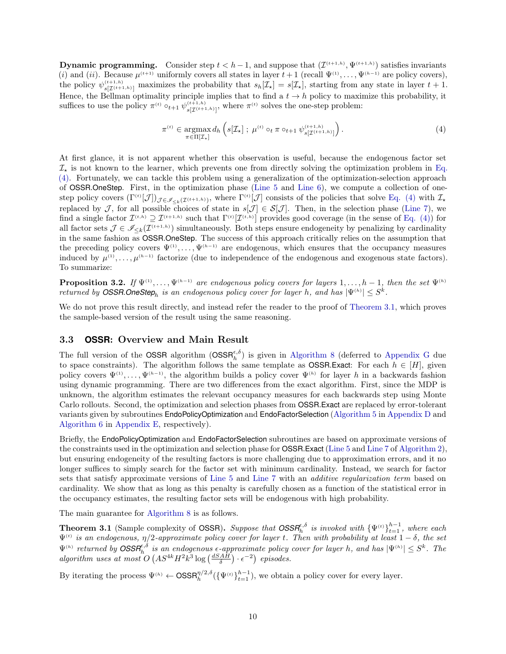**Dynamic programming.** Consider step  $t < h-1$ , and suppose that  $(\mathcal{I}^{(t+1,h)}, \Psi^{(t+1,h)})$  satisfies invariants (i) and (ii). Because  $\mu^{(t+1)}$  uniformly covers all states in layer  $t+1$  (recall  $\Psi^{(1)}, \ldots, \Psi^{(h-1)}$  are policy covers), the policy  $\psi_{s[\mathcal{I}^{(t+1,h)}]}^{(t+1,h)}$  maximizes the probability that  $s_h[\mathcal{I}_\star] = s[\mathcal{I}_\star]$ , starting from any state in layer  $t+1$ . Hence, the Bellman optimality principle implies that to find a  $t \to h$  policy to maximize this probability, it suffices to use the policy  $\pi^{(t)} \circ_{t+1} \psi_{s[\mathcal{I}^{(t+1,h)}],}^{(t+1,h)}$ , where  $\pi^{(t)}$  solves the one-step problem:

<span id="page-9-2"></span>
$$
\pi^{(t)} \in \underset{\pi \in \Pi[\mathcal{I}_{\star}]}{\operatorname{argmax}} d_h \left( s[\mathcal{I}_{\star}] \; ; \; \mu^{(t)} \circ_t \pi \circ_{t+1} \psi_{s[\mathcal{I}^{(t+1,h)}]}^{(t+1,h)} \right). \tag{4}
$$

At first glance, it is not apparent whether this observation is useful, because the endogenous factor set  $\mathcal{I}_{\star}$  is not known to the learner, which prevents one from directly solving the optimization problem in Eq. (4). Fortunately, we can tackle this problem using a generalization of the optimization-selection approach of OSSR.OneStep. First, in the optimization phase [\(Line 5](#page-47-3) and [Line 6\)](#page-47-4), we compute a collection of onestep policy covers  $(\Gamma^{(t)}[\mathcal{J}])_{\mathcal{J}\in\mathscr{I}_{\leq k}(\mathcal{I}^{(t+1,h)})}$ , where  $\Gamma^{(t)}[\mathcal{J}]$  consists of the policies that solve [Eq. \(4\)](#page-9-2) with  $\mathcal{I}_{\star}$ replaced by J, for all possible choices of state in  $s[\mathcal{J}] \in \mathcal{S}[\mathcal{J}]$ . Then, in the selection phase [\(Line 7\)](#page-47-5), we find a single factor  $\mathcal{I}^{(t,h)} \supseteq \mathcal{I}^{(t+1,h)}$  such that  $\Gamma^{(t)}[\mathcal{I}^{(t,h)}]$  provides good coverage (in the sense of [Eq. \(4\)\)](#page-9-2) for all factor sets  $\mathcal{J} \in \mathscr{I}_{\leq k}(\mathcal{I}^{(t+1,h)})$  simultaneously. Both steps ensure endogeneity by penalizing by cardinality in the same fashion as OSSR.OneStep. The success of this approach critically relies on the assumption that the preceding policy covers  $\Psi^{(1)}, \ldots, \Psi^{(h-1)}$  are endogenous, which ensures that the occupancy measures induced by  $\mu^{(1)}, \ldots, \mu^{(h-1)}$  factorize (due to independence of the endogenous and exogenous state factors). To summarize:

**Proposition 3.2.** If  $\Psi^{(1)}, \ldots, \Psi^{(h-1)}$  are endogenous policy covers for layers  $1, \ldots, h-1$ , then the set  $\Psi^{(h)}$ returned by **OSSR.OneStep**<sub>h</sub> is an endogenous policy cover for layer h, and has  $|\Psi^{(h)}| \leq S^k$ .

We do not prove this result directly, and instead refer the reader to the proof of [Theorem 3.1,](#page-9-0) which proves the sample-based version of the result using the same reasoning.

#### <span id="page-9-1"></span>3.3 **OSSR**: Overview and Main Result

The full version of the OSSR algorithm  $(OSSR<sub>h</sub><sup>\epsilon, \delta</sup>)$  is given in [Algorithm 8](#page-47-0) (deferred to [Appendix G](#page-46-0) due to space constraints). The algorithm follows the same template as **OSSR.Exact:** For each  $h \in [H]$ , given policy covers  $\Psi^{(1)}, \ldots, \Psi^{(h-1)}$ , the algorithm builds a policy cover  $\Psi^{(h)}$  for layer h in a backwards fashion using dynamic programming. There are two differences from the exact algorithm. First, since the MDP is unknown, the algorithm estimates the relevant occupancy measures for each backwards step using Monte Carlo rollouts. Second, the optimization and selection phases from OSSR.Exact are replaced by error-tolerant variants given by subroutines EndoPolicyOptimization and EndoFactorSelection [\(Algorithm 5](#page-31-0) in [Appendix D](#page-31-1) and [Algorithm 6](#page-35-0) in [Appendix E,](#page-35-1) respectively).

Briefly, the EndoPolicyOptimization and EndoFactorSelection subroutines are based on approximate versions of the constraints used in the optimization and selection phase for OSSR.Exact [\(Line 5](#page-47-3) and [Line 7](#page-47-5) of [Algorithm 2\)](#page-8-0), but ensuring endogeneity of the resulting factors is more challenging due to approximation errors, and it no longer suffices to simply search for the factor set with minimum cardinality. Instead, we search for factor sets that satisfy approximate versions of [Line 5](#page-47-3) and [Line 7](#page-47-5) with an additive regularization term based on cardinality. We show that as long as this penalty is carefully chosen as a function of the statistical error in the occupancy estimates, the resulting factor sets will be endogenous with high probability.

<span id="page-9-0"></span>The main guarantee for [Algorithm 8](#page-47-0) is as follows.

**Theorem 3.1** (Sample complexity of OSSR). Suppose that  $OSSR_h^{\epsilon,\delta}$  is invoked with  $\{\Psi^{(t)}\}_{t=1}^{h-1}$ , where each  $\Psi^{(t)}$  is an endogenous,  $\eta/2$ -approximate policy cover for layer t. Then with probability at least  $1-\delta,$  the set  $\Psi^{(h)}$  returned by  $\text{OSSR}_{h}^{\epsilon,\delta}$  is an endogenous  $\epsilon$ -approximate policy cover for layer h, and has  $|\Psi^{(h)}| \leq S^k$ . The algorithm uses at most  $O(AS^{4k}H^2k^3 \log\left(\frac{dSAH}{\delta}\right) \cdot \epsilon^{-2})$  episodes.

By iterating the process  $\Psi^{(h)} \leftarrow \text{OSSR}_{h}^{\eta/2,\delta}(\{\Psi^{(t)}\}_{t=1}^{h-1})$ , we obtain a policy cover for every layer.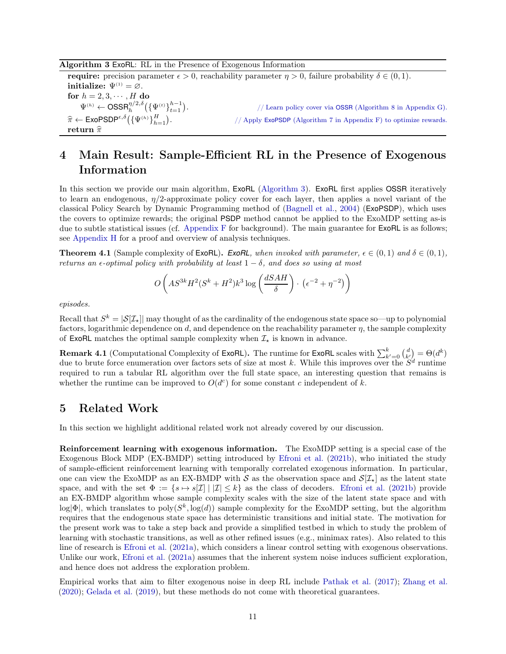#### <span id="page-10-3"></span>Algorithm 3 ExoRL: RL in the Presence of Exogenous Information

**require:** precision parameter  $\epsilon > 0$ , reachability parameter  $\eta > 0$ , failure probability  $\delta \in (0, 1)$ . initialize:  $\Psi^{(1)} = \emptyset$ . for  $h = 2, 3, \cdots, H$  do  $\Psi^{(h)} \leftarrow \textsf{OSSR}_h^{\eta/2,\delta}\big(\{\Psi^{(t)}\}_{t=1}^{h-1}\big)$ . // Learn policy cover via OSSR [\(Algorithm 8](#page-47-0) in [Appendix G\)](#page-46-0).  $\widehat{\pi} \leftarrow \mathsf{ExoPSDP}^{\epsilon,\delta} \big( {\{\Psi}^{\scriptscriptstyle(h)}\}_{h=1}^H \big)$ . // Apply ExoPSDP [\(Algorithm 7](#page-41-0) in [Appendix F\)](#page-41-1) to optimize rewards. return  $\hat{\pi}$ 

# <span id="page-10-1"></span>4 Main Result: Sample-Efficient RL in the Presence of Exogenous Information

In this section we provide our main algorithm, ExoRL [\(Algorithm 3\)](#page-10-3). ExoRL first applies OSSR iteratively to learn an endogenous,  $\eta/2$ -approximate policy cover for each layer, then applies a novel variant of the classical Policy Search by Dynamic Programming method of [\(Bagnell et al.](#page-12-9), [2004\)](#page-12-9) (ExoPSDP), which uses the covers to optimize rewards; the original PSDP method cannot be applied to the ExoMDP setting as-is due to subtle statistical issues (cf. [Appendix F](#page-41-1) for background). The main guarantee for ExoRL is as follows; see [Appendix H](#page-54-0) for a proof and overview of analysis techniques.

<span id="page-10-2"></span>**Theorem 4.1** (Sample complexity of ExoRL). *ExoRL*, when invoked with parameter,  $\epsilon \in (0,1)$  and  $\delta \in (0,1)$ , returns an  $\epsilon$ -optimal policy with probability at least  $1 - \delta$ , and does so using at most

$$
O\left(AS^{3k}H^2(S^k+H^2)k^3\log\left(\frac{dSAH}{\delta}\right)\cdot\left(\epsilon^{-2}+\eta^{-2}\right)\right)
$$

episodes.

Recall that  $S^k = |\mathcal{S}[\mathcal{I}_\star]|$  may thought of as the cardinality of the endogenous state space so—up to polynomial factors, logarithmic dependence on d, and dependence on the reachability parameter  $\eta$ , the sample complexity of ExoRL matches the optimal sample complexity when  $\mathcal{I}_{\star}$  is known in advance.

**Remark 4.1** (Computational Complexity of ExoRL). The runtime for ExoRL scales with  $\sum_{k'=0}^{k} {d \choose k'} = \Theta(d^k)$ due to brute force enumeration over factors sets of size at most k. While this improves over the  $S^d$  runtime required to run a tabular RL algorithm over the full state space, an interesting question that remains is whether the runtime can be improved to  $O(d^c)$  for some constant c independent of k.

# <span id="page-10-0"></span>5 Related Work

In this section we highlight additional related work not already covered by our discussion.

Reinforcement learning with exogenous information. The ExoMDP setting is a special case of the Exogenous Block MDP (EX-BMDP) setting introduced by [Efroni et al.](#page-12-7) [\(2021b](#page-12-7)), who initiated the study of sample-efficient reinforcement learning with temporally correlated exogenous information. In particular, one can view the ExoMDP as an EX-BMDP with S as the observation space and  $\mathcal{S}[\mathcal{I}_{\star}]$  as the latent state space, and with the set  $\Phi := \{s \mapsto s[\mathcal{I}] \mid |\mathcal{I}| \leq k\}$  as the class of decoders. [Efroni et al.](#page-12-7) [\(2021b\)](#page-12-7) provide an EX-BMDP algorithm whose sample complexity scales with the size of the latent state space and with  $\log|\Phi|$ , which translates to  $\text{poly}(S^k, \log(d))$  sample complexity for the ExoMDP setting, but the algorithm requires that the endogenous state space has deterministic transitions and initial state. The motivation for the present work was to take a step back and provide a simplified testbed in which to study the problem of learning with stochastic transitions, as well as other refined issues (e.g., minimax rates). Also related to this line of research is [Efroni et al.](#page-12-10) [\(2021a](#page-12-10)), which considers a linear control setting with exogenous observations. Unlike our work, [Efroni et al.](#page-12-10) [\(2021a](#page-12-10)) assumes that the inherent system noise induces sufficient exploration, and hence does not address the exploration problem.

Empirical works that aim to filter exogenous noise in deep RL include [Pathak et al.](#page-13-12) [\(2017](#page-13-12)); [Zhang et al.](#page-13-1) [\(2020\)](#page-13-1); [Gelada et al.](#page-12-1) [\(2019\)](#page-12-1), but these methods do not come with theoretical guarantees.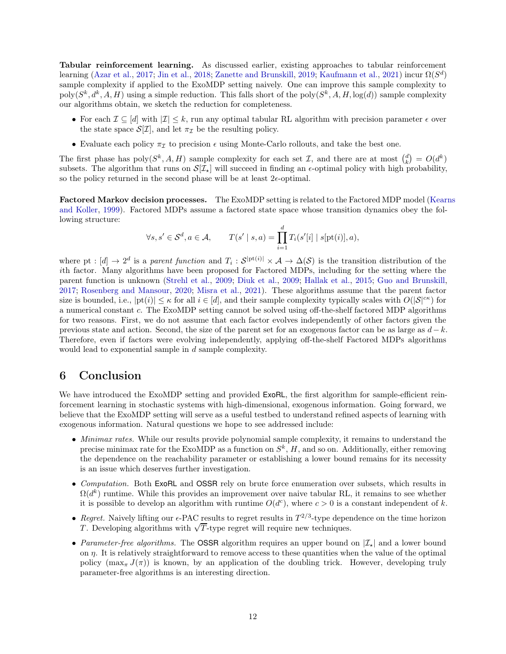Tabular reinforcement learning. As discussed earlier, existing approaches to tabular reinforcement learning [\(Azar et al.](#page-12-8), [2017](#page-12-8); [Jin et al.](#page-13-8), [2018](#page-13-8); [Zanette and Brunskill](#page-13-9), [2019](#page-13-9); [Kaufmann et al.](#page-13-10), [2021](#page-13-10)) incur  $\Omega(S^d)$ sample complexity if applied to the ExoMDP setting naively. One can improve this sample complexity to  $poly(S^k, d^k, A, H)$  using a simple reduction. This falls short of the  $poly(S^k, A, H, log(d))$  sample complexity our algorithms obtain, we sketch the reduction for completeness.

- For each  $\mathcal{I} \subseteq [d]$  with  $|\mathcal{I}| \leq k$ , run any optimal tabular RL algorithm with precision parameter  $\epsilon$  over the state space  $\mathcal{S}[\mathcal{I}]$ , and let  $\pi_{\mathcal{I}}$  be the resulting policy.
- Evaluate each policy  $\pi_{\mathcal{I}}$  to precision  $\epsilon$  using Monte-Carlo rollouts, and take the best one.

The first phase has  $\text{poly}(S^k, A, H)$  sample complexity for each set  $\mathcal{I}$ , and there are at most  $\binom{d}{k} = O(d^k)$ subsets. The algorithm that runs on  $\mathcal{S}[\mathcal{I}_{*}]$  will succeed in finding an  $\epsilon$ -optimal policy with high probability, so the policy returned in the second phase will be at least  $2\epsilon$ -optimal.

Factored Markov decision processes. [The ExoMDP setting is related to the Factored MDP model \(](#page-13-13)Kearns and Koller, [1999\)](#page-13-13). Factored MDPs assume a factored state space whose transition dynamics obey the following structure:

$$
\forall s, s' \in \mathcal{S}^d, a \in \mathcal{A}, \qquad T(s' \mid s, a) = \prod_{i=1}^d T_i(s'[i] \mid s[pt(i)], a),
$$

where pt :  $[d] \to 2^d$  is a parent function and  $T_i : S^{|\text{pt}(i)|} \times \mathcal{A} \to \Delta(\mathcal{S})$  is the transition distribution of the ith factor. Many algorithms have been proposed for Factored MDPs, including for the setting where the parent function is unknown [\(Strehl et al.](#page-13-14), [2009;](#page-13-14) [Diuk et al.](#page-12-11), [2009](#page-12-11); [Hallak et al.,](#page-12-12) [2015](#page-12-12); [Guo and Brunskill,](#page-12-13) [2017;](#page-12-13) [Rosenberg and Mansour](#page-13-11), [2020;](#page-13-11) [Misra et al.,](#page-13-6) [2021](#page-13-6)). These algorithms assume that the parent factor size is bounded, i.e.,  $|pt(i)| \leq \kappa$  for all  $i \in [d]$ , and their sample complexity typically scales with  $O(|S|^{c\kappa})$  for a numerical constant c. The ExoMDP setting cannot be solved using off-the-shelf factored MDP algorithms for two reasons. First, we do not assume that each factor evolves independently of other factors given the previous state and action. Second, the size of the parent set for an exogenous factor can be as large as  $d - k$ . Therefore, even if factors were evolving independently, applying off-the-shelf Factored MDPs algorithms would lead to exponential sample in d sample complexity.

# <span id="page-11-0"></span>6 Conclusion

We have introduced the ExoMDP setting and provided ExoRL, the first algorithm for sample-efficient reinforcement learning in stochastic systems with high-dimensional, exogenous information. Going forward, we believe that the ExoMDP setting will serve as a useful testbed to understand refined aspects of learning with exogenous information. Natural questions we hope to see addressed include:

- *Minimax rates.* While our results provide polynomial sample complexity, it remains to understand the precise minimax rate for the ExoMDP as a function on  $S^k$ , H, and so on. Additionally, either removing the dependence on the reachability parameter or establishing a lower bound remains for its necessity is an issue which deserves further investigation.
- Computation. Both ExoRL and OSSR rely on brute force enumeration over subsets, which results in  $\Omega(d^k)$  runtime. While this provides an improvement over naive tabular RL, it remains to see whether it is possible to develop an algorithm with runtime  $O(d^c)$ , where  $c > 0$  is a constant independent of k.
- Regret. Naively lifting our  $\epsilon$ -PAC results to regret results in  $T^{2/3}$ -type dependence on the time horizon T. Developing algorithms with  $\sqrt{T}$ -type regret will require new techniques.
- Parameter-free algorithms. The OSSR algorithm requires an upper bound on  $|\mathcal{I}_*|$  and a lower bound on  $\eta$ . It is relatively straightforward to remove access to these quantities when the value of the optimal policy  $(\max_{\pi} J(\pi))$  is known, by an application of the doubling trick. However, developing truly parameter-free algorithms is an interesting direction.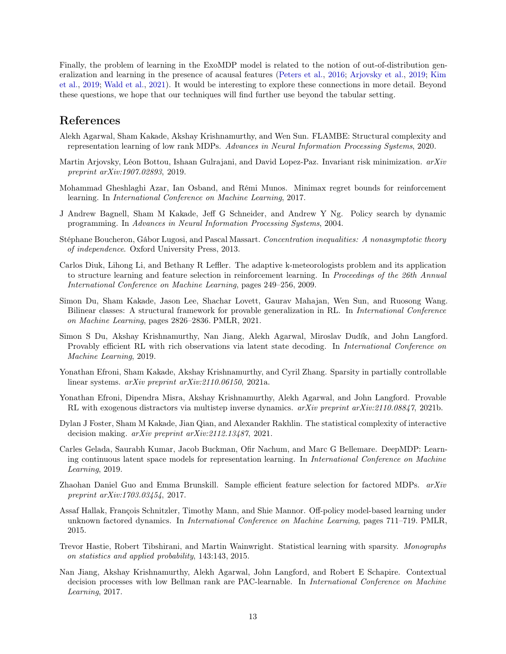Finally, the problem of learning in the ExoMDP model is related to the notion of out-of-distribution generali[zation and learning in the presence of acausal features](#page-13-16) [\(Peters et al.](#page-13-15)[,](#page-13-16) [2016](#page-13-15); [Arjovsky et al.,](#page-12-14) [2019](#page-12-14); Kim et al., [2019](#page-13-16); [Wald et al.](#page-13-17), [2021](#page-13-17)). It would be interesting to explore these connections in more detail. Beyond these questions, we hope that our techniques will find further use beyond the tabular setting.

## References

- <span id="page-12-6"></span>Alekh Agarwal, Sham Kakade, Akshay Krishnamurthy, and Wen Sun. FLAMBE: Structural complexity and representation learning of low rank MDPs. Advances in Neural Information Processing Systems, 2020.
- <span id="page-12-14"></span>Martin Arjovsky, Léon Bottou, Ishaan Gulrajani, and David Lopez-Paz. Invariant risk minimization. arXiv preprint arXiv:1907.02893, 2019.
- <span id="page-12-8"></span>Mohammad Gheshlaghi Azar, Ian Osband, and Rémi Munos. Minimax regret bounds for reinforcement learning. In International Conference on Machine Learning, 2017.
- <span id="page-12-9"></span>J Andrew Bagnell, Sham M Kakade, Jeff G Schneider, and Andrew Y Ng. Policy search by dynamic programming. In Advances in Neural Information Processing Systems, 2004.
- <span id="page-12-15"></span>Stéphane Boucheron, Gábor Lugosi, and Pascal Massart. Concentration inequalities: A nonasymptotic theory of independence. Oxford University Press, 2013.
- <span id="page-12-11"></span>Carlos Diuk, Lihong Li, and Bethany R Leffler. The adaptive k-meteorologists problem and its application to structure learning and feature selection in reinforcement learning. In Proceedings of the 26th Annual International Conference on Machine Learning, pages 249–256, 2009.
- <span id="page-12-3"></span>Simon Du, Sham Kakade, Jason Lee, Shachar Lovett, Gaurav Mahajan, Wen Sun, and Ruosong Wang. Bilinear classes: A structural framework for provable generalization in RL. In International Conference on Machine Learning, pages 2826–2836. PMLR, 2021.
- <span id="page-12-5"></span>Simon S Du, Akshay Krishnamurthy, Nan Jiang, Alekh Agarwal, Miroslav Dudík, and John Langford. Provably efficient RL with rich observations via latent state decoding. In International Conference on Machine Learning, 2019.
- <span id="page-12-10"></span>Yonathan Efroni, Sham Kakade, Akshay Krishnamurthy, and Cyril Zhang. Sparsity in partially controllable linear systems. arXiv preprint arXiv:2110.06150, 2021a.
- <span id="page-12-7"></span>Yonathan Efroni, Dipendra Misra, Akshay Krishnamurthy, Alekh Agarwal, and John Langford. Provable RL with exogenous distractors via multistep inverse dynamics. arXiv preprint arXiv:2110.08847, 2021b.
- <span id="page-12-4"></span>Dylan J Foster, Sham M Kakade, Jian Qian, and Alexander Rakhlin. The statistical complexity of interactive decision making. arXiv preprint arXiv:2112.13487, 2021.
- <span id="page-12-1"></span>Carles Gelada, Saurabh Kumar, Jacob Buckman, Ofir Nachum, and Marc G Bellemare. DeepMDP: Learning continuous latent space models for representation learning. In International Conference on Machine Learning, 2019.
- <span id="page-12-13"></span>Zhaohan Daniel Guo and Emma Brunskill. Sample efficient feature selection for factored MDPs. arXiv preprint arXiv:1703.03454, 2017.
- <span id="page-12-12"></span>Assaf Hallak, François Schnitzler, Timothy Mann, and Shie Mannor. Off-policy model-based learning under unknown factored dynamics. In International Conference on Machine Learning, pages 711–719. PMLR, 2015.
- <span id="page-12-0"></span>Trevor Hastie, Robert Tibshirani, and Martin Wainwright. Statistical learning with sparsity. Monographs on statistics and applied probability, 143:143, 2015.
- <span id="page-12-2"></span>Nan Jiang, Akshay Krishnamurthy, Alekh Agarwal, John Langford, and Robert E Schapire. Contextual decision processes with low Bellman rank are PAC-learnable. In *International Conference on Machine* Learning, 2017.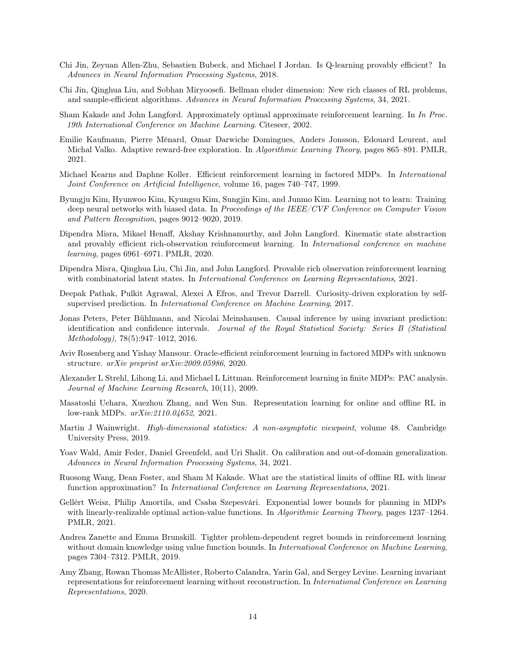- <span id="page-13-8"></span>Chi Jin, Zeyuan Allen-Zhu, Sebastien Bubeck, and Michael I Jordan. Is Q-learning provably efficient? In Advances in Neural Information Processing Systems, 2018.
- <span id="page-13-4"></span>Chi Jin, Qinghua Liu, and Sobhan Miryoosefi. Bellman eluder dimension: New rich classes of RL problems, and sample-efficient algorithms. Advances in Neural Information Processing Systems, 34, 2021.
- <span id="page-13-18"></span>Sham Kakade and John Langford. Approximately optimal approximate reinforcement learning. In In Proc. 19th International Conference on Machine Learning. Citeseer, 2002.
- <span id="page-13-10"></span>Emilie Kaufmann, Pierre Ménard, Omar Darwiche Domingues, Anders Jonsson, Edouard Leurent, and Michal Valko. Adaptive reward-free exploration. In *Algorithmic Learning Theory*, pages 865–891. PMLR, 2021.
- <span id="page-13-13"></span>Michael Kearns and Daphne Koller. Efficient reinforcement learning in factored MDPs. In International Joint Conference on Artificial Intelligence, volume 16, pages 740–747, 1999.
- <span id="page-13-16"></span>Byungju Kim, Hyunwoo Kim, Kyungsu Kim, Sungjin Kim, and Junmo Kim. Learning not to learn: Training deep neural networks with biased data. In Proceedings of the IEEE/CVF Conference on Computer Vision and Pattern Recognition, pages 9012–9020, 2019.
- <span id="page-13-5"></span>Dipendra Misra, Mikael Henaff, Akshay Krishnamurthy, and John Langford. Kinematic state abstraction and provably efficient rich-observation reinforcement learning. In International conference on machine learning, pages 6961–6971. PMLR, 2020.
- <span id="page-13-6"></span>Dipendra Misra, Qinghua Liu, Chi Jin, and John Langford. Provable rich observation reinforcement learning with combinatorial latent states. In *International Conference on Learning Representations*, 2021.
- <span id="page-13-12"></span>Deepak Pathak, Pulkit Agrawal, Alexei A Efros, and Trevor Darrell. Curiosity-driven exploration by selfsupervised prediction. In *International Conference on Machine Learning*, 2017.
- <span id="page-13-15"></span>Jonas Peters, Peter Bühlmann, and Nicolai Meinshausen. Causal inference by using invariant prediction: identification and confidence intervals. Journal of the Royal Statistical Society: Series B (Statistical Methodology), 78(5):947–1012, 2016.
- <span id="page-13-11"></span>Aviv Rosenberg and Yishay Mansour. Oracle-efficient reinforcement learning in factored MDPs with unknown structure. arXiv preprint arXiv:2009.05986, 2020.
- <span id="page-13-14"></span>Alexander L Strehl, Lihong Li, and Michael L Littman. Reinforcement learning in finite MDPs: PAC analysis. Journal of Machine Learning Research, 10(11), 2009.
- <span id="page-13-7"></span>Masatoshi Uehara, Xuezhou Zhang, and Wen Sun. Representation learning for online and offline RL in low-rank MDPs. arXiv:2110.04652, 2021.
- <span id="page-13-0"></span>Martin J Wainwright. High-dimensional statistics: A non-asymptotic viewpoint, volume 48. Cambridge University Press, 2019.
- <span id="page-13-17"></span>Yoav Wald, Amir Feder, Daniel Greenfeld, and Uri Shalit. On calibration and out-of-domain generalization. Advances in Neural Information Processing Systems, 34, 2021.
- <span id="page-13-2"></span>Ruosong Wang, Dean Foster, and Sham M Kakade. What are the statistical limits of offline RL with linear function approximation? In International Conference on Learning Representations, 2021.
- <span id="page-13-3"></span>Gellért Weisz, Philip Amortila, and Csaba Szepesvári. Exponential lower bounds for planning in MDPs with linearly-realizable optimal action-value functions. In Algorithmic Learning Theory, pages 1237–1264. PMLR, 2021.
- <span id="page-13-9"></span>Andrea Zanette and Emma Brunskill. Tighter problem-dependent regret bounds in reinforcement learning without domain knowledge using value function bounds. In *International Conference on Machine Learning*, pages 7304–7312. PMLR, 2019.
- <span id="page-13-1"></span>Amy Zhang, Rowan Thomas McAllister, Roberto Calandra, Yarin Gal, and Sergey Levine. Learning invariant representations for reinforcement learning without reconstruction. In *International Conference on Learning* Representations, 2020.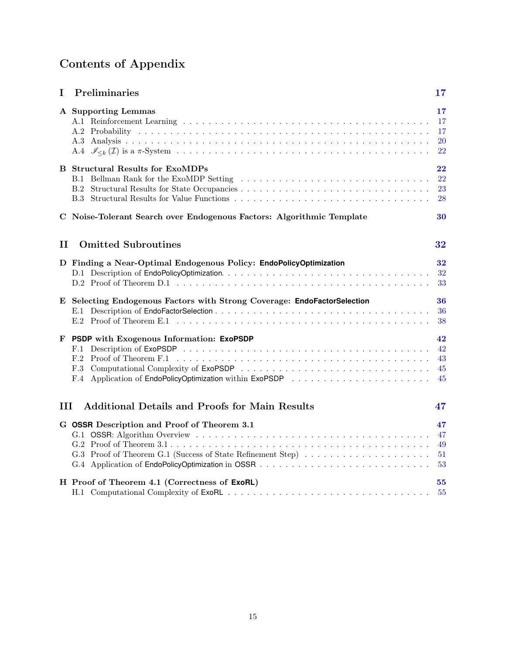# Contents of Appendix

| I   | Preliminaries                                                                                                                                                                                        | $\bf{17}$                      |
|-----|------------------------------------------------------------------------------------------------------------------------------------------------------------------------------------------------------|--------------------------------|
|     | A Supporting Lemmas                                                                                                                                                                                  | $17\,$<br>17<br>17<br>20<br>22 |
|     | <b>B</b> Structural Results for ExoMDPs<br>B.1 Bellman Rank for the ExoMDP Setting                                                                                                                   | 22<br>22<br>23<br>28           |
|     | C Noise-Tolerant Search over Endogenous Factors: Algorithmic Template                                                                                                                                | 30                             |
| П   | <b>Omitted Subroutines</b>                                                                                                                                                                           | 32                             |
|     | D Finding a Near-Optimal Endogenous Policy: EndoPolicyOptimization                                                                                                                                   | 32<br>32<br>33                 |
|     | E Selecting Endogenous Factors with Strong Coverage: EndoFactorSelection                                                                                                                             | 36<br>36<br>38                 |
| F   | <b>PSDP</b> with Exogenous Information: ExoPSDP<br>F.1<br>F.2<br>Proof of Theorem F.1 $\dots \dots \dots \dots \dots \dots \dots \dots \dots \dots \dots \dots \dots \dots \dots \dots \dots$<br>F.3 | 42<br>42<br>43<br>45<br>45     |
| III | <b>Additional Details and Proofs for Main Results</b>                                                                                                                                                | 47                             |
|     | G OSSR Description and Proof of Theorem 3.1<br>G.3 Proof of Theorem G.1 (Success of State Refinement Step)                                                                                           | 47<br>47<br>49<br>51<br>53     |
|     | H Proof of Theorem 4.1 (Correctness of ExoRL)                                                                                                                                                        | 55<br>55                       |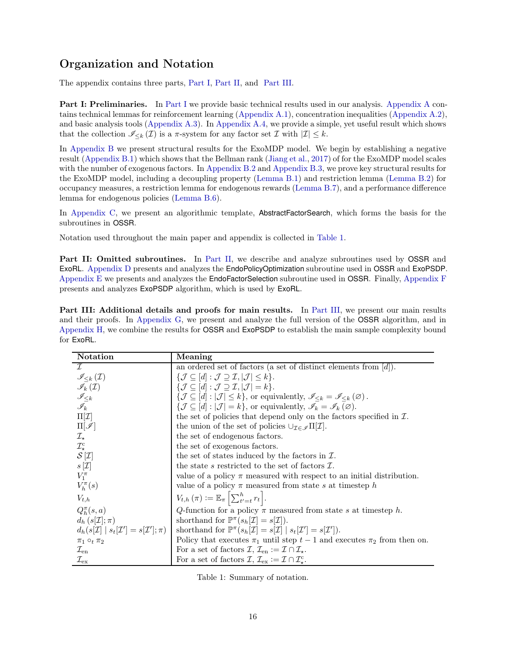# Organization and Notation

The appendix contains three parts, [Part I,](#page-16-0) [Part II,](#page-31-2) and [Part III.](#page-46-1)

[Part I](#page-16-0): Preliminaries. In Part I we provide basic technical results used in our analysis. [Appendix A](#page-16-1) contains technical lemmas for reinforcement learning [\(Appendix A.1\)](#page-16-2), concentration inequalities [\(Appendix A.2\)](#page-16-3), and basic analysis tools [\(Appendix A.3\)](#page-19-0). In [Appendix A.4,](#page-21-2) we provide a simple, yet useful result which shows that the collection  $\mathscr{I}_{\leq k}(\mathcal{I})$  is a  $\pi$ -system for any factor set  $\mathcal{I}$  with  $|\mathcal{I}| \leq k$ .

In [Appendix B](#page-21-0) we present structural results for the ExoMDP model. We begin by establishing a negative result [\(Appendix B.1\)](#page-21-1) which shows that the Bellman rank [\(Jiang et al.,](#page-12-2) [2017\)](#page-12-2) of for the ExoMDP model scales with the number of exogenous factors. In [Appendix B.2](#page-22-0) and [Appendix B.3,](#page-27-0) we prove key structural results for the ExoMDP model, including a decoupling property [\(Lemma B.1\)](#page-22-1) and restriction lemma [\(Lemma B.2\)](#page-24-0) for occupancy measures, a restriction lemma for endogenous rewards [\(Lemma B.7\)](#page-28-0), and a performance difference lemma for endogenous policies [\(Lemma B.6\)](#page-28-1).

In [Appendix C,](#page-29-0) we present an algorithmic template, AbstractFactorSearch, which forms the basis for the subroutines in OSSR.

Notation used throughout the main paper and appendix is collected in [Table 1.](#page-15-0)

Part II: Omitted subroutines. In [Part II,](#page-31-2) we describe and analyze subroutines used by OSSR and ExoRL. [Appendix D](#page-31-1) presents and analyzes the EndoPolicyOptimization subroutine used in OSSR and ExoPSDP. [Appendix E](#page-35-1) we presents and analyzes the EndoFactorSelection subroutine used in OSSR. Finally, [Appendix F](#page-41-1) presents and analyzes ExoPSDP algorithm, which is used by ExoRL.

Part III: Additional details and proofs for main results. In [Part III,](#page-46-1) we present our main results and their proofs. In [Appendix G,](#page-46-0) we present and analyze the full version of the OSSR algorithm, and in [Appendix H,](#page-54-0) we combine the results for OSSR and ExoPSDP to establish the main sample complexity bound for ExoRL.

| Notation                                                         | Meaning                                                                                                                                |
|------------------------------------------------------------------|----------------------------------------------------------------------------------------------------------------------------------------|
| $\tau$                                                           | an ordered set of factors (a set of distinct elements from $[d]$ ).                                                                    |
| $\mathscr{I}_{\leq k}\left( \mathcal{I}\right)$                  | $\{\mathcal{J} \subseteq [d]: \mathcal{J} \supseteq \mathcal{I},  \mathcal{J}  \leq k\}.$                                              |
| $\mathscr{I}_k(\mathcal{I})$                                     | $\{\mathcal{J} \subseteq [d] : \mathcal{J} \supseteq \mathcal{I},  \mathcal{J}  = k\}.$                                                |
| $\mathscr{I}_{\leq k}$                                           | $\{\mathcal{J} \subseteq [d] :  \mathcal{J}  \leq k\},\$ or equivalently, $\mathscr{I}_{\leq k} = \mathscr{I}_{\leq k}(\varnothing)$ . |
| $\mathscr{I}_k$                                                  | $\{\mathcal{J} \subseteq [d] :  \mathcal{J}  = k\},\$ or equivalently, $\mathscr{I}_k = \mathscr{I}_k(\varnothing).$                   |
| $\Pi[\mathcal{I}]$                                               | the set of policies that depend only on the factors specified in $\mathcal{I}$ .                                                       |
| $\Pi[\mathscr{I}]$                                               | the union of the set of policies $\cup_{\mathcal{I}\in\mathscr{I}}\Pi[\mathcal{I}].$                                                   |
| $\mathcal{I}_{\star}$                                            | the set of endogenous factors.                                                                                                         |
| $\mathcal{I}_{\star}^{\rm c}$                                    | the set of exogenous factors.                                                                                                          |
| $S[\mathcal{I}]$                                                 | the set of states induced by the factors in $\mathcal{I}$ .                                                                            |
| $s[\mathcal{I}]$                                                 | the state s restricted to the set of factors $\mathcal{I}$ .                                                                           |
| $V_1^{\pi}$                                                      | value of a policy $\pi$ measured with respect to an initial distribution.                                                              |
| $V_h^{\pi}(s)$                                                   | value of a policy $\pi$ measured from state s at timestep h                                                                            |
| $V_{t,h}$                                                        | $V_{t,h}(\pi) := \mathbb{E}_{\pi} \left[ \sum_{t'=t}^{h} r_t \right].$                                                                 |
| $Q_h^{\pi}(s, a)$                                                | Q-function for a policy $\pi$ measured from state s at timestep h.                                                                     |
| $d_h(s[\mathcal{I}];\pi)$                                        | shorthand for $\mathbb{P}^{\pi}(s_h[\mathcal{I}]=s[\mathcal{I}]).$                                                                     |
| $d_h(s[\mathcal{I}]   s_t[\mathcal{I}'] = s[\mathcal{I}']; \pi)$ | shorthand for $\mathbb{P}^{\pi}(s_h[\mathcal{I}] = s[\mathcal{I}]   s_t[\mathcal{I}'] = s[\mathcal{I}']).$                             |
| $\pi_1 \circ_t \pi_2$                                            | Policy that executes $\pi_1$ until step $t-1$ and executes $\pi_2$ from then on.                                                       |
| $\mathcal{I}_{en}$                                               | For a set of factors $\mathcal{I}, \mathcal{I}_{en} := \mathcal{I} \cap \mathcal{I}_{\star}.$                                          |
| $\rm \mathcal{I}_{\rm ex}$                                       | For a set of factors $\mathcal{I}, \mathcal{I}_{\text{ex}} := \mathcal{I} \cap \mathcal{I}_{\star}^{\text{c}}$ .                       |

<span id="page-15-0"></span>

|  |  | Table 1: Summary of notation. |
|--|--|-------------------------------|
|--|--|-------------------------------|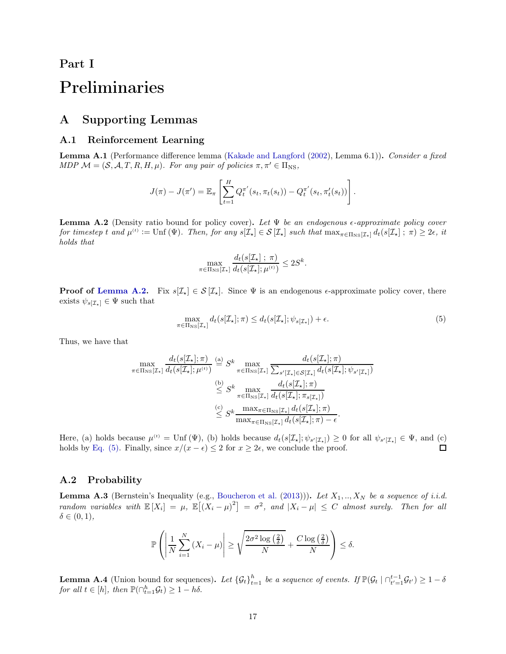# <span id="page-16-0"></span>Part I

# <span id="page-16-1"></span>Preliminaries

# <span id="page-16-2"></span>A Supporting Lemmas

#### A.1 Reinforcement Learning

Lemma A.1 (Performance difference lemma [\(Kakade and Langford](#page-13-18) [\(2002](#page-13-18)), Lemma 6.1)). Consider a fixed MDP  $\mathcal{M} = (\mathcal{S}, \mathcal{A}, T, R, H, \mu)$ . For any pair of policies  $\pi, \pi' \in \Pi_{\text{NS}}$ ,

$$
J(\pi) - J(\pi') = \mathbb{E}_{\pi} \left[ \sum_{t=1}^{H} Q_t^{\pi'}(s_t, \pi_t(s_t)) - Q_t^{\pi'}(s_t, \pi'_t(s_t)) \right].
$$

<span id="page-16-4"></span>**Lemma A.2** (Density ratio bound for policy cover). Let  $\Psi$  be an endogenous  $\epsilon$ -approximate policy cover for timestep t and  $\mu^{(t)} := \text{Unf}(\Psi)$ . Then, for any  $s[\mathcal{I}_\star] \in \mathcal{S}[\mathcal{I}_\star]$  such that  $\max_{\pi \in \Pi_{\text{NS}}[\mathcal{I}_\star]} d_t(s[\mathcal{I}_\star]; \pi) \geq 2\epsilon$ , it holds that

<span id="page-16-5"></span>
$$
\max_{\pi \in \Pi_{\text{NS}}[\mathcal{I}_{\star}]} \frac{d_t(s[\mathcal{I}_{\star}]; \pi)}{d_t(s[\mathcal{I}_{\star}]; \mu^{(t)})} \leq 2S^k.
$$

**Proof of [Lemma A.2.](#page-16-4)** Fix  $s[\mathcal{I}_\star] \in \mathcal{S}[\mathcal{I}_\star]$ . Since  $\Psi$  is an endogenous  $\epsilon$ -approximate policy cover, there exists  $\psi_{s[\mathcal{I}_{\star}]} \in \Psi$  such that

$$
\max_{\pi \in \Pi_{\text{NS}}[\mathcal{I}_{\star}]} d_t(s[\mathcal{I}_{\star}]; \pi) \le d_t(s[\mathcal{I}_{\star}]; \psi_{s[\mathcal{I}_{\star}]} ) + \epsilon. \tag{5}
$$

Thus, we have that

$$
\max_{\pi \in \Pi_{\text{NS}}[\mathcal{I}_{\star}]} \frac{d_t(s[\mathcal{I}_{\star}]; \pi)}{d_t(s[\mathcal{I}_{\star}]; \mu^{(t)})} \stackrel{\text{(a)}}{=} S^k \max_{\pi \in \Pi_{\text{NS}}[\mathcal{I}_{\star}]} \frac{d_t(s[\mathcal{I}_{\star}]; \pi)}{\sum_{s'[\mathcal{I}_{\star}] \in S[\mathcal{I}_{\star}]} d_t(s[\mathcal{I}_{\star}]; \psi_{s'[\mathcal{I}_{\star}]})}
$$
\n
$$
\stackrel{\text{(b)}}{\leq} S^k \max_{\pi \in \Pi_{\text{NS}}[\mathcal{I}_{\star}]} \frac{d_t(s[\mathcal{I}_{\star}]; \pi)}{d_t(s[\mathcal{I}_{\star}]; \pi_{s[\mathcal{I}_{\star}]})}
$$
\n
$$
\stackrel{\text{(c)}}{\leq} S^k \frac{\max_{\pi \in \Pi_{\text{NS}}[\mathcal{I}_{\star}]} d_t(s[\mathcal{I}_{\star}]; \pi)}{\max_{\pi \in \Pi_{\text{NS}}[\mathcal{I}_{\star}]} d_t(s[\mathcal{I}_{\star}]; \pi) - \epsilon}.
$$

Here, (a) holds because  $\mu^{(t)} = \text{Unf}(\Psi)$ , (b) holds because  $d_t(s[\mathcal{I}_\star]; \psi_{s'[\mathcal{I}_\star]}) \geq 0$  for all  $\psi_{s'[\mathcal{I}_\star]} \in \Psi$ , and (c) holds by [Eq. \(5\).](#page-16-5) Finally, since  $x/(x - \epsilon) \leq 2$  for  $x \geq 2\epsilon$ , we conclude the proof.

#### <span id="page-16-7"></span><span id="page-16-3"></span>A.2 Probability

**Lemma A.3** (Bernstein's Inequality (e.g., [Boucheron et al.](#page-12-15) [\(2013\)](#page-12-15))). Let  $X_1, ..., X_N$  be a sequence of i.i.d. random variables with  $\mathbb{E}[X_i] = \mu$ ,  $\mathbb{E}[(X_i - \mu)^2] = \sigma^2$ , and  $|X_i - \mu| \leq C$  almost surely. Then for all  $\delta \in (0,1),$ 

$$
\mathbb{P}\left(\left|\frac{1}{N}\sum_{i=1}^{N}\left(X_{i}-\mu\right)\right|\geq\sqrt{\frac{2\sigma^{2}\log\left(\frac{2}{\delta}\right)}{N}}+\frac{C\log\left(\frac{2}{\delta}\right)}{N}\right)\leq\delta.
$$

<span id="page-16-6"></span>**Lemma A.4** (Union bound for sequences). Let  $\{\mathcal{G}_t\}_{t=1}^h$  be a sequence of events. If  $\mathbb{P}(\mathcal{G}_t \mid \cap_{t'=1}^{t-1} \mathcal{G}_{t'}) \geq 1-\delta$ for all  $t \in [h]$ , then  $\mathbb{P}(\bigcap_{t=1}^h \mathcal{G}_t) \geq 1 - h\delta$ .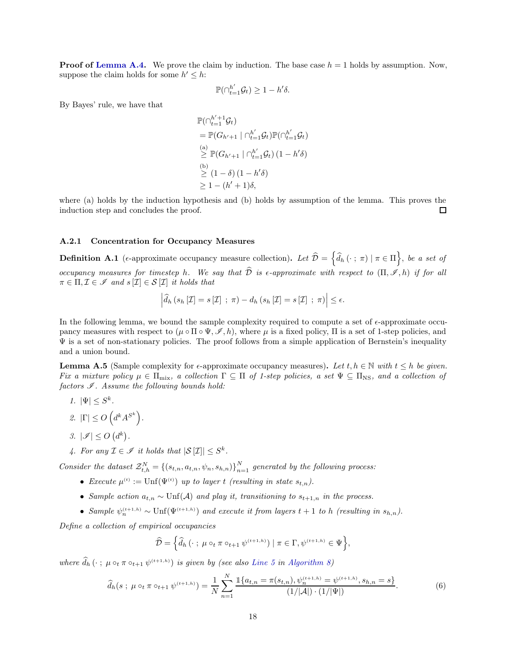**Proof of [Lemma A.4.](#page-16-6)** We prove the claim by induction. The base case  $h = 1$  holds by assumption. Now, suppose the claim holds for some  $h' \leq h$ :

$$
\mathbb{P}(\bigcap_{t=1}^{h'} \mathcal{G}_t) \geq 1 - h'\delta.
$$

By Bayes' rule, we have that

$$
\mathbb{P}(\bigcap_{t=1}^{h'}\mathcal{G}_t)
$$
\n
$$
= \mathbb{P}(G_{h'+1} \mid \bigcap_{t=1}^{h'} \mathcal{G}_t) \mathbb{P}(\bigcap_{t=1}^{h'} \mathcal{G}_t)
$$
\n(a)\n
$$
\geq \mathbb{P}(G_{h'+1} \mid \bigcap_{t=1}^{h'} \mathcal{G}_t) (1 - h' \delta)
$$
\n(b)\n
$$
\geq (1 - \delta) (1 - h' \delta)
$$
\n
$$
\geq 1 - (h' + 1)\delta,
$$

where (a) holds by the induction hypothesis and (b) holds by assumption of the lemma. This proves the induction step and concludes the proof.  $\Box$ 

#### <span id="page-17-1"></span>A.2.1 Concentration for Occupancy Measures

**Definition A.1** (e-approximate occupancy measure collection). Let  $\widehat{\mathcal{D}} = \left\{ \widehat{d}_h(\cdot; \pi) \mid \pi \in \Pi \right\}$ , be a set of occupancy measures for timestep h. We say that  $\widehat{\mathcal{D}}$  is  $\epsilon$ -approximate with respect to  $(\Pi, \mathscr{I}, h)$  if for all  $\pi \in \Pi, \mathcal{I} \in \mathscr{I}$  and  $s[\mathcal{I}] \in \mathcal{S}[\mathcal{I}]$  it holds that

$$
\left| \widehat{d}_{h} \left( s_{h}\left[\mathcal{I}\right]=s\left[\mathcal{I}\right]\ ;\ \pi \right) -d_{h} \left( s_{h}\left[\mathcal{I}\right]=s\left[\mathcal{I}\right]\ ;\ \pi \right) \right| \leq \epsilon.
$$

In the following lemma, we bound the sample complexity required to compute a set of  $\epsilon$ -approximate occupancy measures with respect to  $(\mu \circ \Pi \circ \Psi, \mathcal{I}, h)$ , where  $\mu$  is a fixed policy,  $\Pi$  is a set of 1-step policies, and  $\Psi$  is a set of non-stationary policies. The proof follows from a simple application of Bernstein's inequality and a union bound.

<span id="page-17-0"></span>**Lemma A.5** (Sample complexity for  $\epsilon$ -approximate occupancy measures). Let  $t, h \in \mathbb{N}$  with  $t \leq h$  be given. Fix a mixture policy  $\mu \in \Pi_{\text{mix}}$ , a collection  $\Gamma \subseteq \Pi$  of 1-step policies, a set  $\Psi \subseteq \Pi_{\text{NS}}$ , and a collection of factors  $I$ . Assume the following bounds hold:

- 1.  $|\Psi| \leq S^k$ .
- 2.  $|\Gamma| \le O\left(d^k A^{S^k}\right)$ .
- 3.  $|\mathscr{I}| \leq O(d^k)$ .
- 4. For any  $\mathcal{I} \in \mathscr{I}$  it holds that  $|\mathcal{S}[\mathcal{I}]| \leq S^k$ .

Consider the dataset  $\mathcal{Z}_{t,h}^N = \{(s_{t,n}, a_{t,n}, \psi_n, s_{h,n})\}_{n=1}^N$  generated by the following process:

- Execute  $\mu^{(t)} := \text{Unf}(\Psi^{(t)})$  up to layer t (resulting in state  $s_{t,n}$ ).
- Sample action  $a_{t,n} \sim \text{Unf}(\mathcal{A})$  and play it, transitioning to  $s_{t+1,n}$  in the process.
- Sample  $\psi_n^{(t+1,h)} \sim \text{Unf}(\Psi^{(t+1,h)})$  and execute it from layers  $t+1$  to h (resulting in  $s_{h,n}$ ).

Define a collection of empirical occupancies

$$
\widehat{\mathcal{D}} = \left\{ \widehat{d}_h \left( \cdot \; ; \; \mu \circ_t \pi \circ_{t+1} \psi^{(t+1,h)} \right) \; | \; \pi \in \Gamma, \psi^{(t+1,h)} \in \Psi \right\},\
$$

where  $d_h(\cdot; \mu \circ_t \pi \circ_{t+1} \psi^{(t+1,h)})$  is given by (see also [Line 5](#page-47-3) in [Algorithm 8\)](#page-47-0)

$$
\widehat{d}_h(s \; ; \; \mu \circ_t \pi \circ_{t+1} \psi^{(t+1,h)}) = \frac{1}{N} \sum_{n=1}^N \frac{\mathbb{1}\{a_{t,n} = \pi(s_{t,n}), \psi_n^{(t+1,h)} = \psi^{(t+1,h)}, s_{h,n} = s\}}{(1/|\mathcal{A}|) \cdot (1/|\Psi|)}.
$$
(6)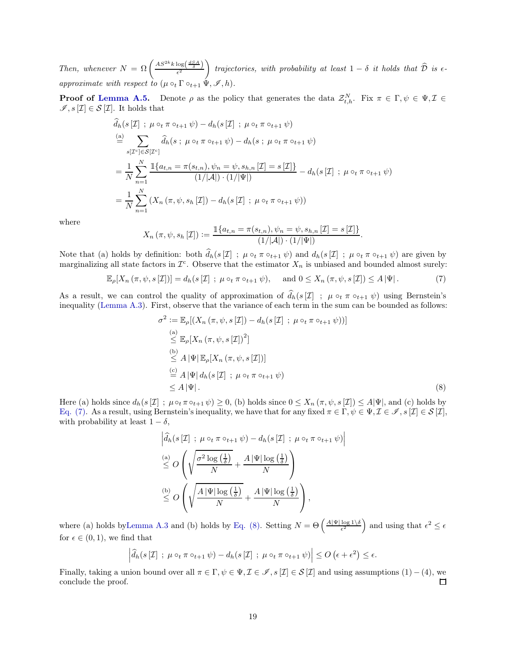Then, whenever  $N = \Omega\left(\frac{AS^{2k}k\log\left(\frac{dSA}{\delta}\right)}{\epsilon^2}\right)$  $\overline{ }$ trajectories, with probability at least  $1 - \delta$  it holds that  $\mathcal D$  is  $\epsilon$ approximate with respect to  $(\mu \circ_t \Gamma \circ_{t+1} \Psi, \mathscr{I}, h).$ 

**Proof of [Lemma A.5.](#page-17-0)** Denote  $\rho$  as the policy that generates the data  $\mathcal{Z}_{t,h}^N$ . Fix  $\pi \in \Gamma, \psi \in \Psi, \mathcal{I} \in$  $\mathscr{I}, s\left[\mathcal{I}\right] \in \mathcal{S}\left[\mathcal{I}\right]$ . It holds that

$$
\hat{d}_h(s[\mathcal{I}] \; ; \; \mu \circ_t \pi \circ_{t+1} \psi) - d_h(s[\mathcal{I}] \; ; \; \mu \circ_t \pi \circ_{t+1} \psi)
$$
\n
$$
\stackrel{(a)}{=} \sum_{s[\mathcal{I}^c] \in S[\mathcal{I}^c]} \hat{d}_h(s \; ; \; \mu \circ_t \pi \circ_{t+1} \psi) - d_h(s \; ; \; \mu \circ_t \pi \circ_{t+1} \psi)
$$
\n
$$
= \frac{1}{N} \sum_{n=1}^N \frac{\mathbb{1}\{a_{t,n} = \pi(s_{t,n}), \psi_n = \psi, s_{h,n}[\mathcal{I}] = s[\mathcal{I}]\}}{(1/|\mathcal{A}|) \cdot (1/|\Psi|)} - d_h(s[\mathcal{I}] \; ; \; \mu \circ_t \pi \circ_{t+1} \psi)
$$
\n
$$
= \frac{1}{N} \sum_{n=1}^N (X_n(\pi, \psi, s_h[\mathcal{I}]) - d_h(s[\mathcal{I}] \; ; \; \mu \circ_t \pi \circ_{t+1} \psi))
$$

where

$$
X_n (\pi, \psi, s_h [\mathcal{I}]) := \frac{\mathbb{1}\{a_{t,n} = \pi(s_{t,n}), \psi_n = \psi, s_{h,n} [\mathcal{I}] = s[\mathcal{I}]\}}{(1/|\mathcal{A}|) \cdot (1/|\Psi|)}
$$

Note that (a) holds by definition: both  $\hat{d}_h(s[\mathcal{I}] ; \mu \circ_t \pi \circ_{t+1} \psi)$  and  $d_h(s[\mathcal{I}] ; \mu \circ_t \pi \circ_{t+1} \psi)$  are given by marginalizing all state factors in  $\mathcal{I}^c$ . Observe that the estimator  $X_n$  is unbiased and bounded almost surely:

$$
\mathbb{E}_{\rho}[X_n(\pi,\psi,s[\mathcal{I}])] = d_h(s[\mathcal{I}];\ \mu \circ_t \pi \circ_{t+1} \psi), \quad \text{and } 0 \le X_n(\pi,\psi,s[\mathcal{I}]) \le A|\Psi|. \tag{7}
$$

As a result, we can control the quality of approximation of  $\hat{d}_h(s[\mathcal{I}] ; \mu \circ_t \pi \circ_{t+1} \psi)$  using Bernstein's inequality [\(Lemma A.3\)](#page-16-7). First, observe that the variance of each term in the sum can be bounded as follows:

$$
\sigma^2 := \mathbb{E}_{\rho}[(X_n(\pi, \psi, s[\mathcal{I}]) - d_h(s[\mathcal{I}]; \mu \circ_t \pi \circ_{t+1} \psi))]
$$
\n
$$
\stackrel{\text{(a)}}{\leq} \mathbb{E}_{\rho}[X_n(\pi, \psi, s[\mathcal{I}])^2]
$$
\n
$$
\stackrel{\text{(b)}}{\leq} A |\Psi| \mathbb{E}_{\rho}[X_n(\pi, \psi, s[\mathcal{I}])]
$$
\n
$$
\stackrel{\text{(c)}}{=} A |\Psi| d_h(s[\mathcal{I}]; \mu \circ_t \pi \circ_{t+1} \psi)
$$
\n
$$
\leq A |\Psi|.
$$
\n(8)

<span id="page-18-1"></span><span id="page-18-0"></span>.

Here (a) holds since  $d_h(s[\mathcal{I}] ; \mu \circ_t \pi \circ_{t+1} \psi) \geq 0$ , (b) holds since  $0 \leq X_n(\pi, \psi, s[\mathcal{I}]) \leq A|\Psi|$ , and (c) holds by [Eq. \(7\).](#page-18-0) As a result, using Bernstein's inequality, we have that for any fixed  $\pi \in \Gamma$ ,  $\psi \in \Psi$ ,  $\mathcal{I} \in \mathcal{S}$ ,  $\mathcal{I} \in \mathcal{S}[\mathcal{I}]$ , with probability at least  $1 - \delta$ ,

$$
\left| \begin{aligned}\n\hat{d}_h(s[\mathcal{I}] & \; ; \; \mu \circ_t \pi \circ_{t+1} \psi) - d_h(s[\mathcal{I}] & \; ; \; \mu \circ_t \pi \circ_{t+1} \psi)\n\end{aligned} \right|
$$
\n
$$
\stackrel{\text{(a)}}{\leq} O\left(\sqrt{\frac{\sigma^2 \log\left(\frac{1}{\delta}\right)}{N}} + \frac{A|\Psi| \log\left(\frac{1}{\delta}\right)}{N}\right)
$$
\n
$$
\stackrel{\text{(b)}}{\leq} O\left(\sqrt{\frac{A|\Psi| \log\left(\frac{1}{\delta}\right)}{N}} + \frac{A|\Psi| \log\left(\frac{1}{\delta}\right)}{N}\right),
$$

where (a) holds by Lemma A.3 and (b) holds by [Eq. \(8\).](#page-18-1) Setting  $N = \Theta\left(\frac{A|\Psi|\log 1}{\epsilon^2}\right)$  $\frac{\log 1/\delta}{\epsilon^2}$  and using that  $\epsilon^2 \leq \epsilon$ for  $\epsilon \in (0, 1)$ , we find that

$$
\left|\widehat{d}_h(s[\mathcal{I}]; \ \mu\circ_t\pi\circ_{t+1}\psi)-d_h(s[\mathcal{I}]; \ \mu\circ_t\pi\circ_{t+1}\psi)\right|\leq O\left(\epsilon+\epsilon^2\right)\leq \epsilon.
$$

Finally, taking a union bound over all  $\pi \in \Gamma$ ,  $\psi \in \Psi$ ,  $\mathcal{I} \in \mathcal{I}$ ,  $s[\mathcal{I}] \in \mathcal{S}[\mathcal{I}]$  and using assumptions  $(1) - (4)$ , we conclude the proof. conclude the proof.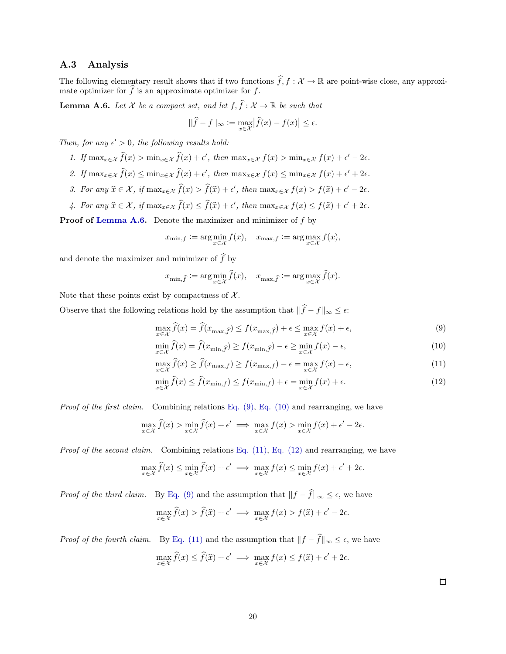#### <span id="page-19-0"></span>A.3 Analysis

<span id="page-19-1"></span>The following elementary result shows that if two functions  $\widehat{f}, f : \mathcal{X} \to \mathbb{R}$  are point-wise close, any approximate optimizer for  $\widehat{f}$  is an approximate optimizer for f.

**Lemma A.6.** Let  $\mathcal X$  be a compact set, and let  $f, \hat{f}: \mathcal X \to \mathbb R$  be such that

$$
||\widehat{f} - f||_{\infty} := \max_{x \in \mathcal{X}} |\widehat{f}(x) - f(x)| \le \epsilon.
$$

Then, for any  $\epsilon' > 0$ , the following results hold:

- 1. If  $\max_{x \in \mathcal{X}} \hat{f}(x) > \min_{x \in \mathcal{X}} \hat{f}(x) + \epsilon'$ , then  $\max_{x \in \mathcal{X}} f(x) > \min_{x \in \mathcal{X}} f(x) + \epsilon' 2\epsilon$ .
- 2. If  $\max_{x \in \mathcal{X}} \hat{f}(x) \leq \min_{x \in \mathcal{X}} \hat{f}(x) + \epsilon'$ , then  $\max_{x \in \mathcal{X}} f(x) \leq \min_{x \in \mathcal{X}} f(x) + \epsilon' + 2\epsilon$ .
- 3. For any  $\widehat{x} \in \mathcal{X}$ , if  $\max_{x \in \mathcal{X}} \widehat{f}(x) > \widehat{f}(\widehat{x}) + \epsilon'$ , then  $\max_{x \in \mathcal{X}} f(x) > f(\widehat{x}) + \epsilon' 2\epsilon$ .
- 4. For any  $\widehat{x} \in \mathcal{X}$ , if  $\max_{x \in \mathcal{X}} \widehat{f}(x) \leq \widehat{f}(\widehat{x}) + \epsilon'$ , then  $\max_{x \in \mathcal{X}} f(x) \leq f(\widehat{x}) + \epsilon' + 2\epsilon$ .

Proof of [Lemma A.6.](#page-19-1) Denote the maximizer and minimizer of f by

$$
x_{\min,f} := \arg\min_{x \in \mathcal{X}} f(x), \quad x_{\max,f} := \arg\max_{x \in \mathcal{X}} f(x),
$$

and denote the maximizer and minimizer of  $\widehat{f}$  by

$$
x_{\min,\widehat{f}}:=\arg\min_{x\in\mathcal{X}}\widehat{f}(x),\quad x_{\max,\widehat{f}}:=\arg\max_{x\in\mathcal{X}}\widehat{f}(x).
$$

Note that these points exist by compactness of  $\mathcal{X}$ .

Observe that the following relations hold by the assumption that  $||\hat{f} - f||_{\infty} \leq \epsilon$ :

$$
\max_{x \in \mathcal{X}} \widehat{f}(x) = \widehat{f}(x_{\max,\widehat{f}}) \le f(x_{\max,\widehat{f}}) + \epsilon \le \max_{x \in \mathcal{X}} f(x) + \epsilon,\tag{9}
$$

$$
\min_{x \in \mathcal{X}} \hat{f}(x) = \hat{f}(x_{\min,\hat{f}}) \ge f(x_{\min,\hat{f}}) - \epsilon \ge \min_{x \in \mathcal{X}} f(x) - \epsilon,\tag{10}
$$

$$
\max_{x \in \mathcal{X}} \widehat{f}(x) \ge \widehat{f}(x_{\max,f}) \ge f(x_{\max,f}) - \epsilon = \max_{x \in \mathcal{X}} f(x) - \epsilon,\tag{11}
$$

$$
\min_{x \in \mathcal{X}} \hat{f}(x) \le \hat{f}(x_{\min,f}) \le f(x_{\min,f}) + \epsilon = \min_{x \in \mathcal{X}} f(x) + \epsilon.
$$
\n(12)

*Proof of the first claim.* Combining relations Eq.  $(9)$ , Eq.  $(10)$  and rearranging, we have

$$
\max_{x \in \mathcal{X}} \hat{f}(x) > \min_{x \in \mathcal{X}} \hat{f}(x) + \epsilon' \implies \max_{x \in \mathcal{X}} f(x) > \min_{x \in \mathcal{X}} f(x) + \epsilon' - 2\epsilon.
$$

*Proof of the second claim.* Combining relations Eq.  $(11)$ , Eq.  $(12)$  and rearranging, we have

$$
\max_{x \in \mathcal{X}} \widehat{f}(x) \le \min_{x \in \mathcal{X}} \widehat{f}(x) + \epsilon' \implies \max_{x \in \mathcal{X}} f(x) \le \min_{x \in \mathcal{X}} f(x) + \epsilon' + 2\epsilon.
$$

*Proof of the third claim.* By [Eq. \(9\)](#page-19-2) and the assumption that  $||f - \hat{f}||_{\infty} \leq \epsilon$ , we have

$$
\max_{x \in \mathcal{X}} \widehat{f}(x) > \widehat{f}(\widehat{x}) + \epsilon' \implies \max_{x \in \mathcal{X}} f(x) > f(\widehat{x}) + \epsilon' - 2\epsilon.
$$

<span id="page-19-6"></span>*Proof of the fourth claim.* By [Eq. \(11\)](#page-19-4) and the assumption that  $||f - \hat{f}||_{\infty} \leq \epsilon$ , we have  $\max_{x \in \mathcal{X}} \widehat{f}(x) \leq \widehat{f}(\widehat{x}) + \epsilon' \implies \max_{x \in \mathcal{X}} f(x) \leq f(\widehat{x}) + \epsilon' + 2\epsilon.$ 

<span id="page-19-5"></span><span id="page-19-4"></span><span id="page-19-3"></span><span id="page-19-2"></span>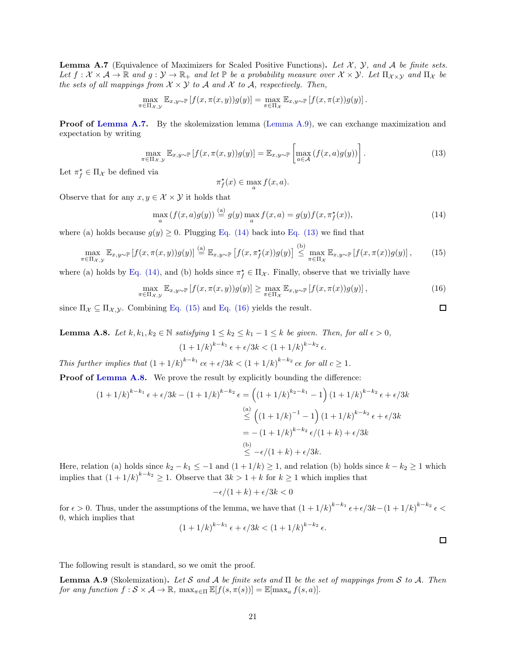**Lemma A.7** (Equivalence of Maximizers for Scaled Positive Functions). Let  $\mathcal{X}$ ,  $\mathcal{Y}$ , and  $\mathcal{A}$  be finite sets. Let  $f: \mathcal{X} \times \mathcal{A} \to \mathbb{R}$  and  $g: \mathcal{Y} \to \mathbb{R}_+$  and let  $\mathbb{P}$  be a probability measure over  $\mathcal{X} \times \mathcal{Y}$ . Let  $\Pi_{\mathcal{X} \times \mathcal{Y}}$  and  $\Pi_{\mathcal{X}}$  be the sets of all mappings from  $\mathcal{X} \times \mathcal{Y}$  to  $\mathcal{A}$  and  $\mathcal{X}$  to  $\mathcal{A}$ , respectively. Then,

$$
\max_{\pi \in \Pi_{\mathcal{X}, \mathcal{Y}}} \mathbb{E}_{x, y \sim \mathbb{P}} \left[ f(x, \pi(x, y)) g(y) \right] = \max_{\pi \in \Pi_{\mathcal{X}}} \mathbb{E}_{x, y \sim \mathbb{P}} \left[ f(x, \pi(x)) g(y) \right].
$$

**Proof of [Lemma A.7.](#page-19-6)** By the skolemization lemma [\(Lemma A.9\)](#page-20-0), we can exchange maximization and expectation by writing

$$
\max_{\pi \in \Pi_{\mathcal{X}, \mathcal{Y}}} \mathbb{E}_{x, y \sim \mathbb{P}} \left[ f(x, \pi(x, y)) g(y) \right] = \mathbb{E}_{x, y \sim \mathbb{P}} \left[ \max_{a \in \mathcal{A}} \left( f(x, a) g(y) \right) \right]. \tag{13}
$$

Let  $\pi_f^* \in \Pi_{\mathcal{X}}$  be defined via

$$
\pi^\star_f(x)\in \max_a f(x,a).
$$

Observe that for any  $x, y \in \mathcal{X} \times \mathcal{Y}$  it holds that

$$
\max_{a} \left( f(x,a)g(y) \right) \stackrel{\text{(a)}}{=} g(y) \max_{a} f(x,a) = g(y)f(x,\pi_f^*(x)),\tag{14}
$$

 $(L)$ 

where (a) holds because  $g(y) \geq 0$ . Plugging [Eq. \(14\)](#page-20-1) back into [Eq. \(13\)](#page-20-2) we find that

$$
\max_{\pi \in \Pi_{\mathcal{X}, \mathcal{Y}}} \mathbb{E}_{x, y \sim \mathbb{P}} \left[ f(x, \pi(x, y)) g(y) \right] \stackrel{\text{(a)}}{=} \mathbb{E}_{x, y \sim \mathbb{P}} \left[ f(x, \pi_f^{\star}(x)) g(y) \right] \stackrel{\text{(b)}}{\leq} \max_{\pi \in \Pi_{\mathcal{X}}} \mathbb{E}_{x, y \sim \mathbb{P}} \left[ f(x, \pi(x)) g(y) \right], \tag{15}
$$

where (a) holds by [Eq. \(14\),](#page-20-1) and (b) holds since  $\pi_f^* \in \Pi_{\mathcal{X}}$ . Finally, observe that we trivially have

$$
\max_{\pi \in \Pi_{\mathcal{X}, \mathcal{Y}}} \mathbb{E}_{x, y \sim \mathbb{P}} \left[ f(x, \pi(x, y)) g(y) \right] \ge \max_{\pi \in \Pi_{\mathcal{X}}} \mathbb{E}_{x, y \sim \mathbb{P}} \left[ f(x, \pi(x)) g(y) \right],\tag{16}
$$

<span id="page-20-5"></span>since  $\Pi_{\mathcal{X}} \subseteq \Pi_{\mathcal{X}, \mathcal{Y}}$ . Combining [Eq. \(15\)](#page-20-3) and [Eq. \(16\)](#page-20-4) yields the result.

**Lemma A.8.** Let  $k, k_1, k_2 \in \mathbb{N}$  satisfying  $1 \le k_2 \le k_1 - 1 \le k$  be given. Then, for all  $\epsilon > 0$ ,  $(1+1/k)^{k-k_1} \epsilon + \epsilon/3k < (1+1/k)^{k-k_2} \epsilon.$ 

This further implies that  $(1+1/k)^{k-k_1}$   $c\epsilon + \epsilon/3k < (1+1/k)^{k-k_2}$   $c\epsilon$  for all  $c \ge 1$ .

Proof of [Lemma A.8.](#page-20-5) We prove the result by explicitly bounding the difference:

$$
(1+1/k)^{k-k_1} \epsilon + \epsilon/3k - (1+1/k)^{k-k_2} \epsilon = \left( (1+1/k)^{k_2-k_1} - 1 \right) (1+1/k)^{k-k_2} \epsilon + \epsilon/3k
$$
  
\n
$$
\leq \left( (1+1/k)^{-1} - 1 \right) (1+1/k)^{k-k_2} \epsilon + \epsilon/3k
$$
  
\n
$$
= -(1+1/k)^{k-k_2} \epsilon/(1+k) + \epsilon/3k
$$
  
\n(b)  
\n
$$
\leq -\epsilon/(1+k) + \epsilon/3k.
$$

Here, relation (a) holds since  $k_2 - k_1 \leq -1$  and  $(1 + 1/k) \geq 1$ , and relation (b) holds since  $k - k_2 \geq 1$  which implies that  $(1 + 1/k)^{k-k_2} \ge 1$ . Observe that  $3k > 1 + k$  for  $k \ge 1$  which implies that

$$
-\epsilon/(1+k) + \epsilon/3k < 0
$$

for  $\epsilon > 0$ . Thus, under the assumptions of the lemma, we have that  $(1 + 1/k)^{k-k_1} \epsilon + \epsilon/3k - (1 + 1/k)^{k-k_2} \epsilon <$ 0, which implies that

$$
(1+1/k)^{k-k_1} \epsilon + \epsilon/3k < (1+1/k)^{k-k_2} \epsilon.
$$

 $\Box$ 

<span id="page-20-4"></span><span id="page-20-3"></span><span id="page-20-2"></span><span id="page-20-1"></span> $\Box$ 

<span id="page-20-0"></span>The following result is standard, so we omit the proof.

**Lemma A.9** (Skolemization). Let S and A be finite sets and  $\Pi$  be the set of mappings from S to A. Then for any function  $f : \mathcal{S} \times \mathcal{A} \to \mathbb{R}$ ,  $\max_{\pi \in \Pi} \mathbb{E}[f(s, \pi(s))] = \mathbb{E}[\max_a f(s, a)].$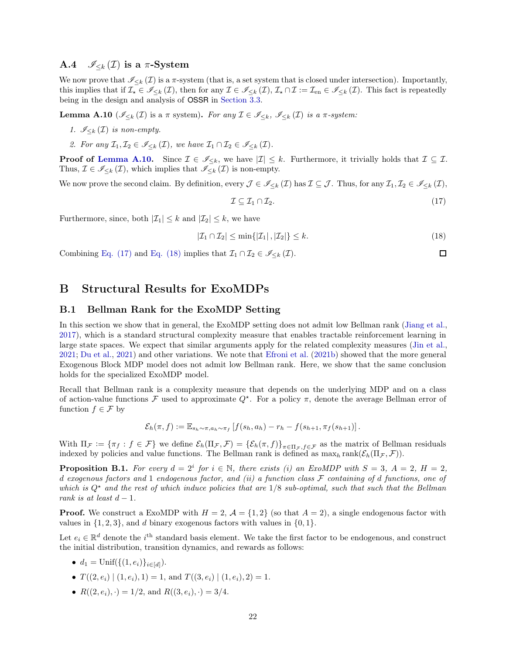#### <span id="page-21-2"></span>A.4  $\mathscr{I}_{\leq k}(\mathcal{I})$  is a  $\pi$ -System

We now prove that  $\mathscr{I}_{\leq k}(\mathcal{I})$  is a  $\pi$ -system (that is, a set system that is closed under intersection). Importantly, this implies that if  $\mathcal{I}_{\star} \in \mathscr{I}_{\leq k}(\mathcal{I})$ , then for any  $\mathcal{I} \in \mathscr{I}_{\leq k}(\mathcal{I}), \mathcal{I}_{\star} \cap \mathcal{I} := \mathcal{I}_{en} \in \mathscr{I}_{\leq k}(\mathcal{I})$ . This fact is repeatedly being in the design and analysis of OSSR in [Section 3.3.](#page-9-1)

<span id="page-21-3"></span>**Lemma A.10** ( $\mathscr{I}_{\leq k}(\mathcal{I})$  is a  $\pi$  system). For any  $\mathcal{I} \in \mathscr{I}_{\leq k}$ ,  $\mathscr{I}_{\leq k}(\mathcal{I})$  is a  $\pi$ -system:

- 1.  $\mathscr{I}_{\leq k}(\mathcal{I})$  is non-empty.
- 2. For any  $\mathcal{I}_1, \mathcal{I}_2 \in \mathscr{I}_{\leq k}(\mathcal{I})$ , we have  $\mathcal{I}_1 \cap \mathcal{I}_2 \in \mathscr{I}_{\leq k}(\mathcal{I})$ .

**Proof of [Lemma A.10.](#page-21-3)** Since  $\mathcal{I} \in \mathscr{I}_{\leq k}$ , we have  $|\mathcal{I}| \leq k$ . Furthermore, it trivially holds that  $\mathcal{I} \subseteq \mathcal{I}$ . Thus,  $\mathcal{I} \in \mathscr{I}_{\leq k}(\mathcal{I})$ , which implies that  $\mathscr{I}_{\leq k}(\mathcal{I})$  is non-empty.

We now prove the second claim. By definition, every  $\mathcal{J} \in \mathscr{I}_{\leq k}(\mathcal{I})$  has  $\mathcal{I} \subseteq \mathcal{J}$ . Thus, for any  $\mathcal{I}_1, \mathcal{I}_2 \in \mathscr{I}_{\leq k}(\mathcal{I})$ ,

$$
\mathcal{I} \subseteq \mathcal{I}_1 \cap \mathcal{I}_2. \tag{17}
$$

<span id="page-21-5"></span><span id="page-21-4"></span> $\Box$ 

Furthermore, since, both  $|\mathcal{I}_1| \leq k$  and  $|\mathcal{I}_2| \leq k$ , we have

$$
|\mathcal{I}_1 \cap \mathcal{I}_2| \le \min\{|\mathcal{I}_1|, |\mathcal{I}_2|\} \le k. \tag{18}
$$

<span id="page-21-0"></span>Combining [Eq. \(17\)](#page-21-4) and [Eq. \(18\)](#page-21-5) implies that  $\mathcal{I}_1 \cap \mathcal{I}_2 \in \mathscr{I}_{\leq k}(\mathcal{I})$ .

## <span id="page-21-1"></span>B Structural Results for ExoMDPs

#### B.1 Bellman Rank for the ExoMDP Setting

In this section we show that in general, the ExoMDP setting does not admit low Bellman rank [\(Jiang et al.,](#page-12-2) [2017\)](#page-12-2), which is a standard structural complexity measure that enables tractable reinforcement learning in large state spaces. We expect that similar arguments apply for the related complexity measures [\(Jin et al.,](#page-13-4) [2021;](#page-13-4) [Du et al.](#page-12-3), [2021](#page-12-3)) and other variations. We note that [Efroni et al.](#page-12-7) [\(2021b\)](#page-12-7) showed that the more general Exogenous Block MDP model does not admit low Bellman rank. Here, we show that the same conclusion holds for the specialized ExoMDP model.

Recall that Bellman rank is a complexity measure that depends on the underlying MDP and on a class of action-value functions  $\mathcal F$  used to approximate  $Q^*$ . For a policy  $\pi$ , denote the average Bellman error of function  $f \in \mathcal{F}$  by

$$
\mathcal{E}_h(\pi, f) := \mathbb{E}_{s_h \sim \pi, a_h \sim \pi_f} \left[ f(s_h, a_h) - r_h - f(s_{h+1}, \pi_f(s_{h+1}) \right].
$$

With  $\Pi_{\mathcal{F}} := {\pi_f : f \in \mathcal{F}}$  we define  $\mathcal{E}_h(\Pi_{\mathcal{F}}, \mathcal{F}) = {\mathcal{E}_h(\pi, f)}_{\pi \in \Pi_{\mathcal{F}}, f \in \mathcal{F}}$  as the matrix of Bellman residuals indexed by policies and value functions. The Bellman rank is defined as  $\max_h \text{rank}(\mathcal{E}_h(\Pi_{\mathcal{F}}, \mathcal{F}))$ .

**Proposition B.1.** For every  $d = 2^i$  for  $i \in \mathbb{N}$ , there exists (i) an ExoMDP with  $S = 3$ ,  $A = 2$ ,  $H = 2$ , d exogenous factors and 1 endogenous factor, and (ii) a function class  $\mathcal F$  containing of d functions, one of which is  $Q^*$  and the rest of which induce policies that are  $1/8$  sub-optimal, such that such that the Bellman rank is at least  $d-1$ .

**Proof.** We construct a ExoMDP with  $H = 2$ ,  $\mathcal{A} = \{1, 2\}$  (so that  $A = 2$ ), a single endogenous factor with values in  $\{1, 2, 3\}$ , and d binary exogenous factors with values in  $\{0, 1\}$ .

Let  $e_i \in \mathbb{R}^d$  denote the i<sup>th</sup> standard basis element. We take the first factor to be endogenous, and construct the initial distribution, transition dynamics, and rewards as follows:

- $d_1 = \text{Unif}(\{(1, e_i)\}_{i \in [d]})$ .
- $T((2, e_i) | (1, e_i), 1) = 1$ , and  $T((3, e_i) | (1, e_i), 2) = 1$ .
- $R((2, e_i), \cdot) = 1/2$ , and  $R((3, e_i), \cdot) = 3/4$ .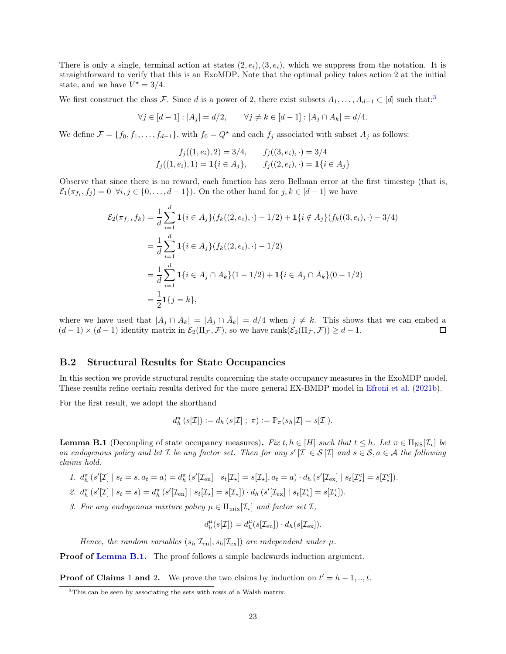There is only a single, terminal action at states  $(2, e_i), (3, e_i)$ , which we suppress from the notation. It is straightforward to verify that this is an ExoMDP. Note that the optimal policy takes action 2 at the initial state, and we have  $V^* = 3/4$ .

We first construct the class F. Since d is a power of 2, there exist subsets  $A_1, \ldots, A_{d-1} \subset [d]$  such that:<sup>3</sup>

$$
\forall j \in [d-1]: |A_j| = d/2, \qquad \forall j \neq k \in [d-1]: |A_j \cap A_k| = d/4.
$$

We define  $\mathcal{F} = \{f_0, f_1, \ldots, f_{d-1}\}\$ , with  $f_0 = Q^*$  and each  $f_j$  associated with subset  $A_j$  as follows:

$$
f_j((1, e_i), 2) = 3/4, \qquad f_j((3, e_i), \cdot) = 3/4
$$
  

$$
f_j((1, e_i), 1) = \mathbf{1}\{i \in A_j\}, \qquad f_j((2, e_i), \cdot) = \mathbf{1}\{i \in A_j\}
$$

Observe that since there is no reward, each function has zero Bellman error at the first timestep (that is,  $\mathcal{E}_1(\pi_{f_i}, f_j) = 0 \ \forall i, j \in \{0, \ldots, d-1\}$ . On the other hand for  $j, k \in [d-1]$  we have

$$
\mathcal{E}_2(\pi_{f_j}, f_k) = \frac{1}{d} \sum_{i=1}^d \mathbf{1} \{ i \in A_j \} (f_k((2, e_i), \cdot) - 1/2) + \mathbf{1} \{ i \notin A_j \} (f_k((3, e_i), \cdot) - 3/4)
$$
  

$$
= \frac{1}{d} \sum_{i=1}^d \mathbf{1} \{ i \in A_j \} (f_k((2, e_i), \cdot) - 1/2)
$$
  

$$
= \frac{1}{d} \sum_{i=1}^d \mathbf{1} \{ i \in A_j \cap A_k \} (1 - 1/2) + \mathbf{1} \{ i \in A_j \cap \bar{A}_k \} (0 - 1/2)
$$
  

$$
= \frac{1}{2} \mathbf{1} \{ j = k \},
$$

where we have used that  $|A_j \cap A_k| = |A_j \cap \overline{A}_k| = d/4$  when  $j \neq k$ . This shows that we can embed a  $(d-1) \times (d-1)$  identity matrix in  $\mathcal{E}_2(\Pi_{\mathcal{F}}, \mathcal{F})$ , so we have rank $(\mathcal{E}_2(\Pi_{\mathcal{F}}, \mathcal{F})) \geq d-1$ .

#### <span id="page-22-0"></span>B.2 Structural Results for State Occupancies

In this section we provide structural results concerning the state occupancy measures in the ExoMDP model. These results refine certain results derived for the more general EX-BMDP model in [Efroni et al.](#page-12-7) [\(2021b\)](#page-12-7).

For the first result, we adopt the shorthand

$$
d_h^{\pi}\left(s[\mathcal{I}]\right) := d_h\left(s[\mathcal{I}]\,;\ \pi\right) := \mathbb{P}_{\pi}\left(s_h[\mathcal{I}] = s[\mathcal{I}]\right).
$$

<span id="page-22-1"></span>**Lemma B.1** (Decoupling of state occupancy measures). Fix t,  $h \in [H]$  such that  $t \leq h$ . Let  $\pi \in \Pi_{\text{NS}}[\mathcal{I}_\star]$  be an endogenous policy and let  $\mathcal I$  be any factor set. Then for any  $s'[\mathcal I] \in \mathcal S[\mathcal I]$  and  $s \in \mathcal S, a \in \mathcal A$  the following claims hold.

- 1.  $d_h^{\pi}(s'[L] | s_t = s, a_t = a) = d_h^{\pi}(s'[L_{en}] | s_t[L_{\star}] = s[L_{\star}], a_t = a) \cdot d_h(s'[L_{ex}] | s_t[L_{\star}^c] = s[L_{\star}^c]).$
- 2.  $d_h^{\pi}(s'[L] | s_t = s) = d_h^{\pi}(s'[L_{en}] | s_t[L_{\star}] = s[L_{\star}]) \cdot d_h(s'[L_{ex}] | s_t[L_{\star}^c] = s[L_{\star}^c]).$
- 3. For any endogenous mixture policy  $\mu \in \Pi_{\text{mix}}[\mathcal{I}_{\star}]$  and factor set  $\mathcal{I}_{\star}$ ,

$$
d_h^{\mu}(s[\mathcal{I}])=d_h^{\mu}(s[\mathcal{I}_{\text{en}}])\cdot d_h(s[\mathcal{I}_{\text{ex}}]).
$$

Hence, the random variables  $(s_h[\mathcal{I}_{en}], s_h[\mathcal{I}_{ex}])$  are independent under  $\mu$ .

**Proof of [Lemma B.1.](#page-22-1)** The proof follows a simple backwards induction argument.

**Proof of Claims 1 and 2.** We prove the two claims by induction on  $t' = h - 1, ..., t$ .

<sup>&</sup>lt;sup>3</sup>This can be seen by associating the sets with rows of a Walsh matrix.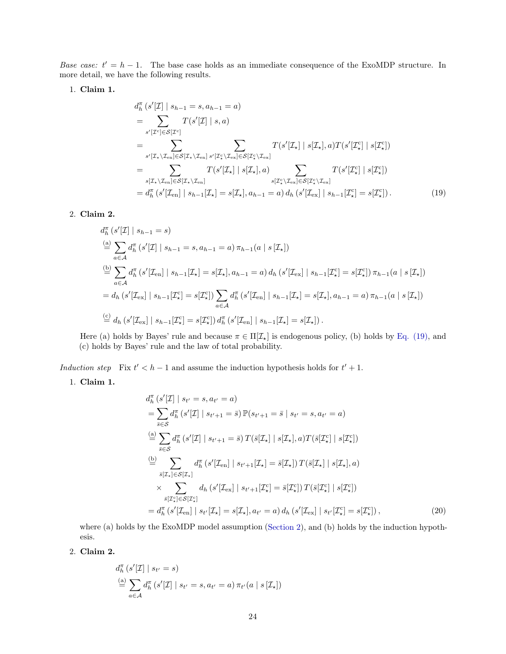Base case:  $t' = h - 1$ . The base case holds as an immediate consequence of the ExoMDP structure. In more detail, we have the following results.

1. Claim 1.

<span id="page-23-0"></span>
$$
d_h^{\pi}(s'[L] \mid s_{h-1} = s, a_{h-1} = a)
$$
  
\n
$$
= \sum_{s'[L^{c}] \in S[\mathcal{I}^{c}]}\n\begin{aligned}\nT(s'[L] \mid s, a) \\
\qquad &= \sum_{s'[L_{\star} \setminus \mathcal{I}_{en}] \in S[\mathcal{I}_{\star} \setminus \mathcal{I}_{en}]} \sum_{s'[L^{c}_{\star} \setminus \mathcal{I}_{ex}] \in S[\mathcal{I}_{\star} \setminus \mathcal{I}_{ex}]} \n\end{aligned}\n\begin{aligned}\nT(s'[L_{\star}] \mid s[L_{\star}], a) T(s'[L^{c}_{\star}] \mid s[L^{c}_{\star}]) \\
\qquad &= \sum_{s[\mathcal{I}_{\star} \setminus \mathcal{I}_{en}] \in S[\mathcal{I}_{\star} \setminus \mathcal{I}_{en}]} T(s'[L_{\star}] \mid s[L_{\star}], a) \sum_{s[\mathcal{I}_{\star}^{c} \setminus \mathcal{I}_{ex}] \in S[\mathcal{I}_{\star}^{c} \setminus \mathcal{I}_{ex}]} T(s'[L^{c}_{\star}] \mid s[L^{c}_{\star}]) \\
&= d_h^{\pi}(s'[L_{en}] \mid s_{h-1}[\mathcal{I}_{\star}] = s[\mathcal{I}_{\star}], a_{h-1} = a) d_h(s'[L_{ex}] \mid s_{h-1}[\mathcal{I}_{\star}^{c}] = s[\mathcal{I}_{\star}^{c}]).\n\end{aligned} \tag{19}
$$

#### 2. Claim 2.

$$
d_h^{\pi} (s'[L] | s_{h-1} = s)
$$
  
\n
$$
\stackrel{(a)}{=} \sum_{a \in A} d_h^{\pi} (s'[L] | s_{h-1} = s, a_{h-1} = a) \pi_{h-1}(a | s[L_{\star}])
$$
  
\n
$$
\stackrel{(b)}{=} \sum_{a \in A} d_h^{\pi} (s'[L_{en}] | s_{h-1}[L_{\star}] = s[L_{\star}], a_{h-1} = a) d_h (s'[L_{ex}] | s_{h-1}[L_{\star}^c] = s[L_{\star}^c]) \pi_{h-1}(a | s[L_{\star}])
$$
  
\n
$$
= d_h (s'[L_{ex}] | s_{h-1}[L_{\star}^c] = s[L_{\star}^c]) \sum_{a \in A} d_h^{\pi} (s'[L_{en}] | s_{h-1}[L_{\star}] = s[L_{\star}], a_{h-1} = a) \pi_{h-1}(a | s[L_{\star}])
$$
  
\n
$$
\stackrel{(c)}{=} d_h (s'[L_{ex}] | s_{h-1}[L_{\star}^c] = s[L_{\star}^c]) d_h^{\pi} (s'[L_{en}] | s_{h-1}[L_{\star}] = s[L_{\star}]).
$$

Here (a) holds by Bayes' rule and because  $\pi \in \Pi[\mathcal{I}_{\star}]$  is endogenous policy, (b) holds by [Eq. \(19\),](#page-23-0) and (c) holds by Bayes' rule and the law of total probability.

Induction step Fix  $t' < h - 1$  and assume the induction hypothesis holds for  $t' + 1$ .

1. Claim 1.

<span id="page-23-1"></span>
$$
d_h^{\pi} (s'[L] \mid s_{t'} = s, a_{t'} = a)
$$
  
\n
$$
= \sum_{\tilde{s} \in S} d_h^{\pi} (s'[L] \mid s_{t'+1} = \tilde{s}) \mathbb{P}(s_{t'+1} = \tilde{s} \mid s_{t'} = s, a_{t'} = a)
$$
  
\n
$$
\stackrel{(a)}{=} \sum_{\tilde{s} \in S} d_h^{\pi} (s'[L] \mid s_{t'+1} = \tilde{s}) T(\tilde{s}[L_{\star}] \mid s[L_{\star}], a) T(\tilde{s}[L_{\star}^c] \mid s[L_{\star}^c])
$$
  
\n
$$
\stackrel{(b)}{=} \sum_{\tilde{s}[L_{\star}] \in S[L_{\star}]} d_h^{\pi} (s'[L_{en}] \mid s_{t'+1}[L_{\star}] = \tilde{s}[L_{\star}]) T(\tilde{s}[L_{\star}] \mid s[L_{\star}], a)
$$
  
\n
$$
\times \sum_{\tilde{s}[L_{\star}^c] \in S[L_{\star}^c]} d_h (s'[L_{ex}] \mid s_{t'+1}[L_{\star}^c] = \tilde{s}[L_{\star}^c]) T(\tilde{s}[L_{\star}^c] \mid s[L_{\star}^c])
$$
  
\n
$$
= d_h^{\pi} (s'[L_{en}] \mid s_{t'}[L_{\star}] = s[L_{\star}], a_{t'} = a) d_h (s'[L_{ex}] \mid s_{t'}[L_{\star}^c] = s[L_{\star}^c]),
$$
\n(20)

where (a) holds by the ExoMDP model assumption [\(Section 2\)](#page-1-0), and (b) holds by the induction hypothesis.

2. Claim 2.

$$
d_h^{\pi} (s'[L] | s_{t'} = s)
$$
  
\n
$$
\stackrel{\text{(a)}}{=} \sum_{a \in A} d_h^{\pi} (s'[L] | s_{t'} = s, a_{t'} = a) \pi_{t'} (a | s [L_{\star}])
$$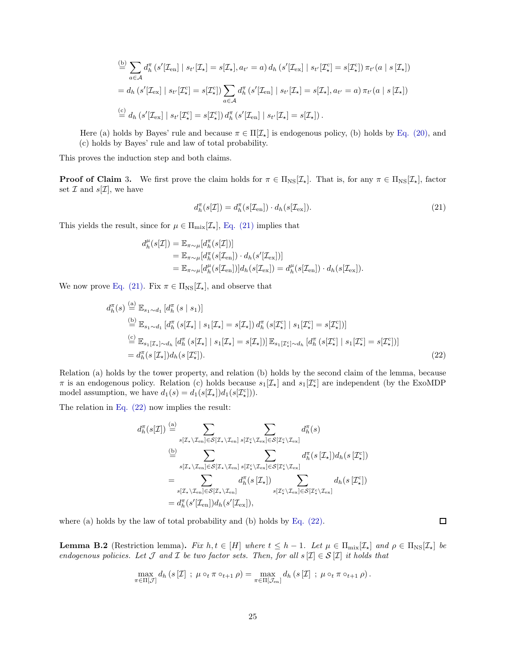$$
\stackrel{\text{(b)}}{=} \sum_{a \in \mathcal{A}} d_h^{\pi} \left( s'[ \mathcal{I}_{en}] \mid s_{t'}[\mathcal{I}_{\star}] = s[\mathcal{I}_{\star}], a_{t'} = a \right) d_h \left( s'[\mathcal{I}_{ex}] \mid s_{t'}[\mathcal{I}_{\star}^c] = s[\mathcal{I}_{\star}^c] \right) \pi_{t'}(a \mid s[\mathcal{I}_{\star}])
$$
\n
$$
= d_h \left( s'[\mathcal{I}_{ex}] \mid s_{t'}[\mathcal{I}_{\star}^c] = s[\mathcal{I}_{\star}^c] \right) \sum_{a \in \mathcal{A}} d_h^{\pi} \left( s'[\mathcal{I}_{en}] \mid s_{t'}[\mathcal{I}_{\star}] = s[\mathcal{I}_{\star}], a_{t'} = a \right) \pi_{t'}(a \mid s[\mathcal{I}_{\star}])
$$
\n
$$
\stackrel{\text{(c)}}{=} d_h \left( s'[\mathcal{I}_{ex}] \mid s_{t'}[\mathcal{I}_{\star}^c] = s[\mathcal{I}_{\star}^c] \right) d_h^{\pi} \left( s'[\mathcal{I}_{en}] \mid s_{t'}[\mathcal{I}_{\star}] = s[\mathcal{I}_{\star}]\right).
$$

Here (a) holds by Bayes' rule and because  $\pi \in \Pi[\mathcal{I}_\star]$  is endogenous policy, (b) holds by [Eq. \(20\),](#page-23-1) and (c) holds by Bayes' rule and law of total probability.

This proves the induction step and both claims.

**Proof of Claim 3.** We first prove the claim holds for  $\pi \in \Pi_{\text{NS}}[\mathcal{I}_\star]$ . That is, for any  $\pi \in \Pi_{\text{NS}}[\mathcal{I}_\star]$ , factor set  $\mathcal I$  and  $s[\mathcal I]$ , we have

<span id="page-24-1"></span>
$$
d_h^{\pi}(s[\mathcal{I}]) = d_h^{\pi}(s[\mathcal{I}_{en}]) \cdot d_h(s[\mathcal{I}_{ex}]).
$$
\n(21)

This yields the result, since for  $\mu \in \Pi_{\text{mix}}[\mathcal{I}_{\star}]$ , [Eq. \(21\)](#page-24-1) implies that

$$
d_h^{\mu}(s[\mathcal{I}]) = \mathbb{E}_{\pi \sim \mu}[d_h^{\pi}(s[\mathcal{I}])] \n= \mathbb{E}_{\pi \sim \mu}[d_h^{\pi}(s[\mathcal{I}_{en}]) \cdot d_h(s'[\mathcal{I}_{ex}])] \n= \mathbb{E}_{\pi \sim \mu}[d_h^{\mu}(s[\mathcal{I}_{en}])] d_h(s[\mathcal{I}_{ex}]) = d_h^{\mu}(s[\mathcal{I}_{en}]) \cdot d_h(s[\mathcal{I}_{ex}]).
$$

We now prove [Eq. \(21\).](#page-24-1) Fix  $\pi \in \Pi_{\text{NS}}[\mathcal{I}_{\star}]$ , and observe that

$$
d_h^{\pi}(s) \stackrel{\text{(a)}}{=} \mathbb{E}_{s_1 \sim d_1} \left[ d_h^{\pi}(s \mid s_1) \right]
$$
\n
$$
\stackrel{\text{(b)}}{=} \mathbb{E}_{s_1 \sim d_1} \left[ d_h^{\pi}(s[\mathcal{I}_\star] \mid s_1[\mathcal{I}_\star] = s[\mathcal{I}_\star]) d_h^{\pi}(s[\mathcal{I}_\star] \mid s_1[\mathcal{I}_\star] = s[\mathcal{I}_\star]) \right]
$$
\n
$$
\stackrel{\text{(c)}}{=} \mathbb{E}_{s_1[\mathcal{I}_\star] \sim d_h} \left[ d_h^{\pi}(s[\mathcal{I}_\star] \mid s_1[\mathcal{I}_\star] = s[\mathcal{I}_\star]) \right] \mathbb{E}_{s_1[\mathcal{I}_\star] \sim d_h} \left[ d_h^{\pi}(s[\mathcal{I}_\star] \mid s_1[\mathcal{I}_\star] = s[\mathcal{I}_\star]) \right]
$$
\n
$$
= d_h^{\pi}(s[\mathcal{I}_\star]) d_h(s[\mathcal{I}_\star]). \tag{22}
$$

Relation (a) holds by the tower property, and relation (b) holds by the second claim of the lemma, because  $\pi$  is an endogenous policy. Relation (c) holds because  $s_1[\mathcal{I}_\star]$  and  $s_1[\mathcal{I}_\star]$  are independent (by the ExoMDP model assumption, we have  $d_1(s) = d_1(s[\mathcal{I}_{\star}])d_1(s[\mathcal{I}_{\star}^c])$ .

The relation in [Eq. \(22\)](#page-24-2) now implies the result:

$$
d_h^{\pi}(s[\mathcal{I}]) \stackrel{\text{(a)}}{=} \sum_{s[\mathcal{I}_{\star} \setminus \mathcal{I}_{en}] \in \mathcal{S}[\mathcal{I}_{\star} \setminus \mathcal{I}_{en}]} \sum_{s[\mathcal{I}_{\star} \setminus \mathcal{I}_{en}]} d_h^{\pi}(s)
$$
\n
$$
\stackrel{\text{(b)}}{=} \sum_{s[\mathcal{I}_{\star} \setminus \mathcal{I}_{en}] \in \mathcal{S}[\mathcal{I}_{\star} \setminus \mathcal{I}_{en}]} \sum_{s[\mathcal{I}_{\star} \setminus \mathcal{I}_{en}]} d_h^{\pi}(s[\mathcal{I}_{\star}]) d_h(s[\mathcal{I}_{\star}^c])
$$
\n
$$
= \sum_{s[\mathcal{I}_{\star} \setminus \mathcal{I}_{en}] \in \mathcal{S}[\mathcal{I}_{\star} \setminus \mathcal{I}_{en}]} d_h^{\pi}(s[\mathcal{I}_{\star}]) \sum_{s[\mathcal{I}_{\star} \setminus \mathcal{I}_{en}]} d_h(s[\mathcal{I}_{\star}])
$$
\n
$$
= d_h^{\pi}(s'[\mathcal{I}_{en}]) d_h(s'[\mathcal{I}_{ex}]),
$$

<span id="page-24-0"></span>where (a) holds by the law of total probability and (b) holds by [Eq. \(22\).](#page-24-2)

**Lemma B.2** (Restriction lemma). Fix  $h, t \in [H]$  where  $t \leq h - 1$ . Let  $\mu \in \Pi_{mix}[L_{\star}]$  and  $\rho \in \Pi_{NS}[L_{\star}]$  be endogenous policies. Let  $\mathcal J$  and  $\mathcal I$  be two factor sets. Then, for all  $s[\mathcal I] \in \mathcal S[\mathcal I]$  it holds that

$$
\max_{\pi \in \Pi[\mathcal{J}]} d_h(s[\mathcal{I}]; \mu \circ_t \pi \circ_{t+1} \rho) = \max_{\pi \in \Pi[\mathcal{J}_{en}]} d_h(s[\mathcal{I}]; \mu \circ_t \pi \circ_{t+1} \rho).
$$

<span id="page-24-2"></span> $\Box$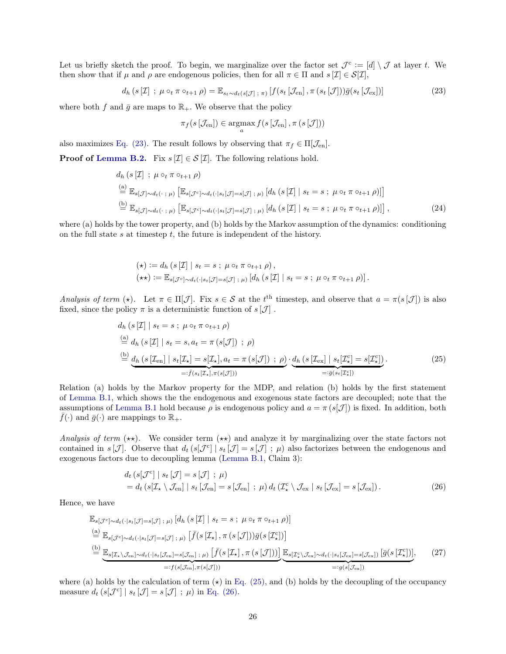Let us briefly sketch the proof. To begin, we marginalize over the factor set  $\mathcal{J}^c := [d] \setminus \mathcal{J}$  at layer t. We then show that if  $\mu$  and  $\rho$  are endogenous policies, then for all  $\pi \in \Pi$  and  $s[\mathcal{I}] \in \mathcal{S}[\mathcal{I}],$ 

$$
d_h\left(s\left[\mathcal{I}\right];\ \mu\circ_t\pi\circ_{t+1}\rho\right)=\mathbb{E}_{s_t\sim d_t\left(s\left[\mathcal{J}\right];\ \pi\right)}\left[f\left(s_t\left[\mathcal{J}_{\text{en}}\right],\pi\left(s_t\left[\mathcal{J}\right]\right)\right)\bar{g}\left(s_t\left[\mathcal{J}_{\text{ex}}\right]\right)\right]
$$
(23)

where both f and  $\bar{g}$  are maps to  $\mathbb{R}_+$ . We observe that the policy

<span id="page-25-4"></span><span id="page-25-0"></span>
$$
\pi_f(s\left[\mathcal{J}_{en}\right]) \in \operatorname*{argmax}_{a} f(s\left[\mathcal{J}_{en}\right], \pi\left(s\left[\mathcal{J}\right]\right))
$$

also maximizes [Eq. \(23\).](#page-25-0) The result follows by observing that  $\pi_f \in \Pi[\mathcal{J}_{en}].$ 

**Proof of [Lemma B.2.](#page-24-0)** Fix  $s[\mathcal{I}] \in \mathcal{S}[\mathcal{I}]$ . The following relations hold.

$$
d_h\left(s\left[\mathcal{I}\right] \; ; \; \mu \circ_t \pi \circ_{t+1} \rho\right)
$$
\n
$$
\stackrel{\text{(a)}}{=} \mathbb{E}_{s[\mathcal{J}]\sim d_t(\cdot;\;\mu)}\left[\mathbb{E}_{s[\mathcal{J}^c]\sim d_t(\cdot|s_t[\mathcal{J}]=s[\mathcal{J}];\;\mu)}\left[d_h\left(s\left[\mathcal{I}\right] \; | \; s_t = s \; ; \; \mu \circ_t \pi \circ_{t+1} \rho\right)\right]\right]
$$
\n
$$
\stackrel{\text{(b)}}{=} \mathbb{E}_{s[\mathcal{J}]\sim d_t(\cdot;\;\mu)}\left[\mathbb{E}_{s[\mathcal{J}^c]\sim d_t(\cdot|s_t[\mathcal{J}]=s[\mathcal{J}];\;\mu)}\left[d_h\left(s\left[\mathcal{I}\right] \; | \; s_t = s \; ; \; \mu \circ_t \pi \circ_{t+1} \rho\right)\right]\right],\tag{24}
$$

where (a) holds by the tower property, and (b) holds by the Markov assumption of the dynamics: conditioning on the full state  $s$  at timestep  $t$ , the future is independent of the history.

<span id="page-25-1"></span>
$$
(\star) := d_h (s[\mathcal{I}] | s_t = s ; \mu \circ_t \pi \circ_{t+1} \rho), \n(\star \star) := \mathbb{E}_{s[\mathcal{J}^c] \sim d_t(\cdot | s_t[\mathcal{J}] = s[\mathcal{J}] ; \mu)} [d_h (s[\mathcal{I}] | s_t = s ; \mu \circ_t \pi \circ_{t+1} \rho)].
$$

Analysis of term ( $\star$ ). Let  $\pi \in \Pi[\mathcal{J}]$ . Fix  $s \in \mathcal{S}$  at the t<sup>th</sup> timestep, and observe that  $a = \pi(s[\mathcal{J}])$  is also fixed, since the policy  $\pi$  is a deterministic function of  $s[\mathcal{J}]$ .

$$
d_h\left(s\left[\mathcal{I}\right] \mid s_t = s \; ; \; \mu \circ_t \pi \circ_{t+1} \rho\right)
$$
\n
$$
\stackrel{\text{(a)}}{=} d_h\left(s\left[\mathcal{I}\right] \mid s_t = s, a_t = \pi\left(s\left[\mathcal{J}\right]\right) \; ; \; \rho\right)
$$
\n
$$
\stackrel{\text{(b)}}{=} \underbrace{d_h\left(s\left[\mathcal{I}_{en}\right] \mid s_t\left[\mathcal{I}_\star\right] = s\left[\mathcal{I}_\star\right], a_t = \pi\left(s\left[\mathcal{J}\right]\right) \; ; \; \rho\right)}_{=:\bar{f}(s_t\left[\mathcal{I}_\star\right], \pi\left(s\left[\mathcal{J}\right]\right))} \cdot \underbrace{d_h\left(s\left[\mathcal{I}_{ex}\right] \mid s_t\left[\mathcal{I}_\star\right] = s\left[\mathcal{I}_\star\right]\right)}_{=:\bar{g}(s_t\left[\mathcal{I}_\star\right])}.\tag{25}
$$

Relation (a) holds by the Markov property for the MDP, and relation (b) holds by the first statement of [Lemma B.1,](#page-22-1) which shows the the endogenous and exogenous state factors are decoupled; note that the assumptions of [Lemma B.1](#page-22-1) hold because  $\rho$  is endogenous policy and  $a = \pi (s[\mathcal{J}])$  is fixed. In addition, both  $\bar{f}(\cdot)$  and  $\bar{g}(\cdot)$  are mappings to  $\mathbb{R}_+$ .

Analysis of term  $(\star\star)$ . We consider term  $(\star\star)$  and analyze it by marginalizing over the state factors not contained in  $s[\mathcal{J}]$ . Observe that  $d_t(s[\mathcal{J}^c] | s_t[\mathcal{J}] = s[\mathcal{J}] ; \mu)$  also factorizes between the endogenous and exogenous factors due to decoupling lemma [\(Lemma B.1,](#page-22-1) Claim 3):

<span id="page-25-3"></span><span id="page-25-2"></span>
$$
d_t \left( s[\mathcal{J}^c] \mid s_t[\mathcal{J}] = s[\mathcal{J}] ; \mu \right)
$$
  
=  $d_t \left( s[\mathcal{I}_\star \setminus \mathcal{J}_{en}] \mid s_t[\mathcal{J}_{en}] = s[\mathcal{J}_{en}] ; \mu \right) d_t \left( \mathcal{I}_\star^c \setminus \mathcal{J}_{ex} \mid s_t[\mathcal{J}_{ex}] = s[\mathcal{J}_{ex}] \right).$  (26)

Hence, we have

$$
\mathbb{E}_{s[\mathcal{J}^c] \sim d_t(\cdot | s_t[\mathcal{J}] = s[\mathcal{J}]; \mu)} [d_h(s[\mathcal{I}] | s_t = s; \mu \circ_t \pi \circ_{t+1} \rho)]
$$
\n
$$
\stackrel{(a)}{=} \mathbb{E}_{s[\mathcal{J}^c] \sim d_t(\cdot | s_t[\mathcal{J}] = s[\mathcal{J}]; \mu)} [\bar{f}(s[\mathcal{I}_\star], \pi(s[\mathcal{J}]))\bar{g}(s[\mathcal{I}_\star])]
$$
\n
$$
\stackrel{(b)}{=} \underbrace{\mathbb{E}_{s[\mathcal{I}_\star \setminus \mathcal{J}_{en}] \sim d_t(\cdot | s_t[\mathcal{J}_{en}] = s[\mathcal{J}_{en}]; \mu)} [\bar{f}(s[\mathcal{I}_\star], \pi(s[\mathcal{J}]))] \underbrace{\mathbb{E}_{s[\mathcal{I}_\star \setminus \mathcal{J}_{ex}] \sim d_t(\cdot | s_t[\mathcal{J}_{ex}] = s[\mathcal{J}_{ex}])} [\bar{g}(s[\mathcal{I}_\star^c])]}_{=:f(s[\mathcal{J}_{en}], \pi(s[\mathcal{J}]))} \underbrace{\mathbb{E}_{s[\mathcal{I}_\star \setminus \mathcal{J}_{ex}] \sim d_t(\cdot | s_t[\mathcal{J}_{ex}] = s[\mathcal{J}_{ex}])} [\bar{g}(s[\mathcal{I}_\star^c])]}_{=:g(s[\mathcal{J}_{ex}])},
$$
\n(27)

where (a) holds by the calculation of term  $(\star)$  in [Eq. \(25\),](#page-25-1) and (b) holds by the decoupling of the occupancy measure  $d_t(s[\mathcal{J}^c] | s_t[\mathcal{J}] = s[\mathcal{J}] ; \mu)$  in [Eq. \(26\).](#page-25-2)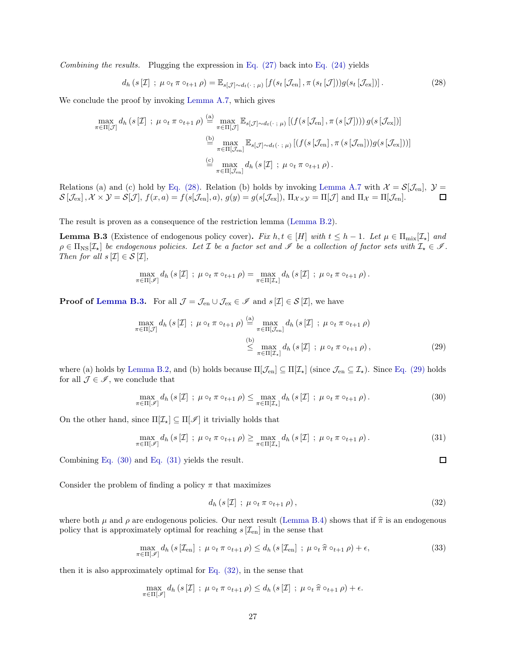Combining the results. Plugging the expression in Eq.  $(27)$  back into Eq.  $(24)$  yields

<span id="page-26-0"></span>
$$
d_h\left(s\left[\mathcal{I}\right];\ \mu\circ_t\pi\circ_{t+1}\rho\right)=\mathbb{E}_{s\left[\mathcal{J}\right]\sim d_t(\cdot\ ;\ \mu)}\left[f(s_t\left[\mathcal{J}_{en}\right],\pi\left(s_t\left[\mathcal{J}\right]\right)\right)g(s_t\left[\mathcal{J}_{ex}\right])\right].\tag{28}
$$

We conclude the proof by invoking [Lemma A.7,](#page-19-6) which gives

$$
\max_{\pi \in \Pi[\mathcal{J}]} d_h(s[\mathcal{I}] ; \mu \circ_t \pi \circ_{t+1} \rho) \stackrel{\text{(a)}}{=} \max_{\pi \in \Pi[\mathcal{J}]} \mathbb{E}_{s[\mathcal{J}] \sim d_t(\cdot \, ; \, \mu)} \left[ (f(s[\mathcal{J}_{en}], \pi(s[\mathcal{J}]))) g(s[\mathcal{J}_{ex}]) \right]
$$
\n
$$
\stackrel{\text{(b)}}{=} \max_{\pi \in \Pi[\mathcal{J}_{en}]} \mathbb{E}_{s[\mathcal{J}] \sim d_t(\cdot \, ; \, \mu)} \left[ (f(s[\mathcal{J}_{en}], \pi(s[\mathcal{J}_{en}])) g(s[\mathcal{J}_{ex}])) \right]
$$
\n
$$
\stackrel{\text{(c)}}{=} \max_{\pi \in \Pi[\mathcal{J}_{en}]} d_h(s[\mathcal{I}] ; \mu \circ_t \pi \circ_{t+1} \rho).
$$

Relations (a) and (c) hold by [Eq. \(28\).](#page-26-0) Relation (b) holds by invoking [Lemma A.7](#page-19-6) with  $\mathcal{X} = \mathcal{S}[\mathcal{J}_{en}], \mathcal{Y} =$ <br> $\mathcal{S}[\mathcal{J}_{ex}], \mathcal{X} \times \mathcal{Y} = \mathcal{S}[\mathcal{J}], f(x, a) = f(s[\mathcal{J}_{en}], a), q(y) = q(s[\mathcal{J}_{ex}]), \Pi_{\mathcal{X} \times \mathcal{Y}} = \Pi[\mathcal{J}]$  a  $\mathcal{S}[\mathcal{J}_{\mathrm{ex}}], \mathcal{X} \times \mathcal{Y} = \mathcal{S}[\mathcal{J}], f(x, a) = f(s[\mathcal{J}_{\mathrm{en}}], a), g(y) = g(s[\mathcal{J}_{\mathrm{ex}}]), \Pi_{\mathcal{X} \times \mathcal{Y}} = \Pi[\mathcal{J}] \text{ and } \Pi_{\mathcal{X}} = \Pi[\mathcal{J}_{\mathrm{en}}].$ 

<span id="page-26-1"></span>The result is proven as a consequence of the restriction lemma [\(Lemma B.2\)](#page-24-0).

**Lemma B.3** (Existence of endogenous policy cover). Fix  $h, t \in [H]$  with  $t \leq h-1$ . Let  $\mu \in \Pi_{\text{mix}}[\mathcal{I}_t]$  and  $\rho \in \Pi_{\text{NS}}[\mathcal{I}_\star]$  be endogenous policies. Let  $\mathcal I$  be a factor set and  $\mathcal I$  be a collection of factor sets with  $\mathcal I_\star \in \mathcal I$ . Then for all  $s[\mathcal{I}] \in \mathcal{S}[\mathcal{I}],$ 

$$
\max_{\pi \in \Pi[\mathscr{I}]} d_h(s[\mathcal{I}]; \ \mu \circ_t \pi \circ_{t+1} \rho) = \max_{\pi \in \Pi[\mathcal{I}_\star]} d_h(s[\mathcal{I}]; \ \mu \circ_t \pi \circ_{t+1} \rho).
$$

**Proof of [Lemma B.3.](#page-26-1)** For all  $\mathcal{J} = \mathcal{J}_{en} \cup \mathcal{J}_{ex} \in \mathcal{I}$  and  $s[\mathcal{I}] \in \mathcal{S}[\mathcal{I}]$ , we have

$$
\max_{\pi \in \Pi[\mathcal{J}]} d_h(s[\mathcal{I}]; \ \mu \circ_t \pi \circ_{t+1} \rho) \stackrel{\text{(a)}}{=} \max_{\pi \in \Pi[\mathcal{J}_{en}]} d_h(s[\mathcal{I}]; \ \mu \circ_t \pi \circ_{t+1} \rho)
$$
\n
$$
\stackrel{\text{(b)}}{\leq} \max_{\pi \in \Pi[\mathcal{I}_\star]} d_h(s[\mathcal{I}]; \ \mu \circ_t \pi \circ_{t+1} \rho), \tag{29}
$$

where (a) holds by [Lemma B.2,](#page-24-0) and (b) holds because  $\Pi[\mathcal{J}_{en}] \subseteq \Pi[\mathcal{I}_{\star}]$  (since  $\mathcal{J}_{en} \subseteq \mathcal{I}_{\star}$ ). Since [Eq. \(29\)](#page-26-2) holds for all  $\mathcal{J} \in \mathscr{I}$ , we conclude that

$$
\max_{\pi \in \Pi[\mathscr{I}]} d_h \left( s[\mathcal{I}] \; ; \; \mu \circ_t \pi \circ_{t+1} \rho \right) \leq \max_{\pi \in \Pi[\mathcal{I}_\star]} d_h \left( s[\mathcal{I}] \; ; \; \mu \circ_t \pi \circ_{t+1} \rho \right). \tag{30}
$$

On the other hand, since  $\Pi[\mathcal{I}_\star] \subseteq \Pi[\mathcal{I}]$  it trivially holds that

$$
\max_{\pi \in \Pi[\mathscr{I}]} d_h \left( s[\mathcal{I}] \; ; \; \mu \circ_t \pi \circ_{t+1} \rho \right) \ge \max_{\pi \in \Pi[\mathcal{I}_\star]} d_h \left( s[\mathcal{I}] \; ; \; \mu \circ_t \pi \circ_{t+1} \rho \right). \tag{31}
$$

Combining [Eq. \(30\)](#page-26-3) and [Eq. \(31\)](#page-26-4) yields the result.

Consider the problem of finding a policy  $\pi$  that maximizes

$$
d_h\left(s\left[\mathcal{I}\right]\;;\;\mu\circ_t\pi\circ_{t+1}\rho\right),\tag{32}
$$

where both  $\mu$  and  $\rho$  are endogenous policies. Our next result [\(Lemma B.4\)](#page-26-5) shows that if  $\hat{\pi}$  is an endogenous policy that is approximately optimal for reaching  $s[\mathcal{I}_{en}]$  in the sense that

$$
\max_{\pi \in \Pi[\mathscr{I}]} d_h \left( s \left[ \mathcal{I}_{en} \right] ; \mu \circ_t \pi \circ_{t+1} \rho \right) \leq d_h \left( s \left[ \mathcal{I}_{en} \right] ; \mu \circ_t \hat{\pi} \circ_{t+1} \rho \right) + \epsilon,
$$
\n(33)

<span id="page-26-5"></span>then it is also approximately optimal for [Eq. \(32\),](#page-26-6) in the sense that

$$
\max_{\pi \in \Pi[\mathscr{I}]} d_h(s[\mathcal{I}]; \mu \circ_t \pi \circ_{t+1} \rho) \leq d_h(s[\mathcal{I}]; \mu \circ_t \widehat{\pi} \circ_{t+1} \rho) + \epsilon.
$$

<span id="page-26-6"></span><span id="page-26-4"></span><span id="page-26-3"></span><span id="page-26-2"></span> $\Box$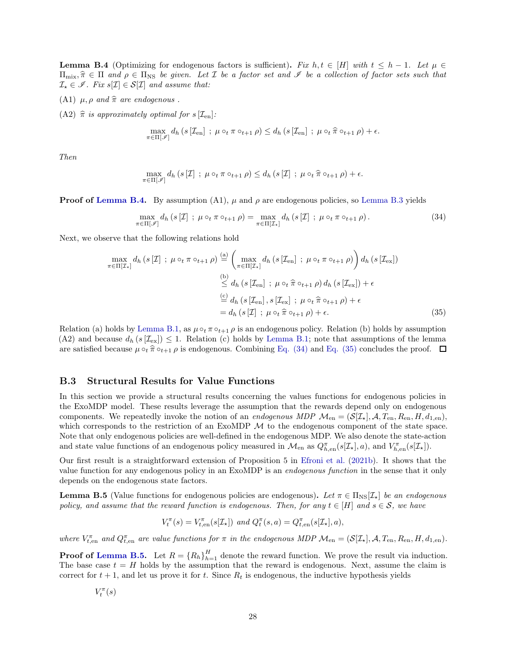**Lemma B.4** (Optimizing for endogenous factors is sufficient). Fix  $h, t \in [H]$  with  $t \leq h - 1$ . Let  $\mu \in$  $\Pi_{\text{mix}}\hat{\pi}\in\Pi$  and  $\rho\in\Pi_{\text{NS}}$  be given. Let  $\mathcal I$  be a factor set and  $\mathscr I$  be a collection of factor sets such that  $\mathcal{I}_{\star} \in \mathscr{I}$ . Fix  $s[\mathcal{I}] \in \mathcal{S}[\mathcal{I}]$  and assume that:

- (A1)  $\mu$ ,  $\rho$  and  $\hat{\pi}$  are endogenous .
- (A2)  $\hat{\pi}$  is approximately optimal for s  $[\mathcal{I}_{en}]$ :

$$
\max_{\pi \in \Pi[\mathscr{I}]} d_h \left( s \left[ \mathcal{I}_{en} \right] ; \mu \circ_t \pi \circ_{t+1} \rho \right) \leq d_h \left( s \left[ \mathcal{I}_{en} \right] ; \mu \circ_t \widehat{\pi} \circ_{t+1} \rho \right) + \epsilon.
$$

Then

<span id="page-27-1"></span>
$$
\max_{\pi \in \Pi[\mathscr{I}]} d_h(s[\mathcal{I}]; \mu \circ_t \pi \circ_{t+1} \rho) \leq d_h(s[\mathcal{I}]; \mu \circ_t \widehat{\pi} \circ_{t+1} \rho) + \epsilon.
$$

**Proof of [Lemma B.4.](#page-26-5)** By assumption (A1),  $\mu$  and  $\rho$  are endogenous policies, so [Lemma B.3](#page-26-1) yields

<span id="page-27-2"></span>
$$
\max_{\pi \in \Pi[\mathscr{I}]} d_h \left( s[\mathcal{I}] \; ; \; \mu \circ_t \pi \circ_{t+1} \rho \right) = \max_{\pi \in \Pi[\mathcal{I}_\star]} d_h \left( s[\mathcal{I}] \; ; \; \mu \circ_t \pi \circ_{t+1} \rho \right). \tag{34}
$$

Next, we observe that the following relations hold

$$
\max_{\pi \in \Pi[\mathcal{I}_{\star}]} d_h \left( s[\mathcal{I}] \; ; \; \mu \circ_t \pi \circ_{t+1} \rho \right) \stackrel{\text{(a)}}{=} \left( \max_{\pi \in \Pi[\mathcal{I}_{\star}]} d_h \left( s[\mathcal{I}_{en}] \; ; \; \mu \circ_t \pi \circ_{t+1} \rho \right) \right) d_h \left( s[\mathcal{I}_{ex}] \right)
$$
\n
$$
\stackrel{\text{(b)}}{\leq} d_h \left( s[\mathcal{I}_{en}] \; ; \; \mu \circ_t \hat{\pi} \circ_{t+1} \rho \right) d_h \left( s[\mathcal{I}_{ex}] \right) + \epsilon
$$
\n
$$
\stackrel{\text{(c)}}{=} d_h \left( s[\mathcal{I}_{en}] \; ; \; \mu \circ_t \hat{\pi} \circ_{t+1} \rho \right) + \epsilon
$$
\n
$$
= d_h \left( s[\mathcal{I}] \; ; \; \mu \circ_t \hat{\pi} \circ_{t+1} \rho \right) + \epsilon. \tag{35}
$$

Relation (a) holds by [Lemma B.1,](#page-22-1) as  $\mu \circ_t \pi \circ_{t+1} \rho$  is an endogenous policy. Relation (b) holds by assumption (A2) and because  $d_h(s[\mathcal{I}_{\rm ex}]) \leq 1$ . Relation (c) holds by [Lemma B.1;](#page-22-1) note that assumptions of the lemma are satisfied because  $\mu \circ_t \hat{\pi} \circ_{t+1} \rho$  is endogenous. Combining [Eq. \(34\)](#page-27-1) and [Eq. \(35\)](#page-27-2) concludes the proof.  $\Box$ 

#### <span id="page-27-0"></span>B.3 Structural Results for Value Functions

In this section we provide a structural results concerning the values functions for endogenous policies in the ExoMDP model. These results leverage the assumption that the rewards depend only on endogenous components. We repeatedly invoke the notion of an endogenous MDP  $\mathcal{M}_{en} = (\mathcal{S}[\mathcal{I}_{\star}], \mathcal{A}, T_{en}, R_{en}, H, d_{1, en}),$ which corresponds to the restriction of an ExoMDP  $M$  to the endogenous component of the state space. Note that only endogenous policies are well-defined in the endogenous MDP. We also denote the state-action and state value functions of an endogenous policy measured in  $\mathcal{M}_{en}$  as  $Q_{h,en}^{\pi}(s[\mathcal{I}_{\star}],a)$ , and  $V_{h,en}^{\pi}(s[\mathcal{I}_{\star}]).$ 

Our first result is a straightforward extension of Proposition 5 in [Efroni et al.](#page-12-7) [\(2021b](#page-12-7)). It shows that the value function for any endogenous policy in an ExoMDP is an endogenous function in the sense that it only depends on the endogenous state factors.

<span id="page-27-3"></span>**Lemma B.5** (Value functions for endogenous policies are endogenous). Let  $\pi \in \Pi_{\text{NS}}[\mathcal{I}_\star]$  be an endogenous policy, and assume that the reward function is endogenous. Then, for any  $t \in [H]$  and  $s \in \mathcal{S}$ , we have

$$
V_t^{\pi}(s) = V_{t, \text{en}}^{\pi}(s[\mathcal{I}_\star]) \text{ and } Q_t^{\pi}(s, a) = Q_{t, \text{en}}^{\pi}(s[\mathcal{I}_\star], a),
$$

where  $V_{t,en}^{\pi}$  and  $Q_{t,en}^{\pi}$  are value functions for  $\pi$  in the endogenous MDP  $\mathcal{M}_{en} = (\mathcal{S}[\mathcal{I}_{\star}], \mathcal{A}, T_{en}, R_{en}, H, d_{1,en})$ .

**Proof of [Lemma B.5.](#page-27-3)** Let  $R = {R_h}_{h=1}^H$  denote the reward function. We prove the result via induction. The base case  $t = H$  holds by the assumption that the reward is endogenous. Next, assume the claim is correct for  $t + 1$ , and let us prove it for t. Since  $R_t$  is endogenous, the inductive hypothesis yields

$$
V_t^{\pi}(s)
$$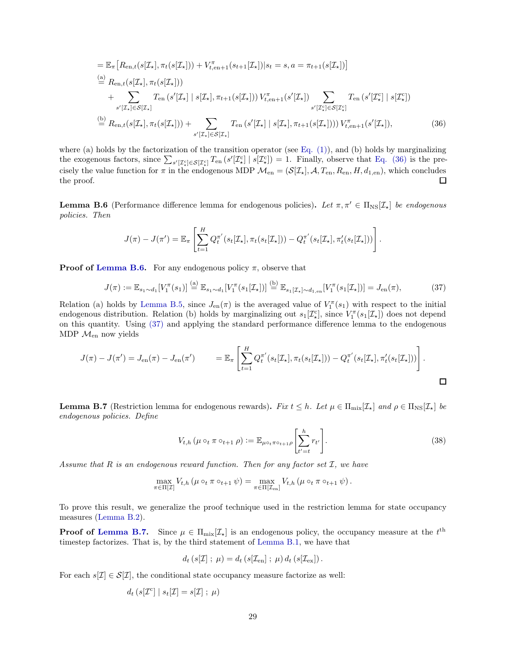$$
= \mathbb{E}_{\pi} \left[ R_{en,t}(s[\mathcal{I}_{\star}], \pi_t(s[\mathcal{I}_{\star}])) + V_{t,en+1}^{\pi}(s_{t+1}[\mathcal{I}_{\star}]) \right] s_t = s, a = \pi_{t+1}(s[\mathcal{I}_{\star}]) \right]
$$
  
\n
$$
\stackrel{(a)}{=} R_{en,t}(s[\mathcal{I}_{\star}], \pi_t(s[\mathcal{I}_{\star}]))
$$
  
\n
$$
+ \sum_{s'[L_{\star}] \in \mathcal{S}[\mathcal{I}_{\star}]} T_{en}(s'[L_{\star}] \mid s[\mathcal{I}_{\star}], \pi_{t+1}(s[\mathcal{I}_{\star}])) V_{t,en+1}^{\pi}(s'[\mathcal{I}_{\star}]) \sum_{s'[L_{\star}^c] \in \mathcal{S}[\mathcal{I}_{\star}^c]} T_{en}(s'[L_{\star}^c] \mid s[\mathcal{I}_{\star}])
$$
  
\n
$$
\stackrel{(b)}{=} R_{en,t}(s[\mathcal{I}_{\star}], \pi_t(s[\mathcal{I}_{\star}])) + \sum_{s'[L_{\star}] \in \mathcal{S}[\mathcal{I}_{\star}]} T_{en}(s'[L_{\star}] \mid s[\mathcal{I}_{\star}], \pi_{t+1}(s[\mathcal{I}_{\star}])) V_{t,en+1}^{\pi}(s'[\mathcal{I}_{\star}]), \qquad (36)
$$

where (a) holds by the factorization of the transition operator (see Eq.  $(1)$ ), and (b) holds by marginalizing the exogenous factors, since  $\sum_{s'[\mathcal{I}_{\star}^{c}] \in \mathcal{S}[\mathcal{I}_{\star}^{c}]} T_{en}(s'[\mathcal{I}_{\star}^{c}] | s[\mathcal{I}_{\star}^{c}]) = 1$ . Finally, observe that [Eq. \(36\)](#page-28-2) is the precisely the value function for  $\pi$  in the endogenous MDP  $\mathcal{M}_{en} = (\mathcal{S}[\mathcal{I}_{\star}], \mathcal{A}, T_{en}, R_{en}, H, d_{1, en})$ , which concludes the proof. the proof.

<span id="page-28-1"></span>**Lemma B.6** (Performance difference lemma for endogenous policies). Let  $\pi, \pi' \in \Pi_{\text{NS}}[\mathcal{I}_{\star}]$  be endogenous policies. Then

<span id="page-28-2"></span>
$$
J(\pi) - J(\pi') = \mathbb{E}_{\pi} \left[ \sum_{t=1}^{H} Q_t^{\pi'}(s_t[\mathcal{I}_{\star}], \pi_t(s_t[\mathcal{I}_{\star}])) - Q_t^{\pi'}(s_t[\mathcal{I}_{\star}], \pi'_t(s_t[\mathcal{I}_{\star}])) \right].
$$

**Proof of [Lemma B.6.](#page-28-1)** For any endogenous policy  $\pi$ , observe that

$$
J(\pi) := \mathbb{E}_{s_1 \sim d_1} [V_1^{\pi}(s_1)] \stackrel{\text{(a)}}{=} \mathbb{E}_{s_1 \sim d_1} [V_1^{\pi}(s_1[\mathcal{I}_{\star}])] \stackrel{\text{(b)}}{=} \mathbb{E}_{s_1[\mathcal{I}_{\star}] \sim d_{1,\text{en}}} [V_1^{\pi}(s_1[\mathcal{I}_{\star}])] = J_{\text{en}}(\pi), \tag{37}
$$

Relation (a) holds by [Lemma B.5,](#page-27-3) since  $J_{en}(\pi)$  is the averaged value of  $V_1^{\pi}(s_1)$  with respect to the initial endogenous distribution. Relation (b) holds by marginalizing out  $s_1[\mathcal{I}_*^c]$ , since  $V_1^{\pi}(s_1[\mathcal{I}_*])$  does not depend on this quantity. Using [\(37\)](#page-28-3) and applying the standard performance difference lemma to the endogenous MDP $\mathcal{M}_{\text{\rm en}}$  now yields

$$
J(\pi) - J(\pi') = J_{\text{en}}(\pi) - J_{\text{en}}(\pi') \qquad = \mathbb{E}_{\pi} \left[ \sum_{t=1}^{H} Q_t^{\pi'}(s_t[\mathcal{I}_{\star}], \pi_t(s_t[\mathcal{I}_{\star}])) - Q_t^{\pi'}(s_t[\mathcal{I}_{\star}], \pi'_t(s_t[\mathcal{I}_{\star}])) \right].
$$

<span id="page-28-0"></span>**Lemma B.7** (Restriction lemma for endogenous rewards). Fix  $t \leq h$ . Let  $\mu \in \Pi_{\text{mix}}[\mathcal{I}_\star]$  and  $\rho \in \Pi_{\text{NS}}[\mathcal{I}_\star]$  be endogenous policies. Define

<span id="page-28-4"></span><span id="page-28-3"></span>
$$
V_{t,h}(\mu \circ_t \pi \circ_{t+1} \rho) := \mathbb{E}_{\mu \circ_t \pi \circ_{t+1} \rho} \left[ \sum_{t'=t}^h r_{t'} \right].
$$
 (38)

Assume that R is an endogenous reward function. Then for any factor set  $\mathcal I$ , we have

$$
\max_{\pi \in \Pi[\mathcal{I}]} V_{t,h}\left(\mu \circ_t \pi \circ_{t+1} \psi\right) = \max_{\pi \in \Pi[\mathcal{I}_{en}]} V_{t,h}\left(\mu \circ_t \pi \circ_{t+1} \psi\right).
$$

To prove this result, we generalize the proof technique used in the restriction lemma for state occupancy measures [\(Lemma B.2\)](#page-24-0).

**Proof of [Lemma B.7.](#page-28-0)** Since  $\mu \in \Pi_{\text{mix}}[\mathcal{I}_\star]$  is an endogenous policy, the occupancy measure at the  $t^{\text{th}}$ timestep factorizes. That is, by the third statement of [Lemma B.1,](#page-22-1) we have that

$$
d_t\left(s[\mathcal{I}];\ \mu\right) = d_t\left(s[\mathcal{I}_{en}];\ \mu\right)d_t\left(s[\mathcal{I}_{ex}]\right).
$$

For each  $s[\mathcal{I}] \in \mathcal{S}[\mathcal{I}]$ , the conditional state occupancy measure factorize as well:

$$
d_t\left(s[\mathcal{I}^c] \mid s_t[\mathcal{I}] = s[\mathcal{I}] ; \mu\right)
$$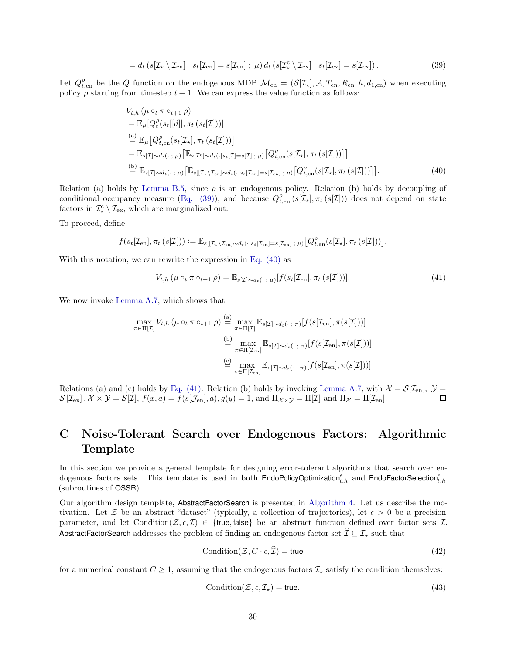<span id="page-29-1"></span>
$$
= d_t \left( s[\mathcal{I}_\star \setminus \mathcal{I}_{en}] \mid s_t[\mathcal{I}_{en}] = s[\mathcal{I}_{en}] ; \mu \right) d_t \left( s[\mathcal{I}_\star^c \setminus \mathcal{I}_{ex}] \mid s_t[\mathcal{I}_{ex}] = s[\mathcal{I}_{ex}] \right). \tag{39}
$$

Let  $Q_{t,en}^{\rho}$  be the Q function on the endogenous MDP  $\mathcal{M}_{en} = (\mathcal{S}[\mathcal{I}_{\star}], \mathcal{A}, T_{en}, R_{en}, h, d_{1,en})$  when executing policy  $\rho$  starting from timestep  $t + 1$ . We can express the value function as follows:

$$
V_{t,h}(\mu \circ_t \pi \circ_{t+1} \rho)
$$
  
\n
$$
= \mathbb{E}_{\mu}[Q_t^{\rho}(s_t[[d]], \pi_t (s_t[\mathcal{I}]))]
$$
  
\n
$$
\stackrel{(a)}{=} \mathbb{E}_{\mu}[Q_{t,en}^{\rho}(s_t[\mathcal{I}_\star], \pi_t (s_t[\mathcal{I}]))]
$$
  
\n
$$
= \mathbb{E}_{s[\mathcal{I}]\sim d_t(\cdot;\mu)}[\mathbb{E}_{s[\mathcal{I}^c]\sim d_t(\cdot|s_t[\mathcal{I}]=s[\mathcal{I}];\mu)}[Q_{t,en}^{\rho}(s[\mathcal{I}_\star], \pi_t (s[\mathcal{I}]))]]
$$
  
\n
$$
\stackrel{(b)}{=} \mathbb{E}_{s[\mathcal{I}]\sim d_t(\cdot;\mu)}[\mathbb{E}_{s[[\mathcal{I}_\star \setminus \mathcal{I}_{en}]\sim d_t(\cdot|s_t[\mathcal{I}_{en}]=s[\mathcal{I}_{en}];\mu)}[Q_{t,en}^{\rho}(s[\mathcal{I}_\star], \pi_t (s[\mathcal{I}]))]].
$$
\n(40)

Relation (a) holds by [Lemma B.5,](#page-27-3) since  $\rho$  is an endogenous policy. Relation (b) holds by decoupling of conditional occupancy measure [\(Eq. \(39\)\)](#page-29-1), and because  $Q_{t,en}^{\rho} (s[\mathcal{I}_{\star}], \pi_t (s[\mathcal{I}]))$  does not depend on state factors in  $\mathcal{I}_{\kappa}^c \setminus \mathcal{I}_{\text{ex}}$ , which are marginalized out.

To proceed, define

$$
f(s_t[\mathcal{I}_{en}], \pi_t(s[\mathcal{I}])) := \mathbb{E}_{s[[\mathcal{I}_{\star} \setminus \mathcal{I}_{en}] \sim dt(\cdot | s_t[\mathcal{I}_{en}]=s[\mathcal{I}_{en}] ; \mu)} [Q_{t, en}^{\rho}(s[\mathcal{I}_{\star}], \pi_t(s[\mathcal{I}]))].
$$

With this notation, we can rewrite the expression in Eq.  $(40)$  as

<span id="page-29-3"></span><span id="page-29-2"></span>
$$
V_{t,h}\left(\mu\circ_t\pi\circ_{t+1}\rho\right) = \mathbb{E}_{s[\mathcal{I}]\sim d_t(\cdot\;;\;\mu)}[f(s_t[\mathcal{I}_{en}],\pi_t\left(s[\mathcal{I}]\right))].\tag{41}
$$

We now invoke [Lemma A.7,](#page-19-6) which shows that

$$
\max_{\pi \in \Pi[\mathcal{I}]} V_{t,h} \left( \mu \circ_t \pi \circ_{t+1} \rho \right) \stackrel{\text{(a)}}{=} \max_{\pi \in \Pi[\mathcal{I}]} \mathbb{E}_{s[\mathcal{I}] \sim d_t(\cdot \, ; \, \pi)}[f(s[\mathcal{I}_{en}], \pi(s[\mathcal{I}]))]
$$
\n
$$
\stackrel{\text{(b)}}{=} \max_{\pi \in \Pi[\mathcal{I}_{en}]} \mathbb{E}_{s[\mathcal{I}] \sim d_t(\cdot \, ; \, \pi)}[f(s[\mathcal{I}_{en}], \pi(s[\mathcal{I}]))]
$$
\n
$$
\stackrel{\text{(c)}}{=} \max_{\pi \in \Pi[\mathcal{I}_{en}]} \mathbb{E}_{s[\mathcal{I}] \sim d_t(\cdot \, ; \, \pi)}[f(s[\mathcal{I}_{en}], \pi(s[\mathcal{I}]))]
$$

Relations (a) and (c) holds by [Eq. \(41\).](#page-29-3) Relation (b) holds by invoking [Lemma A.7,](#page-19-6) with  $\mathcal{X} = \mathcal{S}[\mathcal{I}_{en}], \mathcal{Y} =$  $\mathcal{S}[\mathcal{I}_{\mathrm{ex}}], \mathcal{X} \times \mathcal{Y} = \mathcal{S}[\mathcal{I}], f(x, a) = f(s[\mathcal{J}_{\mathrm{en}}], a), g(y) = 1$ , and  $\Pi_{\mathcal{X} \times \mathcal{Y}} = \Pi[\mathcal{I}]$  and  $\Pi_{\mathcal{X}} = \Pi[\mathcal{I}_{\mathrm{en}}].$ 

# <span id="page-29-0"></span>C Noise-Tolerant Search over Endogenous Factors: Algorithmic Template

In this section we provide a general template for designing error-tolerant algorithms that search over endogenous factors sets. This template is used in both EndoPolicyOptimization<sup>e</sup><sub>t,h</sub> and EndoFactorSelection<sup>e</sup><sub>t,h</sub> (subroutines of OSSR).

Our algorithm design template, AbstractFactorSearch is presented in [Algorithm 4.](#page-30-0) Let us describe the motivation. Let Z be an abstract "dataset" (typically, a collection of trajectories), let  $\epsilon > 0$  be a precision parameter, and let Condition( $\mathcal{Z}, \epsilon, \mathcal{I}$ )  $\in$  {true, false} be an abstract function defined over factor sets  $\mathcal{I}$ . AbstractFactorSearch addresses the problem of finding an endogenous factor set  $\widehat{\mathcal{I}} \subseteq \mathcal{I}_*$  such that

<span id="page-29-5"></span>
$$
Condition(\mathcal{Z}, C \cdot \epsilon, \widehat{\mathcal{I}}) = true
$$
\n(42)

for a numerical constant  $C \geq 1$ , assuming that the endogenous factors  $\mathcal{I}_{\star}$  satisfy the condition themselves:

<span id="page-29-4"></span>
$$
Condition(\mathcal{Z}, \epsilon, \mathcal{I}_{\star}) = true.
$$
\n(43)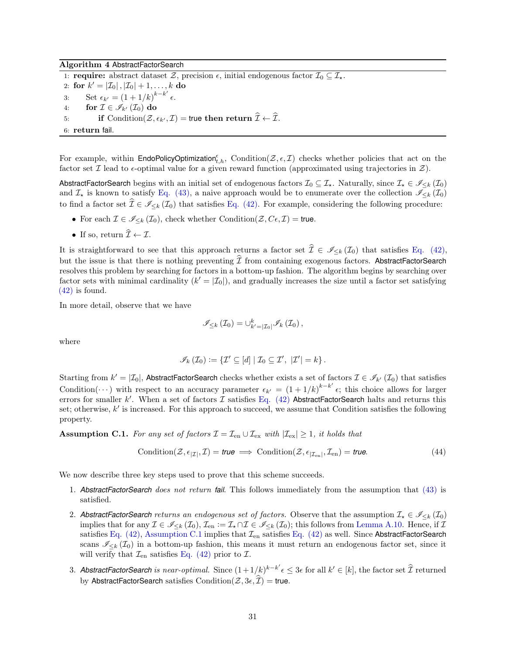<span id="page-30-0"></span>Algorithm 4 AbstractFactorSearch

1: **require:** abstract dataset  $\mathcal{Z}$ , precision  $\epsilon$ , initial endogenous factor  $\mathcal{I}_0 \subseteq \mathcal{I}_{\star}$ . 2: for  $k' = |\mathcal{I}_0|, |\mathcal{I}_0| + 1, ..., k$  do 3: Set  $\epsilon_{k'} = (1 + 1/k)^{k-k'}$   $\epsilon$ . 4: for  $\mathcal{I} \in \mathscr{I}_{k'}(\mathcal{I}_0)$  do 5: if Condition $(\mathcal{Z}, \epsilon_{k'}, \mathcal{I}) =$  true then return  $\widehat{\mathcal{I}} \leftarrow \widehat{\mathcal{I}}$ . 6: return fail.

For example, within  $\mathsf{EndoPolicyOptimization}_{t,h}^{\epsilon}$ , Condition( $\mathcal{Z}, \epsilon, \mathcal{I}$ ) checks whether policies that act on the factor set  $\mathcal I$  lead to  $\epsilon$ -optimal value for a given reward function (approximated using trajectories in  $\mathcal Z$ ).

AbstractFactorSearch begins with an initial set of endogenous factors  $\mathcal{I}_0 \subseteq \mathcal{I}_\star$ . Naturally, since  $\mathcal{I}_\star \in \mathscr{I}_{\leq k}(\mathcal{I}_0)$ and  $\mathcal{I}_{\star}$  is known to satisfy [Eq. \(43\),](#page-29-4) a naive approach would be to enumerate over the collection  $\mathscr{I}_{\leq k}(\mathcal{I}_{0})$ to find a factor set  $\hat{\mathcal{I}} \in \mathscr{I}_{\leq k} (\mathcal{I}_0)$  that satisfies [Eq. \(42\).](#page-29-5) For example, considering the following procedure:

- For each  $\mathcal{I} \in \mathscr{I}_{\leq k}(\mathcal{I}_0)$ , check whether Condition $(\mathcal{Z}, C_{\epsilon}, \mathcal{I}) = \text{true}$ .
- If so, return  $\widehat{\mathcal{I}} \leftarrow \mathcal{I}$ .

It is straightforward to see that this approach returns a factor set  $\hat{\mathcal{I}} \in \mathscr{I}_{\leq k}(\mathcal{I}_0)$  that satisfies [Eq. \(42\),](#page-29-5) but the issue is that there is nothing preventing  $\mathcal{I}$  from containing exogenous factors. AbstractFactorSearch resolves this problem by searching for factors in a bottom-up fashion. The algorithm begins by searching over factor sets with minimal cardinality  $(k' = |\mathcal{I}_0|)$ , and gradually increases the size until a factor set satisfying [\(42\)](#page-29-5) is found.

In more detail, observe that we have

<span id="page-30-2"></span>
$$
\mathscr{I}_{\leq k}\left(\mathcal{I}_{0}\right) = \bigcup_{k'=|\mathcal{I}_{0}|}^{k} \mathscr{I}_{k}\left(\mathcal{I}_{0}\right),
$$

where

$$
\mathscr{I}_{k}(\mathcal{I}_{0}) := \{ \mathcal{I}' \subseteq [d] \mid \mathcal{I}_{0} \subseteq \mathcal{I}', \ |\mathcal{I}'| = k \}.
$$

Starting from  $k' = |\mathcal{I}_0|$ , AbstractFactorSearch checks whether exists a set of factors  $\mathcal{I} \in \mathscr{I}_{k'}(\mathcal{I}_0)$  that satisfies Condition( $\cdots$ ) with respect to an accuracy parameter  $\epsilon_{k'} = (1 + 1/k)^{k-k'} \epsilon$ ; this choice allows for larger errors for smaller k'. When a set of factors  $\mathcal I$  satisfies [Eq. \(42\)](#page-29-5) AbstractFactorSearch halts and returns this set; otherwise, k' is increased. For this approach to succeed, we assume that Condition satisfies the following property.

<span id="page-30-1"></span>**Assumption C.1.** For any set of factors  $\mathcal{I} = \mathcal{I}_{en} \cup \mathcal{I}_{ex}$  with  $|\mathcal{I}_{ex}| \geq 1$ , it holds that

$$
Condition(\mathcal{Z}, \epsilon_{|\mathcal{I}|}, \mathcal{I}) = true \implies Condition(\mathcal{Z}, \epsilon_{|\mathcal{I}_{en}|}, \mathcal{I}_{en}) = true. \tag{44}
$$

We now describe three key steps used to prove that this scheme succeeds.

- 1. *AbstractFactorSearch* does not return *fail*. This follows immediately from the assumption that [\(43\)](#page-29-4) is satisfied.
- 2. AbstractFactorSearch returns an endogenous set of factors. Observe that the assumption  $\mathcal{I}_* \in \mathscr{I}_{\leq k}(\mathcal{I}_0)$ implies that for any  $\mathcal{I} \in \mathscr{I}_{\leq k}(\mathcal{I}_0), \mathcal{I}_{en} := \mathcal{I}_{\star} \cap \mathcal{I} \in \mathscr{I}_{\leq k}(\mathcal{I}_0)$ ; this follows from [Lemma A.10.](#page-21-3) Hence, if  $\mathcal{I}$ satisfies [Eq. \(42\),](#page-29-5) [Assumption C.1](#page-30-1) implies that  $\mathcal{I}_{en}$  satisfies [Eq. \(42\)](#page-29-5) as well. Since AbstractFactorSearch scans  $\mathcal{I}_{\leq k}(\mathcal{I}_0)$  in a bottom-up fashion, this means it must return an endogenous factor set, since it will verify that  $\mathcal{I}_{en}$  satisfies [Eq. \(42\)](#page-29-5) prior to  $\mathcal{I}$ .
- 3. AbstractFactorSearch is near-optimal. Since  $(1+1/k)^{k-k'}\epsilon\leq3\epsilon$  for all  $k'\in[k],$  the factor set  $\widehat{\mathcal{I}}$  returned by AbstractFactorSearch satisfies Condition( $\mathcal{Z}, 3\epsilon, \widehat{\mathcal{I}}$ ) = true.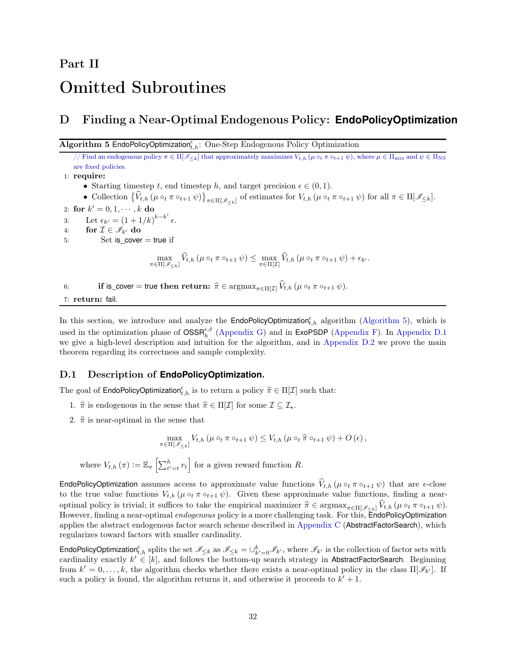# <span id="page-31-2"></span>Part II Omitted Subroutines

# <span id="page-31-1"></span>D Finding a Near-Optimal Endogenous Policy: **EndoPolicyOptimization**

<span id="page-31-0"></span>Algorithm 5 EndoPolicyOptimization ${}_{t,h}^{\epsilon}$ : One-Step Endogenous Policy Optimization

// Find an endogenous policy  $\pi \in \Pi[\mathcal{I}_{\le k}]$  that approximately maximizes  $V_{t,h}(\mu \circ_t \pi \circ_{t+1} \psi)$ , where  $\mu \in \Pi_{mix}$  and  $\psi \in \Pi_{NS}$ are fixed policies.

1: require:

• Starting timestep t, end timestep h, and target precision  $\epsilon \in (0, 1)$ .

• Collection  $\{\hat{V}_{t,h}(\mu \circ_t \pi \circ_{t+1} \psi)\}_{\pi \in \Pi[\mathscr{I}_{\leq k}]}$  of estimates for  $V_{t,h}(\mu \circ_t \pi \circ_{t+1} \psi)$  for all  $\pi \in \Pi[\mathscr{I}_{\leq k}].$ 

2: for  $k' = 0, 1, \dots, k$  do 3: Let  $\epsilon_{k'} = (1 + 1/k)^{k-k'}$   $\epsilon$ . 4: for  $\mathcal{I} \in \mathscr{I}_{k'}$  do 5: Set is cover

Set is cover  $=$  true if

$$
\max_{\pi\in\Pi[\mathscr{I}_{\leq k}]}\widehat{V}_{t,h}\left(\mu\circ_t\pi\circ_{t+1}\psi\right)\leq\max_{\pi\in\Pi[\mathcal{I}]}\widehat{V}_{t,h}\left(\mu\circ_t\pi\circ_{t+1}\psi\right)+\epsilon_{k'}.
$$

6: if is\_cover = true then return:  $\hat{\pi} \in \operatorname{argmax}_{\pi \in \Pi[\mathcal{I}]} \hat{V}_{t,h} (\mu \circ_t \pi \circ_{t+1} \psi)$ .

7: return: fail.

In this section, we introduce and analyze the **EndoPolicyOptimization**<sup> $\epsilon$ </sup>, algorithm [\(Algorithm 5\)](#page-31-0), which is used in the optimization phase of  $OSSR<sub>h</sub><sup>\epsilon, \delta</sup>$  [\(Appendix G\)](#page-46-0) and in ExoPSDP [\(Appendix F\)](#page-41-1). In [Appendix D.1](#page-31-3) we give a high-level description and intuition for the algorithm, and in [Appendix D.2](#page-32-0) we prove the main theorem regarding its correctness and sample complexity.

### <span id="page-31-3"></span>D.1 Description of **EndoPolicyOptimization**.

The goal of **EndoPolicyOptimization**<sup> $\epsilon$ </sup>, is to return a policy  $\hat{\pi} \in \Pi[\mathcal{I}]$  such that:

- 1.  $\hat{\pi}$  is endogenous in the sense that  $\hat{\pi} \in \Pi[\mathcal{I}]$  for some  $\mathcal{I} \subseteq \mathcal{I}_{\star}$ .
- 2.  $\hat{\pi}$  is near-optimal in the sense that

$$
\max_{\pi \in \Pi[\mathscr{I}_{\leq k}]} V_{t,h} \left( \mu \circ_t \pi \circ_{t+1} \psi \right) \leq V_{t,h} \left( \mu \circ_t \hat{\pi} \circ_{t+1} \psi \right) + O \left( \epsilon \right),
$$

where  $V_{t,h}(\pi) := \mathbb{E}_{\pi} \left[ \sum_{t'=t}^{h} r_t \right]$  for a given reward function R.

**EndoPolicyOptimization** assumes access to approximate value functions  $V_{t,h}$  ( $\mu \circ_t \pi \circ_{t+1} \psi$ ) that are  $\epsilon$ -close to the true value functions  $V_{t,h}$  ( $\mu \circ_t \pi \circ_{t+1} \psi$ ). Given these approximate value functions, finding a nearoptimal policy is trivial; it suffices to take the empirical maximizer  $\hat{\pi} \in \operatorname{argmax}_{\pi \in \Pi[\mathscr{I}_{\leq k}]} \hat{V}_{t,h} (\mu \circ_t \pi \circ_{t+1} \psi)$ . However, finding a near-optimal endogenous policy is a more challenging task. For this, EndoPolicyOptimization applies the abstract endogenous factor search scheme described in [Appendix C](#page-29-0) (AbstractFactorSearch), which regularizes toward factors with smaller cardinality.

EndoPolicyOptimization<sub>t,h</sub> splits the set  $\mathscr{I}_{\leq k}$  as  $\mathscr{I}_{\leq k} = \bigcup_{k'=0}^k \mathscr{I}_{k'}$ , where  $\mathscr{I}_{k'}$  is the collection of factor sets with cardinality exactly  $k' \in [k]$ , and follows the bottom-up search strategy in AbstractFactorSearch. Beginning from  $k' = 0, \ldots, k$ , the algorithm checks whether there exists a near-optimal policy in the class  $\Pi[\mathscr{I}_{k'}]$ . If such a policy is found, the algorithm returns it, and otherwise it proceeds to  $k' + 1$ .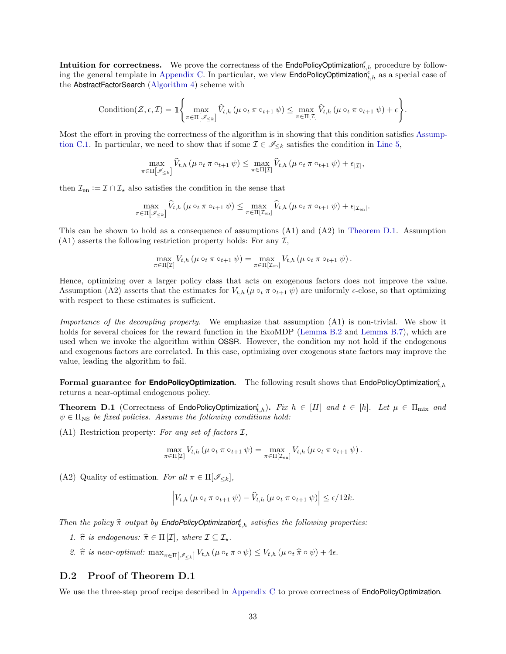Intuition for correctness. We prove the correctness of the EndoPolicyOptimization $_{t,h}^{\epsilon}$  procedure by follow-ing the general template in [Appendix C.](#page-29-0) In particular, we view  $\textsf{EndoPolicyOptimization}_{t,h}^{\epsilon}$  as a special case of the AbstractFactorSearch [\(Algorithm 4\)](#page-30-0) scheme with

$$
\mathrm{Condition}(\mathcal{Z}, \epsilon, \mathcal{I}) = \mathbb{I}\Bigg\{\max_{\pi \in \Pi[\mathscr{I}_{\leq k}]} \widehat{V}_{t,h}\left(\mu \circ_t \pi \circ_{t+1} \psi\right) \leq \max_{\pi \in \Pi[\mathcal{I}]}\widehat{V}_{t,h}\left(\mu \circ_t \pi \circ_{t+1} \psi\right) + \epsilon\Bigg\}.
$$

Most the effort in proving the correctness of the algorithm is in showing that this condition satisfies Assump-tion C.1. [I](#page-30-1)n particular, we need to show that if some  $\mathcal{I} \in \mathscr{I}_{\leq k}$  satisfies the condition in [Line 5,](#page-47-3)

$$
\max_{\pi \in \Pi[\mathscr{I}_{\leq k}]} \widehat{V}_{t,h} \left( \mu \circ_t \pi \circ_{t+1} \psi \right) \leq \max_{\pi \in \Pi[\mathcal{I}]} \widehat{V}_{t,h} \left( \mu \circ_t \pi \circ_{t+1} \psi \right) + \epsilon_{|\mathcal{I}|},
$$

then  $\mathcal{I}_{en} := \mathcal{I} \cap \mathcal{I}_{\star}$  also satisfies the condition in the sense that

$$
\max_{\pi \in \Pi[\mathscr{I}_{\leq k}]} \widehat{V}_{t,h} \left(\mu \circ_t \pi \circ_{t+1} \psi\right) \leq \max_{\pi \in \Pi[\mathcal{I}_{en}]} \widehat{V}_{t,h} \left(\mu \circ_t \pi \circ_{t+1} \psi\right) + \epsilon_{|\mathcal{I}_{en}|}.
$$

This can be shown to hold as a consequence of assumptions (A1) and (A2) in [Theorem D.1.](#page-32-1) Assumption  $(A1)$  asserts the following restriction property holds: For any  $\mathcal{I}$ ,

$$
\max_{\pi \in \Pi[\mathcal{I}]} V_{t,h} \left( \mu \circ_t \pi \circ_{t+1} \psi \right) = \max_{\pi \in \Pi[\mathcal{I}_{en}]} V_{t,h} \left( \mu \circ_t \pi \circ_{t+1} \psi \right).
$$

Hence, optimizing over a larger policy class that acts on exogenous factors does not improve the value. Assumption (A2) asserts that the estimates for  $V_{t,h}$  ( $\mu \circ_t \pi \circ_{t+1} \psi$ ) are uniformly  $\epsilon$ -close, so that optimizing with respect to these estimates is sufficient.

Importance of the decoupling property. We emphasize that assumption (A1) is non-trivial. We show it holds for several choices for the reward function in the ExoMDP [\(Lemma B.2](#page-24-0) and [Lemma B.7\)](#page-28-0), which are used when we invoke the algorithm within OSSR. However, the condition my not hold if the endogenous and exogenous factors are correlated. In this case, optimizing over exogenous state factors may improve the value, leading the algorithm to fail.

<span id="page-32-1"></span>Formal guarantee for **EndoPolicyOptimization.** The following result shows that EndoPolicyOptimization<sup>e</sup><sub>t,h</sub> returns a near-optimal endogenous policy.

**Theorem D.1** (Correctness of EndoPolicyOptimization<sub>t,h</sub>). Fix  $h \in [H]$  and  $t \in [h]$ . Let  $\mu \in \Pi_{\text{mix}}$  and  $\psi \in \Pi_{\text{NS}}$  be fixed policies. Assume the following conditions hold:

(A1) Restriction property: For any set of factors  $\mathcal{I}$ ,

$$
\max_{\pi \in \Pi[\mathcal{I}]} V_{t,h} \left( \mu \circ_t \pi \circ_{t+1} \psi \right) = \max_{\pi \in \Pi[\mathcal{I}_{en}]} V_{t,h} \left( \mu \circ_t \pi \circ_{t+1} \psi \right).
$$

(A2) Quality of estimation. For all  $\pi \in \Pi[\mathscr{I}_{\leq k}]$ ,

$$
\left| V_{t,h}\left(\mu \circ_t \pi \circ_{t+1} \psi\right) - \widehat{V}_{t,h}\left(\mu \circ_t \pi \circ_{t+1} \psi\right) \right| \le \epsilon/12k.
$$

Then the policy  $\widehat{\pi}$  output by **EndoPolicyOptimization**<sup> $f$ </sup><sub>t,h</sub> satisfies the following properties:

- 1.  $\hat{\pi}$  is endogenous:  $\hat{\pi} \in \Pi [\mathcal{I}],$  where  $\mathcal{I} \subseteq \mathcal{I}_{\star}$ .
- 2.  $\hat{\pi}$  is near-optimal:  $\max_{\pi \in \Pi[\mathscr{I}_{\leq k}]} V_{t,h} (\mu \circ_t \pi \circ \psi) \leq V_{t,h} (\mu \circ_t \hat{\pi} \circ \psi) + 4\epsilon.$

#### <span id="page-32-0"></span>D.2 Proof of Theorem D.1

We use the three-step proof recipe described in [Appendix C](#page-29-0) to prove correctness of **EndoPolicyOptimization**.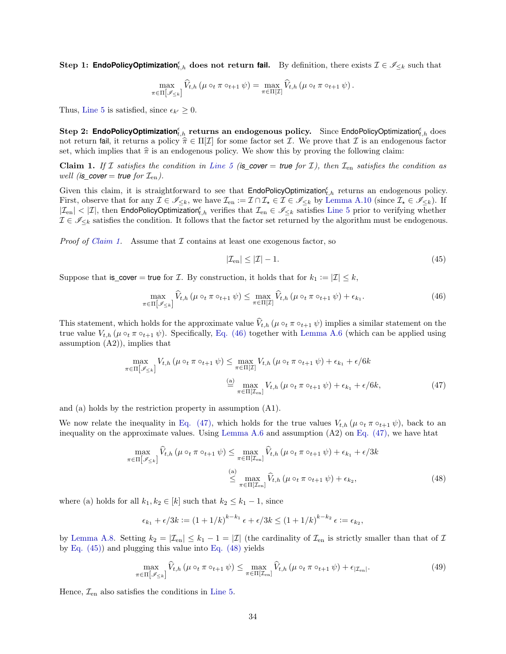Step 1: **EndoPolicyOptimization**<sup>e</sup><sub>t,h</sub> does not return **fail.** By definition, there exists  $\mathcal{I} \in \mathscr{I}_{\leq k}$  such that

$$
\max_{\pi \in \Pi[\mathscr{I}_{\leq k}]} \widehat{V}_{t,h} \left( \mu \circ_t \pi \circ_{t+1} \psi \right) = \max_{\pi \in \Pi[\mathcal{I}]} \widehat{V}_{t,h} \left( \mu \circ_t \pi \circ_{t+1} \psi \right).
$$

Thus, [Line 5](#page-47-3) is satisfied, since  $\epsilon_{k'} \geq 0$ .

 ${\bf Step\ 2: EndoPolicy Optimization^{\epsilon}_{t,h}}$   ${\bf return}$ s an endogenous policy.  $\,$  Since EndoPolicyOptimization $^{\epsilon}_{t,h}$   $\,$   $\,$   $\,$   $\,$   $\,$ not return fail, it returns a policy  $\hat{\pi} \in \Pi[\mathcal{I}]$  for some factor set I. We prove that I is an endogenous factor set, which implies that  $\hat{\pi}$  is an endogenous policy. We show this by proving the following claim:

<span id="page-33-0"></span>Claim 1. If I satisfies the condition in [Line 5](#page-47-3) (is cover = *true* for I), then  $\mathcal{I}_{en}$  satisfies the condition as well (*is\_cover* = *true* for  $\mathcal{I}_{en}$ ).

Given this claim, it is straightforward to see that  $\mathsf{EndoPolicy Optimization}_{t,h}^{\epsilon}$  returns an endogenous policy. First, observe that for any  $\mathcal{I} \in \mathscr{I}_{\leq k}$ , we have  $\mathcal{I}_{en} := \mathcal{I} \cap \mathcal{I}_{\star} \in \mathcal{I}_{\leq k}$  by [Lemma A.10](#page-21-3) (since  $\mathcal{I}_{\star} \in \mathscr{I}_{\leq k}$ ). If  $|\mathcal{I}_{en}|$  <  $|\mathcal{I}|$ , then EndoPolicyOptimization<sub>t,h</sub> verifies that  $\mathcal{I}_{en} \in \mathscr{I}_{\leq k}$  satisfies [Line 5](#page-47-3) prior to verifying whether  $\mathcal{I} \in \mathscr{I}_{\leq k}$  satisfies the condition. It follows that the factor set returned by the algorithm must be endogenous.

*Proof of [Claim 1.](#page-33-0)* Assume that  $\mathcal I$  contains at least one exogenous factor, so

<span id="page-33-3"></span><span id="page-33-2"></span><span id="page-33-1"></span>
$$
|\mathcal{I}_{en}| \le |\mathcal{I}| - 1. \tag{45}
$$

Suppose that is\_cover = true for  $\mathcal I$ . By construction, it holds that for  $k_1 := |\mathcal I| \leq k$ ,

$$
\max_{\pi \in \Pi[\mathscr{I}_{\leq k}]} \widehat{V}_{t,h} \left( \mu \circ_t \pi \circ_{t+1} \psi \right) \leq \max_{\pi \in \Pi[\mathcal{I}]} \widehat{V}_{t,h} \left( \mu \circ_t \pi \circ_{t+1} \psi \right) + \epsilon_{k_1}.
$$
\n(46)

This statement, which holds for the approximate value  $V_{t,h}$  ( $\mu \circ_t \pi \circ_{t+1} \psi$ ) implies a similar statement on the true value  $V_{t,h}$  ( $\mu \circ_t \pi \circ_{t+1} \psi$ ). Specifically, [Eq. \(46\)](#page-33-1) together with [Lemma A.6](#page-19-1) (which can be applied using assumption (A2)), implies that

$$
\max_{\pi \in \Pi[\mathscr{I}_{\leq k}]} V_{t,h} \left( \mu \circ_t \pi \circ_{t+1} \psi \right) \leq \max_{\pi \in \Pi[\mathcal{I}]} V_{t,h} \left( \mu \circ_t \pi \circ_{t+1} \psi \right) + \epsilon_{k_1} + \epsilon/6k
$$

$$
\stackrel{\text{(a)}}{=} \max_{\pi \in \Pi[\mathcal{I}_{en}]} V_{t,h} \left( \mu \circ_t \pi \circ_{t+1} \psi \right) + \epsilon_{k_1} + \epsilon/6k,
$$
(47)

and (a) holds by the restriction property in assumption (A1).

We now relate the inequality in [Eq. \(47\),](#page-33-2) which holds for the true values  $V_{t,h}$  ( $\mu \circ_t \pi \circ_{t+1} \psi$ ), back to an inequality on the approximate values. Using [Lemma A.6](#page-19-1) and assumption (A2) on [Eq. \(47\),](#page-33-2) we have htat

$$
\max_{\pi \in \Pi[\mathscr{I}_{\leq k}]} \widehat{V}_{t,h} \left(\mu \circ_t \pi \circ_{t+1} \psi\right) \leq \max_{\pi \in \Pi[\mathcal{I}_{en}]} \widehat{V}_{t,h} \left(\mu \circ_t \pi \circ_{t+1} \psi\right) + \epsilon_{k_1} + \epsilon/3k
$$
\n
$$
\overset{(a)}{\leq} \max_{\pi \in \Pi[\mathcal{I}_{en}]} \widehat{V}_{t,h} \left(\mu \circ_t \pi \circ_{t+1} \psi\right) + \epsilon_{k_2},\tag{48}
$$

where (a) holds for all  $k_1, k_2 \in [k]$  such that  $k_2 \leq k_1 - 1$ , since

<span id="page-33-4"></span>
$$
\epsilon_{k_1} + \epsilon/3k := (1+1/k)^{k-k_1} \epsilon + \epsilon/3k \le (1+1/k)^{k-k_2} \epsilon := \epsilon_{k_2},
$$

by [Lemma A.8.](#page-20-5) Setting  $k_2 = |\mathcal{I}_{en}| \leq k_1 - 1 = |\mathcal{I}|$  (the cardinality of  $\mathcal{I}_{en}$  is strictly smaller than that of  $\mathcal{I}$ by Eq.  $(45)$  and plugging this value into Eq.  $(48)$  yields

$$
\max_{\pi \in \Pi[\mathscr{I}_{\leq k}]} \widehat{V}_{t,h} \left( \mu \circ_t \pi \circ_{t+1} \psi \right) \leq \max_{\pi \in \Pi[\mathcal{I}_{\text{en}}]} \widehat{V}_{t,h} \left( \mu \circ_t \pi \circ_{t+1} \psi \right) + \epsilon_{|\mathcal{I}_{\text{en}}|}.
$$
\n(49)

Hence,  $\mathcal{I}_{en}$  also satisfies the conditions in [Line 5.](#page-47-3)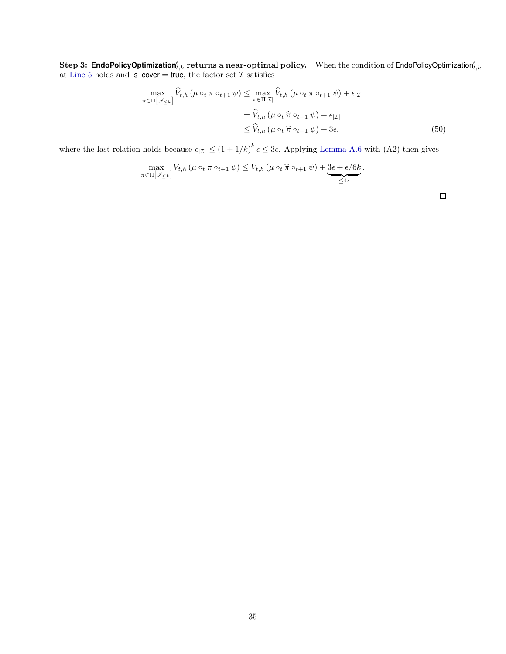**Step 3: EndoPolicyOptimization**<sup>e</sup><sub>*t,h*</sub> returns a near-optimal policy. When the condition of EndoPolicyOptimization<sup>e</sup><sub>*t,h*</sub> at [Line 5](#page-47-3) holds and is\_cover = true, the factor set *I* satisfies

$$
\max_{\pi \in \Pi[\mathscr{I}_{\leq k}]} \widehat{V}_{t,h} \left( \mu \circ_t \pi \circ_{t+1} \psi \right) \leq \max_{\pi \in \Pi[\mathcal{I}]} \widehat{V}_{t,h} \left( \mu \circ_t \pi \circ_{t+1} \psi \right) + \epsilon_{|\mathcal{I}|}
$$
\n
$$
= \widehat{V}_{t,h} \left( \mu \circ_t \widehat{\pi} \circ_{t+1} \psi \right) + \epsilon_{|\mathcal{I}|}
$$
\n
$$
\leq \widehat{V}_{t,h} \left( \mu \circ_t \widehat{\pi} \circ_{t+1} \psi \right) + 3\epsilon,
$$
\n(50)

where the last relation holds because  $\epsilon_{|I|} \le (1 + 1/k)^k \epsilon \le 3\epsilon$ . Applying [Lemma A.6](#page-19-1) with (A2) then gives

$$
\max_{\pi \in \Pi[\mathscr{I}_{\leq k}]} V_{t,h} \left( \mu \circ_t \pi \circ_{t+1} \psi \right) \leq V_{t,h} \left( \mu \circ_t \widehat{\pi} \circ_{t+1} \psi \right) + \underbrace{3\epsilon + \epsilon/6k}_{\leq 4\epsilon}.
$$

 $\Box$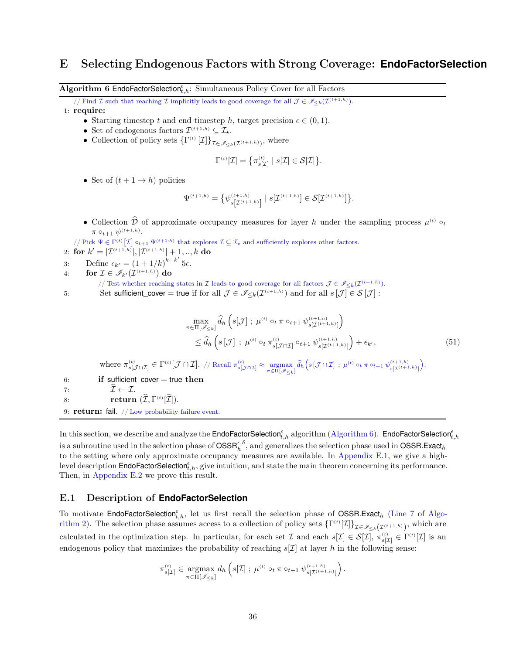## <span id="page-35-1"></span>E Selecting Endogenous Factors with Strong Coverage: **EndoFactorSelection**

<span id="page-35-0"></span>Algorithm 6 EndoFactorSelection ${}_{t,h}^{\epsilon}$ : Simultaneous Policy Cover for all Factors

- // Find I such that reaching I implicitly leads to good coverage for all  $\mathcal{J} \in \mathscr{I}_{\leq k}(\mathcal{I}^{(t+1,h)})$ .
- 1: require:
	- Starting timestep t and end timestep h, target precision  $\epsilon \in (0,1)$ .
	- Set of endogenous factors  $\mathcal{I}^{(t+1,h)} \subseteq \mathcal{I}_{\star}$ .
	- Collection of policy sets  $\{\Gamma^{(t)}[\mathcal{I}]\}_{\mathcal{I}\in\mathscr{I}_{\leq k}(\mathcal{I}^{(t+1,h)})}$ , where

$$
\Gamma^{(t)}[\mathcal{I}] = \left\{ \pi_{s[\mathcal{I}]}^{(t)} \mid s[\mathcal{I}] \in \mathcal{S}[\mathcal{I}] \right\}.
$$

• Set of  $(t+1 \rightarrow h)$  policies

$$
\Psi^{(t+1,h)} = \big\{ \psi^{(t+1,h)}_{s \left[\mathcal{I}^{(t+1,h)}\right]} \mid s[\mathcal{I}^{(t+1,h)}] \in \mathcal{S}[\mathcal{I}^{(t+1,h)}] \big\}.
$$

• Collection D of approximate occupancy measures for layer h under the sampling process  $\mu^{(t)} \circ_t$  $\pi \circ_{t+1} \psi^{(t+1,h)}.$ 

// Pick  $\Psi \in \Gamma^{(t)}[\mathcal{I}] \circ_{t+1} \Psi^{(t+1:h)}$  that explores  $\mathcal{I} \subseteq \mathcal{I}_{\star}$  and sufficiently explores other factors. 2: for  $k' = |{\mathcal{I}}^{(t+1,h)}|, |{\mathcal{I}}^{(t+1,h)}| + 1, ..., k$  do

- 3: Define  $\epsilon_{k'} = (1 + 1/k)^{k-k'}$  5 $\epsilon$ .
- 4: for  $\mathcal{I} \in \mathscr{I}_{k'}(\mathcal{I}^{(t+1,h)})$  do

// Test whether reaching states in  $\mathcal I$  leads to good coverage for all factors  $\mathcal J \in \mathscr I_{\leq k}(\mathcal I^{(t+1,h)}).$ 

5: Set sufficient\_cover = true if for all  $\mathcal{J} \in \mathscr{I}_{\leq k}(\mathcal{I}^{(t+1,h)})$  and for all  $s[\mathcal{J}] \in \mathcal{S}[\mathcal{J}]$ :

$$
\max_{\pi \in \Pi[\mathscr{I}_{\leq k}]} \widehat{d}_h \left( s[\mathcal{J}] ; \ \mu^{(t)} \circ_t \pi \circ_{t+1} \psi_{s[\mathcal{I}^{(t+1,h)}]}^{(t+1,h)} \right) \n\leq \widehat{d}_h \left( s[\mathcal{J}] ; \ \mu^{(t)} \circ_t \pi_{s[\mathcal{J} \cap \mathcal{I}]}^{(t)} \circ_{t+1} \psi_{s[\mathcal{I}^{(t+1,h)}]}^{(t+1,h)} \right) + \epsilon_{k'},
$$
\n(51)

where  $\pi_{s[\mathcal{J}\cap\mathcal{I}]}^{(t)} \in \Gamma^{(t)}[\mathcal{J}\cap\mathcal{I}]$ . // Recall  $\pi_{s[\mathcal{J}\cap\mathcal{I}]}^{(t)} \approx \underset{\pi \in \Pi[\mathcal{I}_{\leq k}]}{\text{argmax}} \hat{d}_{h}\left(s[\mathcal{J}\cap\mathcal{I}] ; \mu^{(t)} \circ_t \pi \circ_{t+1} \psi_{s[\mathcal{I}^{(t+1,h)}]}^{(t+1,h)}\right)$ .

6: if sufficient cover  $=$  true then 7:  $\widehat{\mathcal{I}} \leftarrow \mathcal{I}.$ <br>8: **PELLETELY** 8: **return**  $(\mathcal{I}, \Gamma^{(t)}[\mathcal{I}]).$ 

9: return: fail. // Low probability failure event.

In this section, we describe and analyze the <code>EndoFactorSelection</code>  $\epsilon_{t,h}^{\epsilon}$  algorithm [\(Algorithm 6\)](#page-35-0). <code>EndoFactorSelection</code>  $\epsilon_{t,h}$ is a subroutine used in the selection phase of  $\text{OSSR}_{h}^{\epsilon,\delta}$ , and generalizes the selection phase used in  $\text{OSSR}$ .Exact<sub>h</sub> to the setting where only approximate occupancy measures are available. In [Appendix E.1,](#page-35-2) we give a highlevel description EndoFactorSelection $_{t,h}^{\epsilon}$ , give intuition, and state the main theorem concerning its performance. Then, in [Appendix E.2](#page-37-0) we prove this result.

#### <span id="page-35-2"></span>E.1 Description of **EndoFactorSelection**

To motivate EndoFactorSelection<sup>e</sup><sub>[t,h](#page-8-0)</sub>, let us first recall the selection phase of OSSR.Exact<sub>h</sub> [\(Line 7](#page-47-5) of Algorithm 2). The selection phase assumes access to a collection of policy sets  $\{\Gamma^{(t)}[\mathcal{I}]\}_{\mathcal{I}\in\mathscr{I}_{\leq k}(\mathcal{I}^{(t+1,h)})}$ , which are calculated in the optimization step. In particular, for each set  $\mathcal I$  and each  $s[\mathcal I] \in \mathcal S[\mathcal I], \pi_{s[\mathcal I]}^{(t)} \in \Gamma^{(t)}[\mathcal I]$  is an endogenous policy that maximizes the probability of reaching  $s[\mathcal{I}]$  at layer h in the following sense:

$$
\pi_{s[\mathcal{I}]}^{(t)} \in \underset{\pi \in \Pi[\mathscr{I}_{\leq k}]}{\text{argmax}} d_h \left( s[\mathcal{I}] ; \ \mu^{(t)} \circ_t \pi \circ_{t+1} \psi_{s[\mathcal{I}^{(t+1,h)}]}^{(t+1,h)} \right).
$$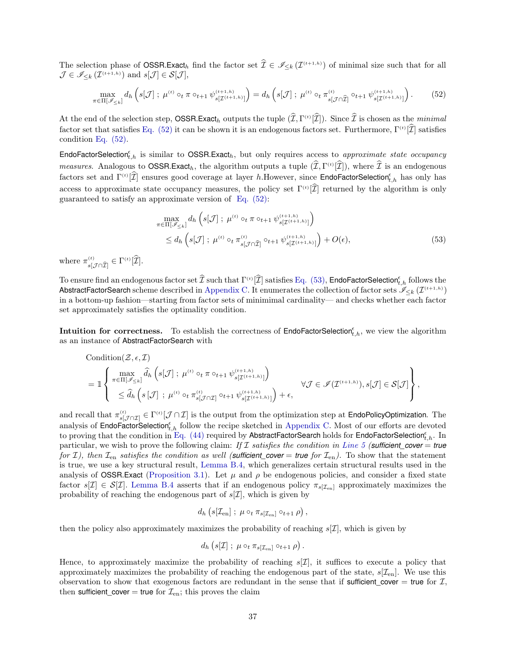The selection phase of **OSSR.Exact**h find the factor set  $\hat{\mathcal{I}} \in \mathscr{I}_{\leq k}(\mathcal{I}^{(t+1,h)})$  of minimal size such that for all  $\mathcal{J} \in \mathscr{I}_{\leq k}(\mathcal{I}^{(t+1,h)})$  and  $s[\mathcal{J}] \in \mathcal{S}[\mathcal{J}],$ 

$$
\max_{\pi \in \Pi[\mathscr{I}_{\leq k}]} d_h \left( s[\mathcal{J}] \; ; \; \mu^{(t)} \circ_t \pi \circ_{t+1} \psi_{s[\mathcal{I}^{(t+1,h)}]}^{(t+1,h)} \right) = d_h \left( s[\mathcal{J}] \; ; \; \mu^{(t)} \circ_t \pi_{s[\mathcal{J} \cap \widehat{\mathcal{I}}]}^{(t)} \circ_{t+1} \psi_{s[\mathcal{I}^{(t+1,h)}]}^{(t+1,h)} \right). \tag{52}
$$

At the end of the selection step, **OSSR.Exact**<sub>h</sub> outputs the tuple  $(\mathcal{I}, \Gamma^{(t)}[\mathcal{I}])$ . Since  $\mathcal{I}$  is chosen as the *minimal* factor set that satisfies [Eq. \(52\)](#page-36-0) it can be shown it is an endogenous factors set. Furthermore,  $\Gamma^{(t)}[\mathcal{I}]$  satisfies condition [Eq. \(52\).](#page-36-0)

EndoFactorSelection<sub>t,h</sub> is similar to OSSR.Exact<sub>h</sub>, but only requires access to approximate state occupancy measures. Analogous to **OSSR.Exact**<sub>h</sub>, the algorithm outputs a tuple  $(\mathcal{I}, \Gamma^{(t)}[\mathcal{I}])$ , where  $\mathcal{I}$  is an endogenous factors set and  $\Gamma^{(t)}[\hat{\mathcal{I}}]$  ensures good coverage at layer h.However, since EndoFactorSelection<sub>t,h</sub> has only has access to approximate state occupancy measures, the policy set  $\Gamma^{(t)}[\mathcal{I}]$  returned by the algorithm is only guaranteed to satisfy an approximate version of [Eq. \(52\):](#page-36-0)

<span id="page-36-1"></span><span id="page-36-0"></span>
$$
\max_{\pi \in \Pi[\mathscr{I}_{\leq k}]} d_h \left( s[\mathcal{J}] ; \ \mu^{(t)} \circ_t \pi \circ_{t+1} \psi_{s[\mathcal{I}^{(t+1,h)}]}^{(t+1,h)} \right) \n\leq d_h \left( s[\mathcal{J}] ; \ \mu^{(t)} \circ_t \pi^{(t)}_{s[\mathcal{J} \cap \widehat{\mathcal{I}}]} \circ_{t+1} \psi_{s[\mathcal{I}^{(t+1,h)}]}^{(t+1,h)} \right) + O(\epsilon),
$$
\n(53)

where  $\pi_{s[\mathcal{J}\cap\widehat{\mathcal{I}}]}^{(t)} \in \Gamma^{(t)}[\mathcal{I}].$ 

To ensure find an endogenous factor set  $\widehat{\mathcal{I}}$  such that  $\Gamma^{(t)}[\widehat{\mathcal{I}}]$  satisfies [Eq. \(53\),](#page-36-1) EndoFactorSelection ${}^{\epsilon}_{t,h}$  follows the AbstractFactorSearch scheme described in [Appendix C.](#page-29-0) It enumerates the collection of factor sets  $\mathscr{I}_{\leq k}(\mathcal{I}^{(t+1,h)})$ in a bottom-up fashion—starting from factor sets of minimimal cardinality— and checks whether each factor set approximately satisfies the optimality condition.

**Intuition for correctness.** To establish the correctness of  $\mathsf{EndoFactorSelection}_{t,h}^{\epsilon}$ , we view the algorithm as an instance of AbstractFactorSearch with

Condition
$$
(Z, \epsilon, \mathcal{I})
$$
  
=  $\mathbb{1} \left\{ \begin{array}{l} \max_{\pi \in \Pi[\mathscr{I}_{\leq k}]} \hat{d}_h \left( s[\mathcal{J}] ; \ \mu^{(t)} \circ_t \pi \circ_{t+1} \psi_{s[\mathcal{I}^{(t+1,h)}]}^{(t+1,h)} \right) \\ \leq \hat{d}_h \left( s[\mathcal{J}] ; \ \mu^{(t)} \circ_t \pi_{s[\mathcal{J} \cap \mathcal{I}]}^{(t)} \circ_{t+1} \psi_{s[\mathcal{I}^{(t+1,h)}]}^{(t+1,h)} \right) + \epsilon, \end{array} \right\}$ 

and recall that  $\pi_{s[\mathcal{J}\cap\mathcal{I}]}^{(t)}\in\Gamma^{(t)}[\mathcal{J}\cap\mathcal{I}]$  is the output from the optimization step at **EndoPolicyOptimization**. The analysis of EndoFactorSelection<sup>e</sup><sub>t,h</sub> follow the recipe sketched in [Appendix C.](#page-29-0) Most of our efforts are devoted to proving that the condition in Eq.  $(44)$  required by AbstractFactorSearch holds for EndoFactorSelection $_{t,h}^{\epsilon}$ . In particular, we wish to prove the following claim: If I satisfies the condition in [Line 5](#page-47-3) (*sufficient\_cover* = *true* for I), then  $\mathcal{I}_{en}$  satisfies the condition as well (sufficient\_cover = *true* for  $\mathcal{I}_{en}$ ). To show that the statement is true, we use a key structural result, [Lemma B.4,](#page-26-5) which generalizes certain structural results used in the analysis of **OSSR.Exact** [\(Proposition 3.1\)](#page-6-2). Let  $\mu$  and  $\rho$  be endogenous policies, and consider a fixed state factor  $s[\mathcal{I}] \in \mathcal{S}[\mathcal{I}]$ . [Lemma B.4](#page-26-5) asserts that if an endogenous policy  $\pi_{s[\mathcal{I}_{en}]}$  approximately maximizes the probability of reaching the endogenous part of  $s[\mathcal{I}]$ , which is given by

$$
d_h\left(s[\mathcal I_{\rm en}]\ ;\ \mu\circ_t\pi_{s[\mathcal I_{\rm en}]}\circ_{t+1}\rho\right),
$$

then the policy also approximately maximizes the probability of reaching  $s[\mathcal{I}]$ , which is given by

$$
d_h\left(s[\mathcal{I}]\,;\ \mu\circ_t\pi_{s[\mathcal{I}_{en}]}\circ_{t+1}\rho\right).
$$

Hence, to approximately maximize the probability of reaching  $s[\mathcal{I}]$ , it suffices to execute a policy that approximately maximizes the probability of reaching the endogenous part of the state,  $s[\mathcal{I}_{en}]$ . We use this observation to show that exogenous factors are redundant in the sense that if sufficient cover = true for  $\mathcal{I}$ , then sufficient cover = true for  $\mathcal{I}_{en}$ ; this proves the claim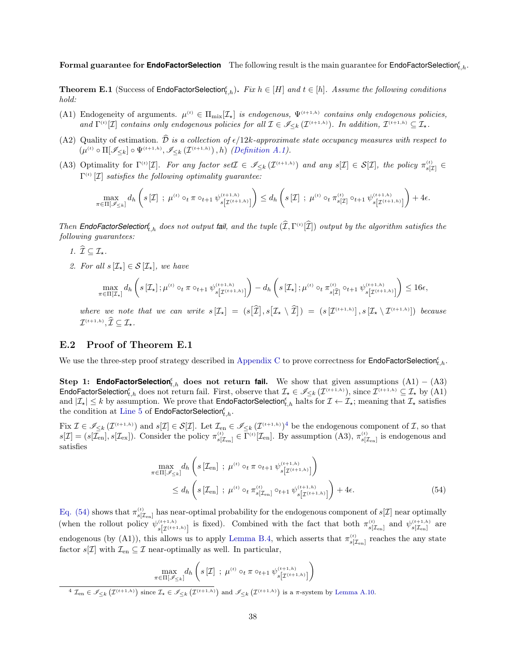<span id="page-37-3"></span> ${\bf Formal~guarantee~for~{\bf EndofactorSelection}$  The following result is the main guarantee for  ${\sf EndofactorSelection}_{t,h}^{\epsilon}.$ 

**Theorem E.1** (Success of EndoFactorSelection<sub>t,h</sub>). Fix  $h \in [H]$  and  $t \in [h]$ . Assume the following conditions hold:

- (A1) Endogeneity of arguments.  $\mu^{(t)} \in \Pi_{\text{mix}}[\mathcal{I}_\star]$  is endogenous,  $\Psi^{(t+1,h)}$  contains only endogenous policies, and  $\Gamma^{(t)}[\mathcal{I}]$  contains only endogenous policies for all  $\mathcal{I} \in \mathscr{I}_{\leq k}(\mathcal{I}^{(t+1,h)})$ . In addition,  $\mathcal{I}^{(t+1,h)} \subseteq \mathcal{I}_{\star}$ .
- (A2) Quality of estimation.  $\hat{\mathcal{D}}$  is a collection of  $\epsilon/12k$ -approximate state occupancy measures with respect to  $(\mu^{(t)} \circ \Pi[\mathscr{I}_{\leq k}] \circ \Psi^{(t+1,h)}, \mathscr{I}_{\leq k}(\mathcal{I}^{(t+1,h)}), h)$  [\(Definition A.1\)](#page-17-1).
- (A3) Optimality for  $\Gamma^{(t)}[\mathcal{I}]$ . For any factor set  $\mathcal{I} \in \mathcal{I}_{\leq k}(\mathcal{I}^{(t+1,h)})$  and any  $s[\mathcal{I}] \in \mathcal{S}[\mathcal{I}]$ , the policy  $\pi_{s[\mathcal{I}]}^{(t)} \in$  $\Gamma^{(t)}\left[\mathcal{I}\right]$  satisfies the following optimality guarantee:

$$
\max_{\pi \in \Pi[\mathscr{I}_{\leq k}]} d_h \left( s[\mathcal{I}] ; \ \mu^{(t)} \circ_t \pi \circ_{t+1} \psi^{(t+1,h)}_{s[\mathcal{I}^{(t+1,h)}]} \right) \leq d_h \left( s[\mathcal{I}] ; \ \mu^{(t)} \circ_t \pi^{(t)}_{s[\mathcal{I}]} \circ_{t+1} \psi^{(t+1,h)}_{s[\mathcal{I}^{(t+1,h)}]} \right) + 4\epsilon.
$$

Then **EndoFactorSelection**<sup> $\epsilon$ </sup><sub>t,h</sub> does not output **fail**, and the tuple  $(\widehat{I}, \Gamma^{(t)}[\widehat{I}])$  output by the algorithm satisfies the following guarantees:

- 1.  $\widehat{\mathcal{I}} \subset \mathcal{I}_{+}$ .
- 2. For all  $s[\mathcal{I}_\star] \in \mathcal{S}[\mathcal{I}_\star]$ , we have

$$
\max_{\pi\in\Pi[\mathcal{I}_\star]}\,d_h\left(s\left[\mathcal{I}_\star\right];\mu^{\scriptscriptstyle(t)}\circ_t\pi\circ_{t+1}\psi^{\scriptscriptstyle(t+1,h)}_{s\left[\mathcal{I}^{\scriptscriptstyle(t+1,h)}\right]}\right)-d_h\left(s\left[\mathcal{I}_\star\right];\mu^{\scriptscriptstyle(t)}\circ_t\pi^{\scriptscriptstyle(t)}_{s\left[\widehat{\mathcal{I}}\right]}\circ_{t+1}\psi^{\scriptscriptstyle(t+1,h)}_{s\left[\mathcal{I}^{\scriptscriptstyle(t+1,h)}\right]}\right)\leq 16\epsilon,
$$

where we note that we can write  $s[\mathcal{I}_\star] = (s[\hat{\mathcal{I}}], s[\mathcal{I}_\star \setminus \hat{\mathcal{I}}]) = (s[\mathcal{I}^{(t+1,h)}], s[\mathcal{I}_\star \setminus \mathcal{I}^{(t+1,h)}])$  because  $\mathcal{I}^{(t+1,h)}, \mathcal{I} \subseteq \mathcal{I}_{\star}.$ 

#### <span id="page-37-0"></span>E.2 Proof of Theorem E.1

We use the three-step proof strategy described in [Appendix C](#page-29-0) to prove correctness for **EndoFactorSelection**<sup> $\epsilon$ </sup>,h.

<span id="page-37-2"></span>Step 1: **EndoFactorSelection**<sup> $\epsilon$ </sup>,h does not return **fail.** We show that given assumptions  $(A1) - (A3)$  $\mathsf{EndoFactorSelection}_{t,h}^{\epsilon}$  does not return fail. First, observe that  $\mathcal{I}_{\star} \in \mathscr{I}_{\leq k}(\mathcal{I}^{(t+1,h)}),$  since  $\mathcal{I}^{(t+1,h)} \subseteq \mathcal{I}_{\star}$  by (A1) and  $|\mathcal{I}_\star| \leq k$  by assumption. We prove that **EndoFactorSelection**<sup> $\epsilon$ </sup>, halts for  $\mathcal{I} \leftarrow \mathcal{I}_\star$ ; meaning that  $\mathcal{I}_\star$  satisfies the condition at [Line 5](#page-47-3) of  $\mathsf{EndoFactorSelection}^{\epsilon}_{t,h}.$ 

 $\text{Fix }\mathcal{I}\in\mathscr{I}_{\leq k}(\mathcal{I}^{(t+1,h)})$  and  $s[\mathcal{I}]\in\mathcal{S}[\mathcal{I}]$ . Let  $\mathcal{I}_{\text{en}}\in\mathscr{I}_{\leq k}(\mathcal{I}^{(t+1,h)})^4$  be the endogenous component of  $\mathcal{I}$ , so that  $s[\mathcal{I}] = (s[\mathcal{I}_{en}], s[\mathcal{I}_{ex}])$ . Consider the policy  $\pi_{s[\mathcal{I}_{en}]}^{(t)} \in \Gamma^{(t)}[\mathcal{I}_{en}]$ . By assumption (A3),  $\pi_{s[\mathcal{I}_{en}]}^{(t)}$  is endogenous and satisfies

<span id="page-37-1"></span>
$$
\max_{\pi \in \Pi[\mathscr{I}_{\leq k}]} d_h \left( s \left[ \mathcal{I}_{\text{en}} \right] ; \ \mu^{(t)} \circ_t \pi \circ_{t+1} \psi_{s \left[ \mathcal{I}^{(t+1,h)} \right]}^{(t+1,h)} \right) \n\leq d_h \left( s \left[ \mathcal{I}_{\text{en}} \right] ; \ \mu^{(t)} \circ_t \pi_{s \left[ \mathcal{I}_{\text{en}} \right]}^{(t)} \circ_{t+1} \psi_{s \left[ \mathcal{I}^{(t+1,h)} \right]}^{(t+1,h)} \right) + 4\epsilon.
$$
\n(54)

[Eq. \(54\)](#page-37-1) shows that  $\pi_{s[\mathcal{I}_{en}]}^{(t)}$  has near-optimal probability for the endogenous component of  $s[\mathcal{I}]$  near optimally (when the rollout policy  $\psi_{s[\mathcal{I}^{(t+1,h)}]}^{(t+1,h)}$  is fixed). Combined with the fact that both  $\pi_{s[\mathcal{I}_{en}]}^{(t)}$  and  $\psi_{s[\mathcal{I}_{en}]}^{(t+1,h)}$  are endogenous (by (A1)), this allows us to apply [Lemma B.4,](#page-26-5) which asserts that  $\pi_{s[\mathcal{I}_{en}]}^{(t)}$  reaches the any state factor  $s[\mathcal{I}]$  with  $\mathcal{I}_{en} \subseteq \mathcal{I}$  near-optimally as well. In particular,

$$
\max_{\pi \in \Pi[\mathscr{I}_{\leq k}]} d_h \left( s[\mathcal{I}] ; \mu^{(t)} \circ_t \pi \circ_{t+1} \psi_{s[\mathcal{I}^{(t+1,h)}]}^{(t+1,h)} \right)
$$
\n
$$
\frac{4 \mathcal{I}_{\text{en}} \in \mathscr{I}_{\leq k}(\mathcal{I}^{(t+1,h)}) \text{ since } \mathcal{I}_{\star} \in \mathscr{I}_{\leq k}(\mathcal{I}^{(t+1,h)}) \text{ and } \mathscr{I}_{\leq k}(\mathcal{I}^{(t+1,h)}) \text{ is a } \pi\text{-system by Lemma A.10.}
$$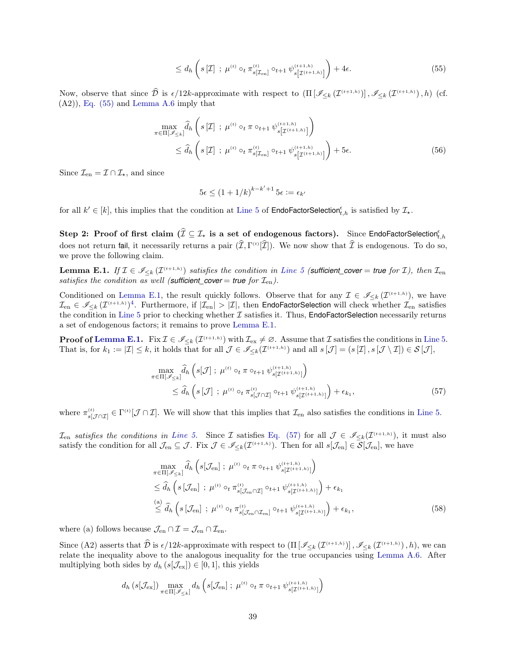<span id="page-38-0"></span>
$$
\leq d_h \left( s \left[ \mathcal{I} \right] \; ; \; \mu^{(t)} \circ_t \pi^{(t)}_{s \left[ \mathcal{I}_{\text{en}} \right]} \circ_{t+1} \psi^{(t+1,h)}_{s \left[ \mathcal{I}^{(t+1,h)} \right]} \right) + 4\epsilon. \tag{55}
$$

Now, observe that since  $\hat{\mathcal{D}}$  is  $\epsilon/12k$ -approximate with respect to  $\left(\prod \left[\mathscr{I}_{\leq k}\left(\mathcal{I}^{(t+1,h)}\right)\right], \mathscr{I}_{\leq k}\left(\mathcal{I}^{(t+1,h)}\right), h\right)$  (cf.  $(A2)$ , Eq.  $(55)$  and [Lemma A.6](#page-19-1) imply that

$$
\max_{\pi \in \Pi[\mathscr{I}_{\leq k}]} \widehat{d}_h \left( s[\mathcal{I}] ; \ \mu^{(t)} \circ_t \pi \circ_{t+1} \psi_{s[\mathcal{I}^{(t+1,h)}]}^{(t+1,h)} \right) \n\leq \widehat{d}_h \left( s[\mathcal{I}] ; \ \mu^{(t)} \circ_t \pi_{s[\mathcal{I}_{\text{en}}]}^{(t)} \circ_{t+1} \psi_{s[\mathcal{I}^{(t+1,h)}]}^{(t+1,h)} \right) + 5\epsilon.
$$
\n(56)

Since  $\mathcal{I}_{en} = \mathcal{I} \cap \mathcal{I}_{\star}$ , and since

$$
5\epsilon \le (1+1/k)^{k-k'+1} 5\epsilon := \epsilon_{k'}
$$

for all  $k' \in [k]$ , this implies that the condition at [Line 5](#page-47-3) of EndoFactorSelection<sub>t, h</sub> is satisfied by  $\mathcal{I}_{\star}$ .

Step 2: Proof of first claim  $(\widehat{\mathcal{I}}\subseteq\mathcal{I}_\star$  is a set of endogenous factors). Since EndoFactorSelection ${}^{\epsilon}_{t,h}$ does not return fail, it necessarily returns a pair  $(\mathcal{I}, \Gamma^{(t)}[\mathcal{I}])$ . We now show that  $\mathcal I$  is endogenous. To do so, we prove the following claim.

<span id="page-38-1"></span>**Lemma E.1.** If  $\mathcal{I} \in \mathcal{I}_{\leq k}(\mathcal{I}^{(t+1,h)})$  satisfies the condition in [Line 5](#page-47-3) (sufficient cover = true for  $\mathcal{I}$ ), then  $\mathcal{I}_{en}$ satisfies the condition as well (**sufficient\_cover** = **true** for  $\mathcal{I}_{en}$ ).

Conditioned on [Lemma E.1,](#page-38-1) the result quickly follows. Observe that for any  $\mathcal{I} \in \mathscr{I}_{\leq k}(\mathcal{I}^{(t+1,h)})$ , we have  $\mathcal{I}_{en} \in \mathscr{I}_{\leq k}(\mathcal{I}^{(t+1,h)})^4$  $\mathcal{I}_{en} \in \mathscr{I}_{\leq k}(\mathcal{I}^{(t+1,h)})^4$ . Furthermore, if  $|\mathcal{I}_{en}| > |\mathcal{I}|$ , then EndoFactorSelection will check whether  $\mathcal{I}_{en}$  satisfies the condition in [Line 5](#page-47-3) prior to checking whether  $\mathcal I$  satisfies it. Thus, EndoFactorSelection necessarily returns a set of endogenous factors; it remains to prove [Lemma E.1.](#page-38-1)

**Proof of [Lemma E.1.](#page-38-1)** Fix  $\mathcal{I} \in \mathscr{I}_{\leq k}(\mathcal{I}^{(t+1,h)})$  with  $\mathcal{I}_{\text{ex}} \neq \emptyset$ . Assume that  $\mathcal{I}$  satisfies the conditions in [Line 5.](#page-47-3) That is, for  $k_1 := |\mathcal{I}| \leq k$ , it holds that for all  $\mathcal{J} \in \mathscr{I}_{\leq k}(\mathcal{I}^{(t+1,h)})$  and all  $s[\mathcal{J}] = (s[\mathcal{I}], s[\mathcal{J} \setminus \mathcal{I}]) \in \mathcal{S}[\mathcal{J}]$ ,

<span id="page-38-2"></span>
$$
\max_{\pi \in \Pi[\mathscr{I}_{\leq k}]} \widehat{d}_h \left( s[\mathcal{J}] \; ; \; \mu^{(t)} \circ_t \pi \circ_{t+1} \psi_{s[\mathcal{I}^{(t+1,h)}]}^{(t+1,h)} \right) \leq \widehat{d}_h \left( s[\mathcal{J}] \; ; \; \mu^{(t)} \circ_t \pi_{s[\mathcal{J} \cap \mathcal{I}]}^{(t)} \circ_{t+1} \psi_{s[\mathcal{I}^{(t+1,h)}]}^{(t+1,h)} \right) + \epsilon_{k_1},
$$
\n
$$
(57)
$$

where  $\pi_{s[\mathcal{J}\cap \mathcal{I}]}^{(t)} \in \Gamma^{(t)}[\mathcal{J}\cap \mathcal{I}].$  We will show that this implies that  $\mathcal{I}_{en}$  also satisfies the conditions in [Line 5.](#page-47-3)

 $\mathcal{I}_{\text{en}}$  satisfies the conditions in [Line 5.](#page-47-3) Since  $\mathcal{I}$  satisfies [Eq. \(57\)](#page-38-2) for all  $\mathcal{J} \in \mathscr{I}_{\leq k}(\mathcal{I}^{(t+1,h)})$ , it must also satisfy the condition for all  $\mathcal{J}_{en} \subseteq \mathcal{J}$ . Fix  $\mathcal{J} \in \mathscr{I}_{\leq k}(\mathcal{I}^{(t+1,h)})$ . Then for all  $s[\mathcal{J}_{en}] \in \mathcal{S}[\mathcal{J}_{en}]$ , we have

<span id="page-38-3"></span>
$$
\max_{\pi \in \Pi[\mathscr{I}_{\leq k}]} \widehat{d}_h \left( s[\mathcal{J}_{\text{en}}] ; \mu^{(t)} \circ_t \pi \circ_{t+1} \psi_{s[\mathcal{I}^{(t+1,h)}]}^{(t+1,h)} \right) \n\leq \widehat{d}_h \left( s[\mathcal{J}_{\text{en}}] ; \mu^{(t)} \circ_t \pi_{s[\mathcal{J}_{\text{en}} \cap \mathcal{I}]}^{(t)} \circ_{t+1} \psi_{s[\mathcal{I}^{(t+1,h)}]}^{(t+1,h)} \right) + \epsilon_{k_1} \n\overset{(a)}{\leq} \widehat{d}_h \left( s[\mathcal{J}_{\text{en}}] ; \mu^{(t)} \circ_t \pi_{s[\mathcal{J}_{\text{en}} \cap \mathcal{I}_{\text{en}}]}^{(t)} \circ_{t+1} \psi_{s[\mathcal{I}^{(t+1,h)}]}^{(t+1,h)} \right) + \epsilon_{k_1},
$$
\n(58)

where (a) follows because  $\mathcal{J}_{en} \cap \mathcal{I} = \mathcal{J}_{en} \cap \mathcal{I}_{en}$ .

Since (A2) asserts that  $\hat{\mathcal{D}}$  is  $\epsilon/12k$ -approximate with respect to  $(\Pi\left[\mathscr{I}_{\leq k}(\mathcal{I}^{(t+1,h)})\right], \mathscr{I}_{\leq k}(\mathcal{I}^{(t+1,h)}), h)$ , we can relate the inequality above to the analogous inequality for the true occupancies using [Lemma A.6.](#page-19-1) After multiplying both sides by  $d_h(s[\mathcal{J}_{ex}]) \in [0,1]$ , this yields

$$
d_h\left(s[\mathcal{J}_{\mathrm{ex}}]\right) \max_{\pi \in \Pi[\mathscr{I}_{\leq k}]} d_h\left(s[\mathcal{J}_{\mathrm{en}}] \ ;\ \mu^{\scriptscriptstyle{(t)}} \circ_t \pi \circ_{t+1} \psi^{\scriptscriptstyle{(t+1,h)}}_{s[\mathcal{I}^{\scriptscriptstyle{(t+1,h)}}]} \right)
$$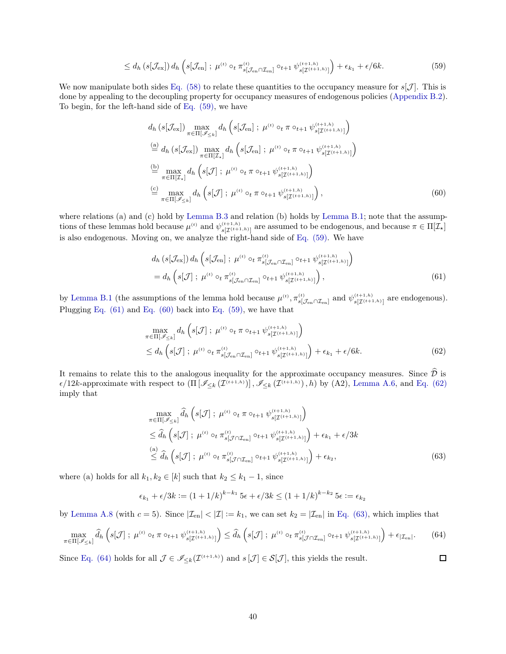$$
\leq d_h\left(s[\mathcal{J}_{\mathrm{ex}}]\right)d_h\left(s[\mathcal{J}_{\mathrm{en}}]\ ;\ \mu^{(t)}\circ_t\pi_{s[\mathcal{J}_{\mathrm{en}}\cap\mathcal{I}_{\mathrm{en}}]}\circ_{t+1}\psi_{s[\mathcal{I}^{(t+1,h)}]}\right)+\epsilon_{k_1}+\epsilon/6k.\tag{59}
$$

We now manipulate both sides [Eq. \(58\)](#page-38-3) to relate these quantities to the occupancy measure for  $s[\mathcal{J}]$ . This is done by appealing to the decoupling property for occupancy measures of endogenous policies [\(Appendix B.2\)](#page-22-0). To begin, for the left-hand side of [Eq. \(59\),](#page-39-0) we have

<span id="page-39-0"></span>
$$
d_h\left(s[\mathcal{J}_{\text{ex}}]\right) \max_{\pi \in \Pi[\mathscr{I}_{\leq k}]} d_h\left(s[\mathcal{J}_{\text{en}}]; \ \mu^{(t)} \circ_t \pi \circ_{t+1} \psi_{s[\mathcal{I}^{(t+1,h)}]}^{(t+1,h)}\right)
$$
\n
$$
\stackrel{\text{(a)}}{=} d_h\left(s[\mathcal{J}_{\text{ex}}]\right) \max_{\pi \in \Pi[\mathcal{I}_\star]} d_h\left(s[\mathcal{J}_{\text{en}}]; \ \mu^{(t)} \circ_t \pi \circ_{t+1} \psi_{s[\mathcal{I}^{(t+1,h)}]}^{(t+1,h)}\right)
$$
\n
$$
\stackrel{\text{(b)}}{=} \max_{\pi \in \Pi[\mathcal{I}_\star]} d_h\left(s[\mathcal{J}]; \ \mu^{(t)} \circ_t \pi \circ_{t+1} \psi_{s[\mathcal{I}^{(t+1,h)}]}^{(t+1,h)}\right)
$$
\n
$$
\stackrel{\text{(c)}}{=} \max_{\pi \in \Pi[\mathscr{I}_{\leq k}]} d_h\left(s[\mathcal{J}]; \ \mu^{(t)} \circ_t \pi \circ_{t+1} \psi_{s[\mathcal{I}^{(t+1,h)}]}^{(t+1,h)}\right), \tag{60}
$$

where relations (a) and (c) hold by [Lemma B.3](#page-26-1) and relation (b) holds by [Lemma B.1;](#page-22-1) note that the assumptions of these lemmas hold because  $\mu^{(t)}$  and  $\psi_{s[\mathcal{I}^{(t+1,h)}]}^{(t+1,h)}$  are assumed to be endogenous, and because  $\pi \in \Pi[\mathcal{I}_\star]$ is also endogenous. Moving on, we analyze the right-hand side of [Eq. \(59\).](#page-39-0) We have

<span id="page-39-2"></span><span id="page-39-1"></span>
$$
d_h\left(s[\mathcal{J}_{\text{ex}}]\right) d_h\left(s[\mathcal{J}_{\text{en}}]; \ \mu^{(t)} \circ_t \pi^{(t)}_{s[\mathcal{J}_{\text{en}} \cap \mathcal{I}_{\text{en}}]} \circ_{t+1} \psi^{(t+1,h)}_{s[\mathcal{I}^{(t+1,h)}]}\right) = d_h\left(s[\mathcal{J}]; \ \mu^{(t)} \circ_t \pi^{(t)}_{s[\mathcal{J}_{\text{en}} \cap \mathcal{I}_{\text{en}}]} \circ_{t+1} \psi^{(t+1,h)}_{s[\mathcal{I}^{(t+1,h)}]}\right),
$$
(61)

by [Lemma B.1](#page-22-1) (the assumptions of the lemma hold because  $\mu^{(t)}$ ,  $\pi_{s[\mathcal{J}_{en} \cap \mathcal{I}_{en}]}^{(t)}$  and  $\psi_{s[\mathcal{J}^{(t+1,h)}]}^{(t+1,h)}$  are endogenous). Plugging [Eq. \(61\)](#page-39-1) and [Eq. \(60\)](#page-39-2) back into [Eq. \(59\),](#page-39-0) we have that

$$
\max_{\pi \in \Pi[\mathscr{I}_{\leq k}]} d_h \left( s[\mathcal{J}] ; \ \mu^{(t)} \circ_t \pi \circ_{t+1} \psi_{s[\mathcal{I}^{(t+1,h)}]}^{(t+1,h)} \right) \leq d_h \left( s[\mathcal{J}] ; \ \mu^{(t)} \circ_t \pi_{s[\mathcal{J}_{\text{en}} \cap \mathcal{I}_{\text{en}}]}^{(t)} \circ_{t+1} \psi_{s[\mathcal{I}^{(t+1,h)}]}^{(t+1,h)} \right) + \epsilon_{k_1} + \epsilon/6k.
$$
\n(62)

It remains to relate this to the analogous inequality for the approximate occupancy measures. Since  $\hat{\mathcal{D}}$  is  $\epsilon/12k$ -approximate with respect to  $(\Pi\big[\mathscr{I}_{\leq k}(\mathcal{I}^{(t+1,h)})\big], \mathscr{I}_{\leq k}(\mathcal{I}^{(t+1,h)}), h)$  by (A2), [Lemma A.6,](#page-19-1) and [Eq. \(62\)](#page-39-3) imply that

$$
\max_{\pi \in \Pi[\mathscr{I}_{\leq k}]} \widehat{d}_h \left( s[\mathcal{J}] ; \ \mu^{(t)} \circ_t \pi \circ_{t+1} \psi_{s[\mathcal{I}^{(t+1,h)}]}^{(t+1,h)} \right) \n\leq \widehat{d}_h \left( s[\mathcal{J}] ; \ \mu^{(t)} \circ_t \pi_{s[\mathcal{J} \cap \mathcal{I}_{en}]}^{(t)} \circ_{t+1} \psi_{s[\mathcal{I}^{(t+1,h)}]}^{(t+1,h)} \right) + \epsilon_{k_1} + \epsilon/3k \n\leq \widehat{d}_h \left( s[\mathcal{J}] ; \ \mu^{(t)} \circ_t \pi_{s[\mathcal{J} \cap \mathcal{I}_{en}]}^{(t)} \circ_{t+1} \psi_{s[\mathcal{I}^{(t+1,h)}]}^{(t+1,h)} \right) + \epsilon_{k_2},
$$
\n(63)

<span id="page-39-5"></span><span id="page-39-4"></span><span id="page-39-3"></span> $\Box$ 

where (a) holds for all  $k_1, k_2 \in [k]$  such that  $k_2 \leq k_1 - 1$ , since

$$
\epsilon_{k_1} + \epsilon/3k := (1 + 1/k)^{k - k_1} 5\epsilon + \epsilon/3k \le (1 + 1/k)^{k - k_2} 5\epsilon := \epsilon_{k_2}
$$

by [Lemma A.8](#page-20-5) (with  $c = 5$ ). Since  $|\mathcal{I}_{en}| < |\mathcal{I}| := k_1$ , we can set  $k_2 = |\mathcal{I}_{en}|$  in [Eq. \(63\),](#page-39-4) which implies that

$$
\max_{\pi \in \Pi[\mathscr{I}_{\leq k}]} \widehat{d}_h \left( s[\mathcal{J}] \; ; \; \mu^{(t)} \circ_t \pi \circ_{t+1} \psi_{s[\mathcal{I}^{(t+1,h)}]}^{(t+1,h)} \right) \leq \widehat{d}_h \left( s[\mathcal{J}] \; ; \; \mu^{(t)} \circ_t \pi_{s[\mathcal{J} \cap \mathcal{I}_{en}]}^{(t)} \circ_{t+1} \psi_{s[\mathcal{I}^{(t+1,h)}]}^{(t+1,h)} \right) + \epsilon_{|\mathcal{I}_{en}|}.
$$

Since [Eq. \(64\)](#page-39-5) holds for all  $\mathcal{J} \in \mathscr{I}_{\leq k}(\mathcal{I}^{(t+1,h)})$  and  $s[\mathcal{J}] \in \mathcal{S}[\mathcal{J}]$ , this yields the result.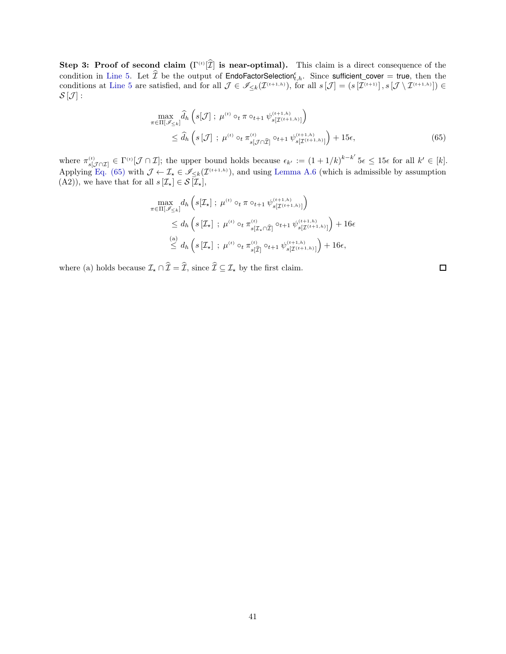Step 3: Proof of second claim  $(\Gamma^{(t)}[\mathcal{I}]$  is near-optimal). This claim is a direct consequence of the condition in [Line 5.](#page-47-3) Let  $\widehat{\mathcal{I}}$  be the output of EndoFactorSelection  $_{t,h}^{\epsilon}$ . Since sufficient cover = true, then the conditions at [Line 5](#page-47-3) are satisfied, and for all  $\mathcal{J} \in \mathscr{I}_{\leq k}(\mathcal{I}^{(t+1,h)})$ , for all  $s[\mathcal{J}] = (s[\mathcal{I}^{(t+1)}], s[\mathcal{J} \setminus \mathcal{I}^{(t+1,h)}]) \in$  $S[\mathcal{J}]$  :

$$
\max_{\pi \in \Pi[\mathscr{I}_{\leq k}]} \widehat{d}_h \left( s[\mathcal{J}] ; \ \mu^{(t)} \circ_t \pi \circ_{t+1} \psi_{s[\mathcal{I}^{(t+1,h)}]}^{(t+1,h)} \right) \n\leq \widehat{d}_h \left( s[\mathcal{J}] ; \ \mu^{(t)} \circ_t \pi_{s[\mathcal{J} \cap \widehat{\mathcal{I}}]}^{(t)} \circ_{t+1} \psi_{s[\mathcal{I}^{(t+1,h)}]}^{(t+1,h)} \right) + 15\epsilon,
$$
\n(65)

where  $\pi_{s[\mathcal{J}\cap \mathcal{I}]}^{(t)} \in \Gamma^{(t)}[\mathcal{J}\cap \mathcal{I}]$ ; the upper bound holds because  $\epsilon_{k'} := (1+1/k)^{k-k'}$   $5\epsilon \leq 15\epsilon$  for all  $k' \in [k]$ . Applying [Eq. \(65\)](#page-40-0) with  $\mathcal{J} \leftarrow \mathcal{I}_{\star} \in \mathcal{I}_{\leq k}(\mathcal{I}^{(t+1,h)})$ , and using [Lemma A.6](#page-19-1) (which is admissible by assumption (A2)), we have that for all  $s[\mathcal{I}_{\star}] \in \mathcal{S}[\mathcal{I}_{\star}],$ 

$$
\max_{\pi \in \Pi[\mathscr{I}_{\leq k}]} d_h \left( s[\mathcal{I}_\star] \; ; \; \mu^{(t)} \circ_t \pi \circ_{t+1} \psi_{s[\mathcal{I}^{(t+1,h)}]}^{(t+1,h)} \right) \leq d_h \left( s[\mathcal{I}_\star] \; ; \; \mu^{(t)} \circ_t \pi_{s[\mathcal{I}_\star \cap \widehat{\mathcal{I}}]}^{(t)} \circ_{t+1} \psi_{s[\mathcal{I}^{(t+1,h)}]}^{(t+1,h)} \right) + 16\epsilon \stackrel{(a)}{\leq} d_h \left( s[\mathcal{I}_\star] \; ; \; \mu^{(t)} \circ_t \pi_{s[\widehat{\mathcal{I}}]}^{(t)} \circ_{t+1} \psi_{s[\mathcal{I}^{(t+1,h)}]}^{(t+1,h)} \right) + 16\epsilon,
$$

where (a) holds because  $\mathcal{I}_\star \cap \widehat{\mathcal{I}} = \widehat{\mathcal{I}}$ , since  $\widehat{\mathcal{I}} \subseteq \mathcal{I}_\star$  by the first claim.

<span id="page-40-0"></span> $\Box$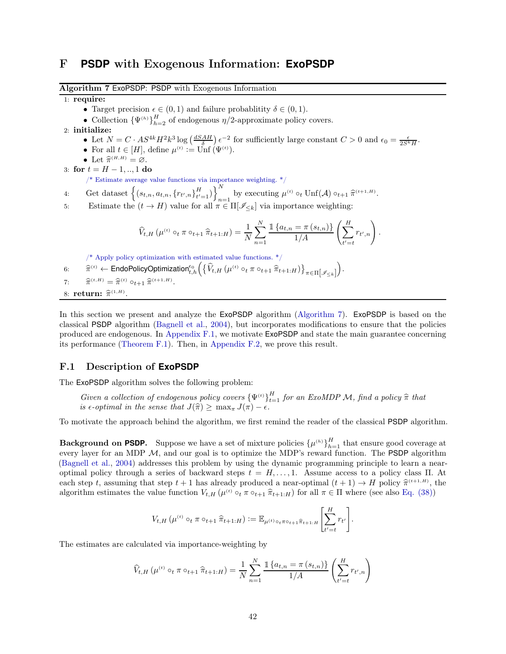### <span id="page-41-1"></span>F **PSDP** with Exogenous Information: **ExoPSDP**

<span id="page-41-0"></span>Algorithm 7 ExoPSDP: PSDP with Exogenous Information

1: require:

- Target precision  $\epsilon \in (0,1)$  and failure probablitity  $\delta \in (0,1)$ .
- Collection  ${\Psi^{(h)}}_{h=2}^H$  of endogenous  $\eta/2$ -approximate policy covers.

2: initialize:

- Let  $N = C \cdot AS^{4k} H^2 k^3 \log \left( \frac{dSAH}{\delta} \right) \epsilon^{-2}$  for sufficiently large constant  $C > 0$  and  $\epsilon_0 = \frac{\epsilon}{2S^k H}$ .
- For all  $t \in [H]$ , define  $\mu^{(t)} := \text{Unf}(\Psi^{(t)})$ .
- Let  $\widehat{\pi}^{(H,H)} = \emptyset$ .

3: for  $t = H - 1, \dots, 1$  do

 $\hspace{0.1mm}/^*$  Estimate average value functions via importance weighting.  $^*/$ 

- 4: Get dataset  $\left\{ (s_{t,n}, a_{t,n}, \{r_{t',n}\}_{t'}^H \right\}$  $_{t'=1}^{H}$ )  $\bigg\}_{n=1}^{N}$ by executing  $\mu^{(t)} \circ_t \text{Unf}(\mathcal{A}) \circ_{t+1} \widehat{\pi}^{(t+1,H)}.$
- 5: Estimate the  $(t \to H)$  value for all  $\pi \in \Pi[\mathscr{I}_{\leq k}]$  via importance weighting:

$$
\widehat{V}_{t,H}(\mu^{(t)} \circ_t \pi \circ_{t+1} \widehat{\pi}_{t+1:H}) = \frac{1}{N} \sum_{n=1}^N \frac{\mathbb{1}\left\{a_{t,n} = \pi\left(s_{t,n}\right)\right\}}{1/A} \left(\sum_{t'=t}^H r_{t',n}\right).
$$

 $/*$  Apply policy optimization with estimated value functions.  $*/$ 

6:  $\hat{\pi}^{(t)} \leftarrow \text{EndoPolicyOptimization}_{t,h}^{\epsilon_0} \Big( \{\widehat{V}_{t,H} \left( \mu^{(t)} \circ_t \pi \circ_{t+1} \widehat{\pi}_{t+1:H} \right) \}_{\pi \in \Pi \left[ \mathscr{I}_{\leq k} \right]}$ .

7:  $\widehat{\pi}$  $(t, H) = \hat{\pi}^{(t)} \circ_{t+1} \hat{\pi}^{(t+1, H)}.$ 

8: **return:**  $\widehat{\pi}^{(1,H)}$ .

In this section we present and analyze the **ExoPSDP** algorithm [\(Algorithm 7\)](#page-41-0). **ExoPSDP** is based on the classical PSDP algorithm [\(Bagnell et al.](#page-12-9), [2004](#page-12-9)), but incorporates modifications to ensure that the policies produced are endogenous. In [Appendix F.1,](#page-41-2) we motivate ExoPSDP and state the main guarantee concerning its performance [\(Theorem F.1\)](#page-42-1). Then, in [Appendix F.2,](#page-42-0) we prove this result.

#### <span id="page-41-2"></span>F.1 Description of **ExoPSDP**

The ExoPSDP algorithm solves the following problem:

Given a collection of endogenous policy covers  ${\Psi^{(t)}}_{t=1}^H$  for an ExoMDP M, find a policy  $\hat{\pi}$  that is  $\epsilon$ -optimal in the sense that  $J(\hat{\pi}) \geq \max_{\pi} J(\pi) - \epsilon$ .

To motivate the approach behind the algorithm, we first remind the reader of the classical PSDP algorithm.

**Background on PSDP.** Suppose we have a set of mixture policies  $\{\mu^{(h)}\}_{h=1}^H$  that ensure good coverage at every layer for an MDP  $M$ , and our goal is to optimize the MDP's reward function. The **PSDP** algorithm [\(Bagnell et al.,](#page-12-9) [2004](#page-12-9)) addresses this problem by using the dynamic programming principle to learn a nearoptimal policy through a series of backward steps  $t = H, \ldots, 1$ . Assume access to a policy class  $\Pi$ . At each step t, assuming that step  $t + 1$  has already produced a near-optimal  $(t + 1) \rightarrow H$  policy  $\hat{\pi}^{(t+1,H)}$ , the algorithm estimates the value function  $V_{t,H}(\mu^{(t)} \circ_t \pi \circ_{t+1} \hat{\pi}_{t+1:H})$  for all  $\pi \in \Pi$  where (see also [Eq. \(38\)\)](#page-28-4)

$$
V_{t,H}(\mu^{(t)} \circ_t \pi \circ_{t+1} \hat{\pi}_{t+1:H}) := \mathbb{E}_{\mu^{(t)} \circ_t \pi \circ_{t+1} \hat{\pi}_{t+1:H}} \left[ \sum_{t'=t}^H r_{t'} \right].
$$

The estimates are calculated via importance-weighting by

$$
\widehat{V}_{t,H}(\mu^{(t)} \circ_t \pi \circ_{t+1} \widehat{\pi}_{t+1:H}) = \frac{1}{N} \sum_{n=1}^{N} \frac{\mathbb{1}\left\{a_{t,n} = \pi\left(s_{t,n}\right)\right\}}{1/A} \left(\sum_{t'=t}^{H} r_{t',n}\right)
$$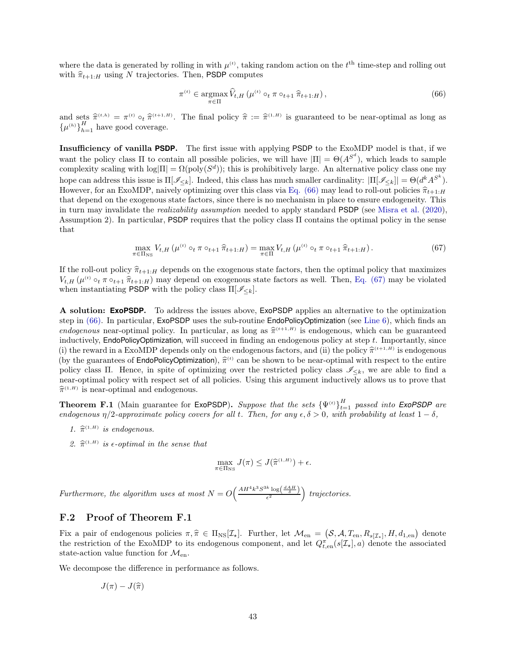where the data is generated by rolling in with  $\mu^{(t)}$ , taking random action on the  $t^{\text{th}}$  time-step and rolling out with  $\hat{\pi}_{t+1:H}$  using N trajectories. Then, PSDP computes

<span id="page-42-3"></span><span id="page-42-2"></span>
$$
\pi^{(t)} \in \underset{\pi \in \Pi}{\operatorname{argmax}} \,\widehat{V}_{t,H} \left( \mu^{(t)} \circ_t \pi \circ_{t+1} \widehat{\pi}_{t+1:H} \right), \tag{66}
$$

and sets  $\hat{\pi}^{(t,h)} = \pi^{(t)} \circ_t \hat{\pi}^{(t+1,H)}$ . The final policy  $\hat{\pi} := \hat{\pi}^{(1,H)}$  is guaranteed to be near-optimal as long as  $\{\mu^{(h)}\}_{h=1}^H$  have good coverage.

Insufficiency of vanilla **PSDP**. The first issue with applying PSDP to the ExoMDP model is that, if we want the policy class  $\Pi$  to contain all possible policies, we will have  $|\Pi| = \Theta(A^{S^d})$ , which leads to sample complexity scaling with  $\log|\Pi| = \Omega(\text{poly}(S^d))$ ; this is prohibitively large. An alternative policy class one my hope can address this issue is  $\Pi[\mathscr{I}_{\leq k}]$ . Indeed, this class has much smaller cardinality:  $|\Pi[\mathscr{I}_{\leq k}]| = \Theta(d^k A^{S^k})$ . However, for an ExoMDP, naively optimizing over this class via [Eq. \(66\)](#page-42-2) may lead to roll-out policies  $\hat{\pi}_{t+1:H}$ that depend on the exogenous state factors, since there is no mechanism in place to ensure endogeneity. This in turn may invalidate the realizability assumption needed to apply standard PSDP (see [Misra et al.](#page-13-5) [\(2020\)](#page-13-5), Assumption 2). In particular, PSDP requires that the policy class Π contains the optimal policy in the sense that

$$
\max_{\pi \in \Pi_{\text{NS}}} V_{t,H} \left( \mu^{(t)} \circ_t \pi \circ_{t+1} \hat{\pi}_{t+1:H} \right) = \max_{\pi \in \Pi} V_{t,H} \left( \mu^{(t)} \circ_t \pi \circ_{t+1} \hat{\pi}_{t+1:H} \right). \tag{67}
$$

If the roll-out policy  $\hat{\pi}_{t+1:H}$  depends on the exogenous state factors, then the optimal policy that maximizes  $V_{t,H}(\mu^{(t)} \circ_t \pi \circ_{t+1} \hat{\pi}_{t+1:H})$  may depend on exogenous state factors as well. Then, [Eq. \(67\)](#page-42-3) may be violated when instantiating PSDP with the policy class  $\Pi[\mathscr{I}_{\leq k}].$ 

A solution: **ExoPSDP**. To address the issues above, ExoPSDP applies an alternative to the optimization step in [\(66\).](#page-42-2) In particular, ExoPSDP uses the sub-routine EndoPolicyOptimization (see [Line 6\)](#page-47-4), which finds an endogenous near-optimal policy. In particular, as long as  $\hat{\pi}^{(t+1,H)}$  is endogenous, which can be guaranteed inductively, EndoPolicyOptimization, will succeed in finding an endogenous policy at step  $t$ . Importantly, since (i) the reward in a ExoMDP depends only on the endogenous factors, and (ii) the policy  $\hat{\pi}^{(t+1,H)}$  is endogenous (by the guarantees of **EndoPolicyOptimization**),  $\hat{\pi}^{(t)}$  can be shown to be near-optimal with respect to the entire policy class Π. Hence, in spite of optimizing over the restricted policy class  $\mathcal{I}_{\leq k}$ , we are able to find a near-optimal policy with respect set of all policies. Using this argument inductively allows us to prove that  $\hat{\pi}^{(1,H)}$  is near-optimal and endogenous.

<span id="page-42-1"></span>**Theorem F.1** (Main guarantee for **ExoPSDP**). Suppose that the sets  ${\Psi^{(t)}}_{t=1}^H$  passed into **ExoPSDP** are endogenous  $\eta/2$ -approximate policy covers for all t. Then, for any  $\epsilon, \delta > 0$ , with probability at least  $1 - \delta$ ,

- 1.  $\hat{\pi}^{(1,H)}$  is endogenous.
- 2.  $\hat{\pi}^{(1,H)}$  is  $\epsilon$ -optimal in the sense that

$$
\max_{\pi \in \Pi_{\mathrm{NS}}} J(\pi) \leq J(\widehat{\pi}^{(1,H)}) + \epsilon.
$$

Furthermore, the algorithm uses at most  $N = O\left(\frac{AH^4k^3S^{3k}\log\left(\frac{dAH}{\delta}\right)}{\epsilon^2}\right)$  trajectories.

#### <span id="page-42-0"></span>F.2 Proof of Theorem F.1

Fix a pair of endogenous policies  $\pi, \hat{\pi} \in \Pi_{\text{NS}}[\mathcal{I}_\star]$ . Further, let  $\mathcal{M}_{\text{en}} = (\mathcal{S}, \mathcal{A}, T_{\text{en}}, R_{s[\mathcal{I}_\star]}, H, d_{1,\text{en}})$  denote the restriction of the ExoMDP to its endogenous component, and let  $Q_{t,en}^{\pi}(s[\mathcal{I}_{\star}],a)$  denote the associated state-action value function for  $\mathcal{M}_{en}$ .

We decompose the difference in performance as follows.

$$
J(\pi)-J(\widehat{\pi})
$$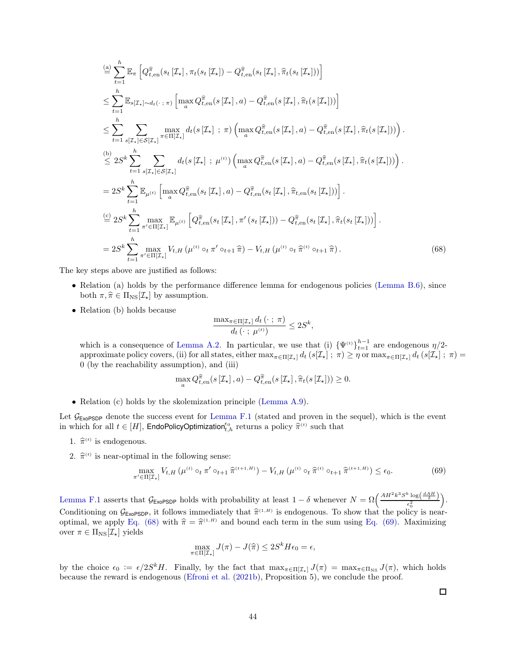$$
\begin{split}\n&\stackrel{(a)}{=} \sum_{t=1}^{h} \mathbb{E}_{\pi} \left[ Q_{t,\text{en}}^{\widehat{\pi}}(s_{t} \left[ \mathcal{I}_{\mathbf{x}} \right], \pi_{t}(s_{t} \left[ \mathcal{I}_{\mathbf{x}} \right]) - Q_{t,\text{en}}^{\widehat{\pi}}(s_{t} \left[ \mathcal{I}_{\mathbf{x}} \right], \widehat{\pi}_{t}(s_{t} \left[ \mathcal{I}_{\mathbf{x}} \right]) ) \right] \\
&\leq \sum_{t=1}^{h} \mathbb{E}_{s[\mathcal{I}_{\mathbf{x}}] \sim d_{t}(\cdot \ ; \pi)} \left[ \max_{a} Q_{t,\text{en}}^{\widehat{\pi}}(s \left[ \mathcal{I}_{\mathbf{x}} \right], a) - Q_{t,\text{en}}^{\widehat{\pi}}(s \left[ \mathcal{I}_{\mathbf{x}} \right], \widehat{\pi}_{t}(s \left[ \mathcal{I}_{\mathbf{x}} \right]) ) \right] \\
&\leq \sum_{t=1}^{h} \sum_{s[\mathcal{I}_{\mathbf{x}}] \in S[\mathcal{I}_{\mathbf{x}}]} \max_{\pi \in \Pi[\mathcal{I}_{\mathbf{x}}]} d_{t}(s \left[ \mathcal{I}_{\mathbf{x}} \right] ; \pi) \left( \max_{a} Q_{t,\text{en}}^{\widehat{\pi}}(s \left[ \mathcal{I}_{\mathbf{x}} \right], a) - Q_{t,\text{en}}^{\widehat{\pi}}(s \left[ \mathcal{I}_{\mathbf{x}} \right], \widehat{\pi}_{t}(s \left[ \mathcal{I}_{\mathbf{x}} \right]) ) \right). \\
&\leq 2S^{k} \sum_{t=1}^{h} \sum_{s[\mathcal{I}_{\mathbf{x}}] \in S[\mathcal{I}_{\mathbf{x}}]} d_{t}(s \left[ \mathcal{I}_{\mathbf{x}} \right] ; \mu^{(t)}) \left( \max_{a} Q_{t,\text{en}}^{\widehat{\pi}}(s \left[ \mathcal{I}_{\mathbf{x}} \right], a) - Q_{t,\text{en}}^{\widehat{\pi}}(s \left[ \mathcal{I}_{\mathbf{x}} \right], \widehat{\pi}_{t}(s \left[ \mathcal{I}_{\mathbf{x}} \right]) ) \right). \\
&= 2S^{k} \sum_{t=1}^{h} \max_{\pi' \in \Pi[\mathcal{I}_{\mathbf{x}}
$$

The key steps above are justified as follows:

- Relation (a) holds by the performance difference lemma for endogenous policies [\(Lemma B.6\)](#page-28-1), since both  $\pi, \hat{\pi} \in \Pi_{\text{NS}}[\mathcal{I}_{\star}]$  by assumption.
- Relation (b) holds because

<span id="page-43-0"></span>
$$
\frac{\max_{\pi \in \Pi[\mathcal{I}_\star]} d_t(\cdot ; \pi)}{d_t(\cdot ; \mu^{(t)})} \leq 2S^k,
$$

which is a consequence of [Lemma A.2.](#page-16-4) In particular, we use that (i)  ${\Psi^{(t)}}_{t=1}^{h-1}$  are endogenous  $\eta/2$ approximate policy covers, (ii) for all states, either  $\max_{\pi \in \Pi[\mathcal{I}_{\star}]} d_t (s[\mathcal{I}_{\star}] ; \pi) \ge \eta$  or  $\max_{\pi \in \Pi[\mathcal{I}_{\star}]} d_t (s[\mathcal{I}_{\star}] ; \pi) =$ 0 (by the reachability assumption), and (iii)

$$
\max_{a} Q_{t, \text{en}}^{\hat{\pi}}(s\left[\mathcal{I}_{\star}\right], a) - Q_{t, \text{en}}^{\hat{\pi}}(s\left[\mathcal{I}_{\star}\right], \hat{\pi}_{t}(s\left[\mathcal{I}_{\star}\right])) \geq 0.
$$

• Relation (c) holds by the skolemization principle [\(Lemma A.9\)](#page-20-0).

Let  $\mathcal{G}_{\text{ExoPSDP}}$  denote the success event for [Lemma F.1](#page-44-2) (stated and proven in the sequel), which is the event in which for all  $t \in [H]$ , **EndoPolicyOptimization**<sup>60</sup><sub>t,h</sub> returns a policy  $\hat{\pi}^{(t)}$  such that

- 1.  $\hat{\pi}^{(t)}$  is endogenous.
- 2.  $\hat{\pi}^{(t)}$  is near-optimal in the following sense:

$$
\max_{\pi' \in \Pi[\mathcal{I}_\star]} V_{t,H} \left( \mu^{(t)} \circ_t \pi' \circ_{t+1} \hat{\pi}^{(t+1,H)} \right) - V_{t,H} \left( \mu^{(t)} \circ_t \hat{\pi}^{(t)} \circ_{t+1} \hat{\pi}^{(t+1,H)} \right) \le \epsilon_0. \tag{69}
$$

[Lemma F.1](#page-44-2) asserts that  $\mathcal{G}_{\text{ExoPSDP}}$  holds with probability at least  $1 - \delta$  whenever  $N = \Omega\left(\frac{AH^2k^3S^k \log\left(\frac{dAH}{\delta}\right)}{\epsilon_0^2}\right)$  $\epsilon_0^2$  . Conditioning on  $\mathcal{G}_{\text{ExoPSDP}}$ , it follows immediately that  $\hat{\pi}^{(1,H)}$  is endogenous. To show that the policy is near-optimal, we apply [Eq. \(68\)](#page-43-0) with  $\hat{\pi} = \hat{\pi}^{(1,H)}$  and bound each term in the sum using [Eq. \(69\).](#page-43-1) Maximizing over  $\pi \in \Pi_{\text{NS}}[\mathcal{I}_{\star}]$  yields

$$
\max_{\pi \in \Pi[\mathcal{I}_\star]} J(\pi) - J(\hat{\pi}) \le 2S^k H \epsilon_0 = \epsilon,
$$

by the choice  $\epsilon_0 := \epsilon/2S^kH$ . Finally, by the fact that  $\max_{\pi \in \Pi[\mathcal{I}_{\star}]} J(\pi) = \max_{\pi \in \Pi_{\text{NS}}} J(\pi)$ , which holds because the reward is endogenous [\(Efroni et al.](#page-12-7) [\(2021b](#page-12-7)), Proposition 5), we conclude the proof.

<span id="page-43-1"></span> $\Box$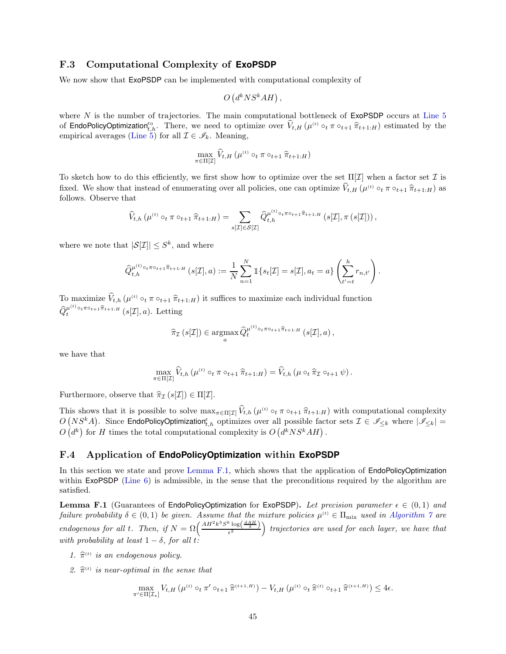#### <span id="page-44-0"></span>F.3 Computational Complexity of **ExoPSDP**

We now show that  $ExoPSDP$  can be implemented with computational complexity of

$$
O\left(d^k N S^k A H\right),\,
$$

where N is the number of trajectories. The main computational bottleneck of  $\mathsf{Ex}$ OPSDP occurs at [Line 5](#page-47-3) of **EndoPolicyOptimization**<sup>60</sup>, There, we need to optimize over  $\hat{V}_{t,H}(\mu^{(t)} \circ_t \pi \circ_{t+1} \hat{\pi}_{t+1:H})$  estimated by the empirical averages [\(Line 5\)](#page-47-3) for all  $\mathcal{I} \in \mathscr{I}_k$ . Meaning,

$$
\max_{\pi \in \Pi[\mathcal{I}]} \widehat{V}_{t,H} \left( \mu^{(t)} \circ_t \pi \circ_{t+1} \widehat{\pi}_{t+1:H} \right)
$$

To sketch how to do this efficiently, we first show how to optimize over the set  $\Pi[\mathcal{I}]$  when a factor set  $\mathcal I$  is fixed. We show that instead of enumerating over all policies, one can optimize  $V_{t,H}(\mu^{(t)} \circ_t \pi \circ_{t+1} \hat{\pi}_{t+1:H})$  as follows. Observe that

$$
\widehat{V}_{t,h}\left(\mu^{(t)}\circ_t\pi\circ_{t+1}\widehat{\pi}_{t+1:H}\right)=\sum_{s[\mathcal{I}]\in\mathcal{S}[\mathcal{I}]}\widehat{Q}_{t,h}^{\mu^{(t)}\circ_t\pi\circ_{t+1}\widehat{\pi}_{t+1:H}}\left(s[\mathcal{I}],\pi\left(s[\mathcal{I}]\right)\right),
$$

where we note that  $|\mathcal{S}[\mathcal{I}]| \leq S^k$ , and where

$$
\widehat{Q}_{t,h}^{\mu^{(t)}\circ_t\pi\circ_{t+1}\widehat{\pi}_{t+1:H}}\left(s[\mathcal{I}],a\right):=\frac{1}{N}\sum_{n=1}^N\mathbbm{1}\{s_t[\mathcal{I}]=s[\mathcal{I}],a_t=a\}\left(\sum_{t'=t}^hr_{n,t'}\right).
$$

To maximize  $V_{t,h}$  ( $\mu^{(t)} \circ_t \pi \circ_{t+1} \hat{\pi}_{t+1:H}$ ) it suffices to maximize each individual function  $\widehat{Q}^{\mu^{(t)} \circ_t \pi \circ_{t+1} \widehat{\pi}_{t+1:H}}$  (s[I], a). Letting

$$
\widehat{\pi}_{\mathcal{I}}\left(s[\mathcal{I}]\right) \in \underset{a}{\operatorname{argmax}} \, \widehat{Q}_t^{\mu^{(t)} \circ_t \pi \circ_{t+1} \widehat{\pi}_{t+1:H}}\left(s[\mathcal{I}],a\right),
$$

we have that

$$
\max_{\pi \in \Pi[\mathcal{I}]}\widehat{V}_{t,h}\left(\mu^{(t)} \circ_t \pi \circ_{t+1} \widehat{\pi}_{t+1:H}\right) = \widehat{V}_{t,h}\left(\mu \circ_t \widehat{\pi}_{\mathcal{I}} \circ_{t+1} \psi\right).
$$

Furthermore, observe that  $\hat{\pi}_{\mathcal{I}}(s[\mathcal{I}]) \in \Pi[\mathcal{I}].$ 

This shows that it is possible to solve  $\max_{\pi \in \Pi[\mathcal{I}]} V_{t,h}(\mu^{\text{(t)}} \circ_t \pi \circ_{t+1} \hat{\pi}_{t+1:H})$  with computational complexity  $O(NS^kA)$ . Since EndoPolicyOptimization<sub>t,h</sub> optimizes over all possible factor sets  $\mathcal{I} \in \mathscr$  $O(d^k)$  for H times the total computational complexity is  $O(d^k N S^k AH)$ .

#### <span id="page-44-1"></span>F.4 Application of **EndoPolicyOptimization** within **ExoPSDP**

In this section we state and prove [Lemma F.1,](#page-44-2) which shows that the application of EndoPolicyOptimization within ExoPSDP [\(Line 6\)](#page-47-4) is admissible, in the sense that the preconditions required by the algorithm are satisfied.

<span id="page-44-2"></span>**Lemma F.1** (Guarantees of EndoPolicyOptimization for ExoPSDP). Let precision parameter  $\epsilon \in (0,1)$  and failure probability  $\delta \in (0,1)$  be given. Assume that the mixture policies  $\mu^{(t)} \in \Pi_{\text{mix}}$  used in [Algorithm 7](#page-41-0) are endogenous for all t. Then, if  $N = \Omega\left(\frac{AH^2k^3S^k\log\left(\frac{dAH}{\delta}\right)}{\epsilon^2}\right)$  trajectories are used for each layer, we have that with probability at least  $1 - \delta$ , for all t.

- 1.  $\hat{\pi}^{(t)}$  is an endogenous policy.
- 2.  $\hat{\pi}^{(t)}$  is near-optimal in the sense that

$$
\max_{\pi' \in \Pi[\mathcal{I}_\star]} V_{t,H} \left( \mu^{(t)} \circ_t \pi' \circ_{t+1} \hat{\pi}^{(t+1,H)} \right) - V_{t,H} \left( \mu^{(t)} \circ_t \hat{\pi}^{(t)} \circ_{t+1} \hat{\pi}^{(t+1,H)} \right) \leq 4\epsilon.
$$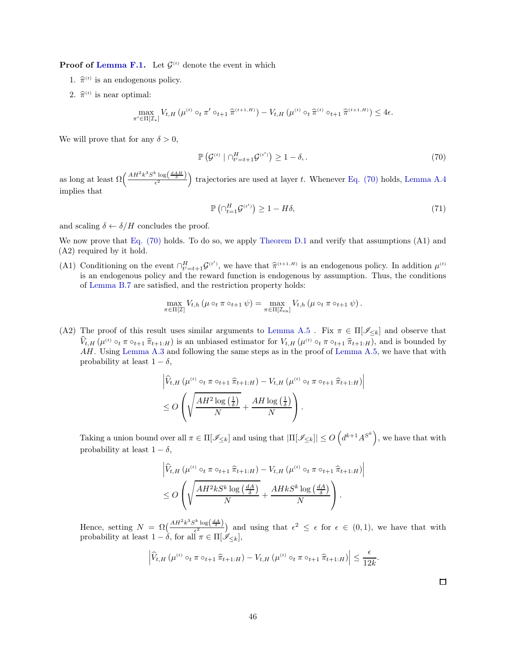**Proof of [Lemma F.1.](#page-44-2)** Let  $\mathcal{G}^{(t)}$  denote the event in which

- 1.  $\hat{\pi}^{(t)}$  is an endogenous policy.
- 2.  $\hat{\pi}^{(t)}$  is near optimal:

$$
\max_{\pi' \in \Pi[\mathcal{I}_{\star}]} V_{t,H}\left(\mu^{\left(t\right)}\circ_t\pi'\circ_{t+1}\widehat{\pi}^{\left(t+1,H\right)}\right) - V_{t,H}\left(\mu^{\left(t\right)}\circ_t\widehat{\pi}^{\left(t\right)}\circ_{t+1}\widehat{\pi}^{\left(t+1,H\right)}\right) \leq 4\epsilon.
$$

We will prove that for any  $\delta > 0$ ,

$$
\mathbb{P}\left(\mathcal{G}^{(t)} \mid \bigcap_{t'=t+1}^{H} \mathcal{G}^{(t')} \right) \ge 1 - \delta,\tag{70}
$$

as long at least  $\Omega\left(\frac{AH^2k^3S^k\log\left(\frac{dAH}{\delta}\right)}{\epsilon^2}\right)$  trajectories are used at layer t. Whenever [Eq. \(70\)](#page-45-0) holds, [Lemma A.4](#page-16-6) implies that

<span id="page-45-0"></span>
$$
\mathbb{P}\left(\cap_{t=1}^{H}\mathcal{G}^{(t')}\right) \ge 1 - H\delta,\tag{71}
$$

and scaling  $\delta \leftarrow \delta / H$  concludes the proof.

We now prove that [Eq. \(70\)](#page-45-0) holds. To do so, we apply [Theorem D.1](#page-32-1) and verify that assumptions (A1) and (A2) required by it hold.

(A1) Conditioning on the event  $\bigcap_{t'=t+1}^{H} \mathcal{G}^{(t')}$ , we have that  $\hat{\pi}^{(t+1,H)}$  is an endogenous policy. In addition  $\mu^{(t)}$ is an endogenous policy and the reward function is endogenous by assumption. Thus, the conditions of [Lemma B.7](#page-28-0) are satisfied, and the restriction property holds:

$$
\max_{\pi \in \Pi[\mathcal{I}]} V_{t,h} \left( \mu \circ_t \pi \circ_{t+1} \psi \right) = \max_{\pi \in \Pi[\mathcal{I}_{\text{en}}]} V_{t,h} \left( \mu \circ_t \pi \circ_{t+1} \psi \right).
$$

(A2) The proof of this result uses similar arguments to [Lemma A.5](#page-17-0). Fix  $\pi \in \Pi[\mathscr{I}_{\leq k}]$  and observe that  $V_{t,H}(\mu^{(t)} \circ_t \pi \circ_{t+1} \hat{\pi}_{t+1:H})$  is an unbiased estimator for  $V_{t,H}(\mu^{(t)} \circ_t \pi \circ_{t+1} \hat{\pi}_{t+1:H})$ , and is bounded by AH. Using [Lemma A.3](#page-16-7) and following the same steps as in the proof of [Lemma A.5,](#page-17-0) we have that with probability at least  $1 - \delta$ ,

$$
\left| \widehat{V}_{t,H} \left( \mu^{(t)} \circ_t \pi \circ_{t+1} \widehat{\pi}_{t+1:H} \right) - V_{t,H} \left( \mu^{(t)} \circ_t \pi \circ_{t+1} \widehat{\pi}_{t+1:H} \right) \right|
$$
  

$$
\leq O\left( \sqrt{\frac{AH^2 \log\left(\frac{1}{\delta}\right)}{N}} + \frac{AH \log\left(\frac{1}{\delta}\right)}{N} \right).
$$

Taking a union bound over all  $\pi \in \Pi[\mathscr{I}_{\leq k}]$  and using that  $|\Pi[\mathscr{I}_{\leq k}]| \leq O\left(d^{k+1}A^{S^k}\right)$ , we have that with probability at least  $1 - \delta$ ,

$$
\left| \widehat{V}_{t,H} \left( \mu^{(t)} \circ_t \pi \circ_{t+1} \widehat{\pi}_{t+1:H} \right) - V_{t,H} \left( \mu^{(t)} \circ_t \pi \circ_{t+1} \widehat{\pi}_{t+1:H} \right) \right|
$$
  

$$
\leq O\left( \sqrt{\frac{AH^2kS^k \log\left(\frac{dA}{\delta}\right)}{N}} + \frac{AHkS^k \log\left(\frac{dA}{\delta}\right)}{N} \right).
$$

Hence, setting  $N = \Omega(\frac{AH^2k^3S^k \log(\frac{dA}{\delta})}{\epsilon^2})$  $\frac{\epsilon^2 \log(\frac{\omega_2}{\delta})}{\epsilon^2}$  and using that  $\epsilon^2 \leq \epsilon$  for  $\epsilon \in (0,1)$ , we have that with probability at least  $1 - \delta$ , for all  $\pi \in \Pi[\mathscr{I}_{\leq k}]$ ,

$$
\left| \widehat{V}_{t,H}\left(\mu^{(t)}\circ_t \pi \circ_{t+1} \widehat{\pi}_{t+1:H}\right) - V_{t,H}\left(\mu^{(t)}\circ_t \pi \circ_{t+1} \widehat{\pi}_{t+1:H}\right) \right| \leq \frac{\epsilon}{12k}.
$$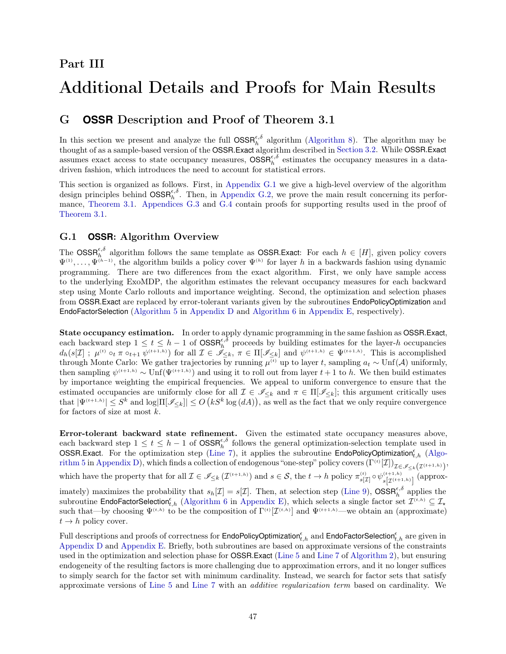# <span id="page-46-1"></span>Part III

# <span id="page-46-0"></span>Additional Details and Proofs for Main Results

# G **OSSR** Description and Proof of Theorem 3.1

In this section we present and analyze the full  $\text{OSSR}_{h}^{\epsilon,\delta}$  algorithm [\(Algorithm 8\)](#page-47-0). The algorithm may be thought of as a sample-based version of the OSSR.Exact algorithm described in [Section 3.2.](#page-7-0) While OSSR.Exact assumes exact access to state occupancy measures,  $\text{OSSR}_{h}^{\epsilon,\delta}$  estimates the occupancy measures in a datadriven fashion, which introduces the need to account for statistical errors.

This section is organized as follows. First, in [Appendix G.1](#page-46-2) we give a high-level overview of the algorithm design principles behind  $\text{OSSR}_{h}^{\epsilon,\delta}$ . Then, in [Appendix G.2,](#page-48-0) we prove the main result concerning its performance, [Theorem 3.1.](#page-9-0) [Appendices G.3](#page-50-0) and [G.4](#page-52-0) contain proofs for supporting results used in the proof of [Theorem 3.1.](#page-9-0)

### <span id="page-46-2"></span>G.1 **OSSR**: Algorithm Overview

The  $\text{OSSR}_{h}^{\epsilon,\delta}$  algorithm follows the same template as **OSSR.Exact:** For each  $h \in [H]$ , given policy covers  $\Psi^{(1)},\ldots,\Psi^{(h-1)}$ , the algorithm builds a policy cover  $\Psi^{(h)}$  for layer h in a backwards fashion using dynamic programming. There are two differences from the exact algorithm. First, we only have sample access to the underlying ExoMDP, the algorithm estimates the relevant occupancy measures for each backward step using Monte Carlo rollouts and importance weighting. Second, the optimization and selection phases from OSSR.Exact are replaced by error-tolerant variants given by the subroutines EndoPolicyOptimization and EndoFactorSelection [\(Algorithm 5](#page-31-0) in [Appendix D](#page-31-1) and [Algorithm 6](#page-35-0) in [Appendix E,](#page-35-1) respectively).

State occupancy estimation. In order to apply dynamic programming in the same fashion as OSSR.Exact, each backward step  $1 \le t \le h-1$  of  $\text{OSSR}_{h}^{\epsilon,\delta}$  proceeds by building estimates for the layer-h occupancies  $d_h(s[\mathcal{I}]; \mu^{(t)} \circ_t \pi \circ_{t+1} \psi^{(t+1,h)})$  for all  $\mathcal{I} \in \tilde{\mathscr{I}}_{\leq k}, \pi \in \Pi[\mathscr{I}_{\leq k}]$  and  $\psi^{(t+1,h)} \in \Psi^{(t+1,h)}$ . This is accomplished through Monte Carlo: We gather trajectories by running  $\mu^{(t)}$  up to layer t, sampling  $a_t \sim \text{Unf}(\mathcal{A})$  uniformly, then sampling  $\psi^{(t+1,h)} \sim \text{Unf}(\Psi^{(t+1,h)})$  and using it to roll out from layer  $t+1$  to h. We then build estimates by importance weighting the empirical frequencies. We appeal to uniform convergence to ensure that the estimated occupancies are uniformly close for all  $\mathcal{I} \in \mathscr{I}_{\leq k}$  and  $\pi \in \Pi[\mathscr{I}_{\leq k}]$ ; this argument critically uses that  $|\Psi^{(t+1,h)}| \leq S^k$  and  $\log|\Pi[\mathcal{I}_{\leq k}]| \leq O(kS^k \log(dA)),$  as well as the fact that we only require convergence for factors of size at most  $k$ .

Error-tolerant backward state refinement. Given the estimated state occupancy measures above, each backward step  $1 \leq t \leq h-1$  of  $\text{OSSR}_{h}^{\epsilon,\delta}$  follows the general optimization-selection template used in OSSR.Exact. For the optimization step [\(Line 7\)](#page-47-5), it applies the subroutine EndoPolicyOptimization<sub>[t,h](#page-31-0)</sub> (Algo- $\operatorname{arithm 5 in Appendix D}),$  which finds a collection of endogenous "one-step" policy covers  $(\Gamma^{(t)}[\mathcal{I}])_{\mathcal{I}\in\mathscr{I}_{\leq k}(\mathcal{I}^{(t+1,h)})},$ which have the property that for all  $\mathcal{I} \in \mathscr{I}_{\leq k}(\mathcal{I}^{(t+1,h)})$  and  $s \in \mathcal{S}$ , the  $t \to h$  policy  $\pi_{s[\mathcal{I}]}^{(t)} \circ \psi_{s[\mathcal{I}^{(t+1,h)}]}^{(t+1,h)}$  (approximately) maximizes the probability that  $s_h[\mathcal{I}] = s[\mathcal{I}]$ . Then, at selection step [\(Line 9\)](#page-47-6),  $\text{OSSR}_{h}^{\epsilon,\delta}$  applies the subroutine **EndoFactorSelection**<sup> $\epsilon$ </sup>,h [\(Algorithm 6](#page-35-0) in [Appendix E\)](#page-35-1), which selects a single factor set  $\mathcal{I}^{(t,h)} \subseteq \mathcal{I}_{\star}$ such that—by choosing  $\Psi^{(t,h)}$  to be the composition of  $\Gamma^{(t)}[\mathcal{I}^{(t,h)}]$  and  $\Psi^{(t+1,h)}$ —we obtain an (approximate)  $t \rightarrow h$  policy cover.

Full descriptions and proofs of correctness for E<mark>ndoPolicyOptimization ${}^{\epsilon}_{t,h}$  and EndoFactorSelection ${}^{\epsilon}_{t,h}$  are given in</mark> [Appendix D](#page-31-1) and [Appendix E.](#page-35-1) Briefly, both subroutines are based on approximate versions of the constraints used in the optimization and selection phase for OSSR.Exact [\(Line 5](#page-47-3) and [Line 7](#page-47-5) of [Algorithm 2\)](#page-8-0), but ensuring endogeneity of the resulting factors is more challenging due to approximation errors, and it no longer suffices to simply search for the factor set with minimum cardinality. Instead, we search for factor sets that satisfy approximate versions of [Line 5](#page-47-3) and [Line 7](#page-47-5) with an additive regularization term based on cardinality. We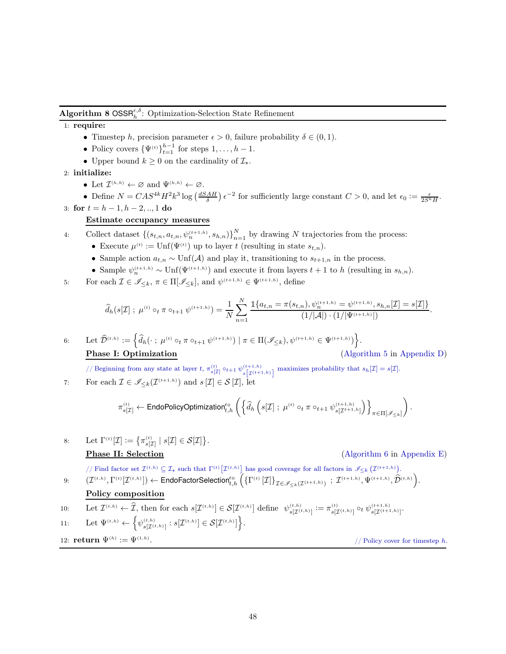# <span id="page-47-0"></span>**Algorithm 8 OSSR**<sup> $\epsilon, \delta$ </sup>: Optimization-Selection State Refinement

#### <span id="page-47-1"></span>1: require:

- Timestep h, precision parameter  $\epsilon > 0$ , failure probability  $\delta \in (0, 1)$ .
- Policy covers  $\{\Psi^{(t)}\}_{t=1}^{h-1}$  for steps  $1, \ldots, h-1$ .
- Upper bound  $k \geq 0$  on the cardinality of  $\mathcal{I}_{\star}$ .

2: initialize:

• Let  $\mathcal{I}^{(h,h)} \leftarrow \emptyset$  and  $\Psi^{(h,h)} \leftarrow \emptyset$ .

<span id="page-47-2"></span>• Define  $N = CAS^{4k}H^2k^3\log\left(\frac{dSAH}{\delta}\right)\epsilon^{-2}$  for sufficiently large constant  $C > 0$ , and let  $\epsilon_0 := \frac{\epsilon}{2S^kH}$ . 3: for  $t = h - 1, h - 2, ..., 1$  do

#### Estimate occupancy measures

4: Collect dataset  $\{(s_{t,n}, a_{t,n}, \psi_n^{(t+1,h)}, s_{h,n})\}_{n=1}^N$  by drawing N trajectories from the process:

- Execute  $\mu^{(t)} := \text{Unf}(\Psi^{(t)})$  up to layer t (resulting in state  $s_{t,n}$ ).
- Sample action  $a_{t,n} \sim \text{Unf}(\mathcal{A})$  and play it, transitioning to  $s_{t+1,n}$  in the process.
- Sample  $\psi_n^{(t+1,h)} \sim \text{Unf}(\Psi^{(t+1,h)})$  and execute it from layers  $t+1$  to h (resulting in  $s_{h,n}$ ).

<span id="page-47-3"></span>5: For each 
$$
\mathcal{I} \in \mathscr{I}_{\leq k}
$$
,  $\pi \in \Pi[\mathscr{I}_{\leq k}]$ , and  $\psi^{(t+1,h)} \in \Psi^{(t+1,h)}$ , define

$$
\widehat{d}_h(s[\mathcal{I}]; \ \mu^{(t)} \circ_t \pi \circ_{t+1} \psi^{(t+1,h)}) = \frac{1}{N} \sum_{n=1}^N \frac{\mathbb{1}\{a_{t,n} = \pi(s_{t,n}), \psi_n^{(t+1,h)} = \psi^{(t+1,h)}, s_{h,n}[\mathcal{I}] = s[\mathcal{I}]\}}{(1/|\mathcal{A}|) \cdot (1/|\Psi^{(t+1,h)}|)}.
$$

<span id="page-47-4"></span>6: Let 
$$
\widehat{\mathcal{D}}^{(t,h)} := \left\{ \widehat{d}_h(\cdot \,;\, \mu^{(t)} \circ_t \pi \circ_{t+1} \psi^{(t+1,h)}) \mid \pi \in \Pi(\mathscr{I}_{\leq k}), \psi^{(t+1,h)} \in \Psi^{(t+1,h)} \right\}.
$$
  
\n**Phase I: Optimization** (Algorithm 5 in Appendix D)

.

<span id="page-47-5"></span>// Beginning from any state at layer t,  $\pi_{s[\mathcal{I}]}^{(t)} \circ t+1 \psi_{s[\mathcal{T}(t+1)]}^{(t+1,h)}$  $\sum_{s}^{(t+1,h)} s[\mathcal{I}^{(t+1,h)}]$  maximizes probability that  $s_h[\mathcal{I}] = s[\mathcal{I}].$ 7: For each  $\mathcal{I} \in \mathscr{I}_{\leq k}(\mathcal{I}^{(t+1,h)})$  and  $s[\mathcal{I}] \in \mathcal{S}[\mathcal{I}],$  let

$$
\pi^{_{(t)}}_{s[\mathcal{I}]}\leftarrow \text{EndoPolicyOptimization}^{\epsilon_0}_{t,h}\left(\left\{\widehat{d}_h\left(s[\mathcal{I}]\ ;\ \mu^{^{(t)}}\circ_t\pi\circ_{t+1}\psi^{^{(t+1,h)}}_{s[\mathcal{I}^{t+1,h}]}\right)\right\}_{\pi\in\Pi[\mathscr{I}_{\leq k}]}\right).
$$

8: Let 
$$
\Gamma^{(t)}[\mathcal{I}] := \left\{ \pi_{s[\mathcal{I}]}^{(t)} \mid s[\mathcal{I}] \in \mathcal{S}[\mathcal{I}] \right\}
$$
  
**Phase II: Selection**

#### $(Algorithm 6 in Appendix E)$  $(Algorithm 6 in Appendix E)$  $(Algorithm 6 in Appendix E)$

*//* Find factor set  $\mathcal{I}^{(t,h)} \subseteq \mathcal{I}_{\star}$  such that  $\Gamma^{(t)}[\mathcal{I}^{(t,h)}]$  has good coverage for all factors in  $\mathscr{I}_{\leq k}(\mathcal{I}^{(t+1,h)})$ .

<span id="page-47-6"></span>
$$
\text{9:}\qquad \big(\mathcal{I}^{(t,h)},\Gamma^{(t)}[\mathcal{I}^{(t,h)}]\big) \leftarrow \text{EndoFactorSelection}_{t,h}^{ \epsilon_0}\left(\left\{\Gamma^{(t)}\left[\mathcal{I}\right]\right\}_{\mathcal{I}\in\mathscr{I}_{\leq k}\left(\mathcal{I}^{(t+1,h)}\right)}\ ;\ \mathcal{I}^{(t+1,h)},\Psi^{(t+1,h)},\hat{\mathcal{D}}^{(t,h)}\right).
$$

Policy composition

10: Let 
$$
\mathcal{I}^{(t,h)} \leftarrow \mathcal{I}
$$
, then for each  $s[\mathcal{I}^{(t,h)}] \in \mathcal{S}[\mathcal{I}^{(t,h)}]$  define  $\psi_{s[\mathcal{I}^{(t,h)}]}^{(t,h)} := \pi_{s[\mathcal{I}^{(t,h)}]}^{(t)} \circ_t \psi_{s[\mathcal{I}^{(t+1,h)}]}^{(t+1,h)}$ .

$$
11\colon \qquad \text{Let } \Psi^{(t,h)} \leftarrow \Big\{ \psi^{(t,h)}_{s[\mathcal I^{(t,h)}]}: s[\mathcal I^{(t,h)}] \in \mathcal S[\mathcal I^{(t,h)}] \Big\}.
$$

12: **return** 
$$
\Psi^{(h)} := \Psi^{(1,h)}
$$
.

// Policy cover for timestep  $h$ .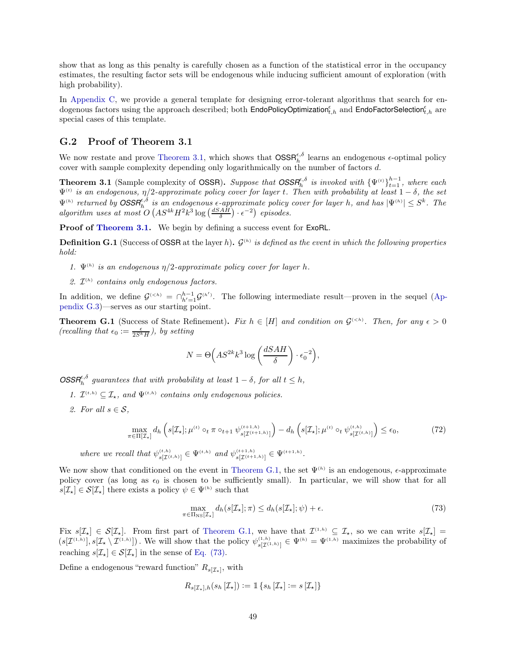show that as long as this penalty is carefully chosen as a function of the statistical error in the occupancy estimates, the resulting factor sets will be endogenous while inducing sufficient amount of exploration (with high probability).

In [Appendix C,](#page-29-0) we provide a general template for designing error-tolerant algorithms that search for endogenous factors using the approach described; both EndoPoli<mark>cyOptimization ${}^{\epsilon}_{t,h}$  and EndoFactorSelection ${}^{\epsilon}_{t,h}$  are</mark> special cases of this template.

#### <span id="page-48-0"></span>G.2 Proof of Theorem 3.1

We now restate and prove [Theorem 3.1,](#page-9-0) which shows that  $\text{OSSR}_{h}^{\epsilon,\delta}$  learns an endogenous  $\epsilon$ -optimal policy cover with sample complexity depending only logarithmically on the number of factors d.

**Theorem 3.1** (Sample complexity of OSSR). Suppose that  $OSSR_h^{\epsilon,\delta}$  is invoked with  $\{\Psi^{(t)}\}_{t=1}^{h-1}$ , where each  $\Psi^{(t)}$  is an endogenous,  $\eta/2$ -approximate policy cover for layer t. Then with probability at least  $1-\delta,$  the set  $\Psi^{(h)}$  returned by  $\text{OSSR}_{h}^{\epsilon,\delta}$  is an endogenous  $\epsilon$ -approximate policy cover for layer h, and has  $|\Psi^{(h)}| \leq S^{k}$ . The algorithm uses at most  $O(AS^{4k}H^2k^3 \log\left(\frac{dSAH}{\delta}\right) \cdot \epsilon^{-2})$  episodes.

<span id="page-48-4"></span>Proof of [Theorem 3.1.](#page-9-0) We begin by defining a success event for ExoRL.

**Definition G.1** (Success of **OSSR** at the layer h).  $\mathcal{G}^{(h)}$  is defined as the event in which the following properties hold:

- 1.  $\Psi^{(h)}$  is an endogenous  $\eta/2$ -approximate policy cover for layer h.
- 2.  $\mathcal{I}^{(h)}$  contains only endogenous factors.

<span id="page-48-1"></span>In addition, we define  $\mathcal{G}^{(< h)} = \bigcap_{h'=1}^{h-1} \mathcal{G}^{(h')}$  $\mathcal{G}^{(< h)} = \bigcap_{h'=1}^{h-1} \mathcal{G}^{(h')}$  $\mathcal{G}^{(< h)} = \bigcap_{h'=1}^{h-1} \mathcal{G}^{(h')}$ . The following intermediate result—proven in the sequel (Appendix G.3)—serves as our starting point.

**Theorem G.1** (Success of State Refinement). Fix  $h \in [H]$  and condition on  $\mathcal{G}^{(< h)}$ . Then, for any  $\epsilon > 0$ (recalling that  $\epsilon_0 := \frac{\epsilon}{2S^kH}$ ), by setting

<span id="page-48-3"></span>
$$
N = \Theta\left(AS^{2k}k^3 \log\left(\frac{dSAH}{\delta}\right) \cdot \epsilon_0^{-2}\right),\,
$$

 $\text{OSSR}_{h}^{\epsilon,\delta}$  guarantees that with probability at least  $1 - \delta$ , for all  $t \leq h$ ,

- 1.  $\mathcal{I}^{(t,h)} \subseteq \mathcal{I}_{\star}$ , and  $\Psi^{(t,h)}$  contains only endogenous policies.
- 2. For all  $s \in \mathcal{S}$ ,

$$
\max_{\pi \in \Pi[\mathcal{I}_{\star}]} d_h \left( s[\mathcal{I}_{\star}]; \mu^{(t)} \circ_t \pi \circ_{t+1} \psi_{s[\mathcal{I}^{(t+1,h)}]}^{(t+1,h)} \right) - d_h \left( s[\mathcal{I}_{\star}]; \mu^{(t)} \circ_t \psi_{s[\mathcal{I}^{(t,h)}]}^{(t,h)} \right) \le \epsilon_0,
$$
\n(72)

where we recall that  $\psi_{s[\mathcal{I}^{(t,h)}]}\in \Psi^{(t,h)}$  and  $\psi_{s[\mathcal{I}^{(t+1,h)}]}\in \Psi^{(t+1,h)}$ .

We now show that conditioned on the event in [Theorem G.1,](#page-48-1) the set  $\Psi^{(h)}$  is an endogenous,  $\epsilon$ -approximate policy cover (as long as  $\epsilon_0$  is chosen to be sufficiently small). In particular, we will show that for all  $s[\mathcal{I}_{\star}] \in \mathcal{S}[\mathcal{I}_{\star}]$  there exists a policy  $\psi \in \Psi^{(h)}$  such that

<span id="page-48-2"></span>
$$
\max_{\pi \in \Pi_{\text{NS}}[\mathcal{I}_{\star}]} d_h(s[\mathcal{I}_{\star}]; \pi) \le d_h(s[\mathcal{I}_{\star}]; \psi) + \epsilon.
$$
\n(73)

Fix  $s[\mathcal{I}_{\star}] \in \mathcal{S}[\mathcal{I}_{\star}]$ . From first part of [Theorem G.1,](#page-48-1) we have that  $\mathcal{I}^{(1,h)} \subseteq \mathcal{I}_{\star}$ , so we can write  $s[\mathcal{I}_{\star}] =$  $(s[\mathcal{I}^{(1,h)}], s[\mathcal{I}_{\star} \setminus \mathcal{I}^{(1,h)}])$ . We will show that the policy  $\psi_{s[\mathcal{I}^{(1,h)}]}^{(1,h)} \in \Psi^{(h)} = \Psi^{(1,h)}$  maximizes the probability of reaching  $s[\mathcal{I}_\star] \in \mathcal{S}[\mathcal{I}_\star]$  in the sense of [Eq. \(73\).](#page-48-2)

Define a endogenous "reward function"  $R_{s[\mathcal{I}_{\star}]}$ , with

$$
R_{s[\mathcal{I}_{\star}],h}(s_h[\mathcal{I}_{\star}]) := \mathbb{1}\left\{s_h[\mathcal{I}_{\star}] := s[\mathcal{I}_{\star}]\right\}
$$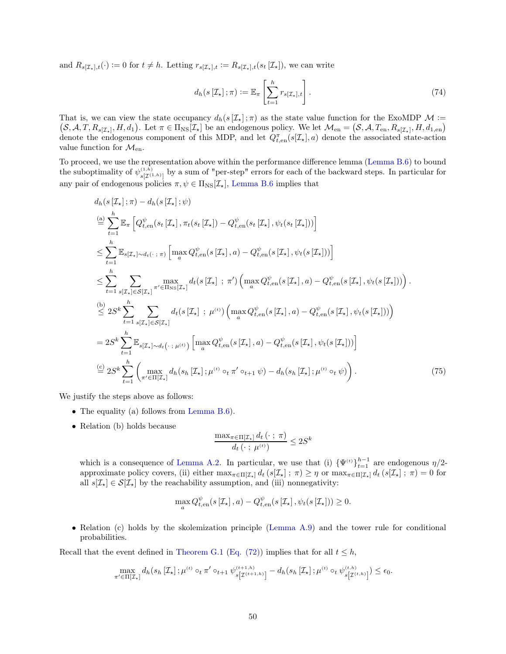and  $R_{s[\mathcal{I}_{\star}],t}(\cdot) := 0$  for  $t \neq h$ . Letting  $r_{s[\mathcal{I}_{\star}],t} := R_{s[\mathcal{I}_{\star}],t}(s_t[\mathcal{I}_{\star}])$ , we can write

$$
d_h(s[\mathcal{I}_\star]; \pi) := \mathbb{E}_\pi \left[ \sum_{t=1}^h r_{s[\mathcal{I}_\star], t} \right]. \tag{74}
$$

That is, we can view the state occupancy  $d_h(s[\mathcal{I}_\star];\pi)$  as the state value function for the ExoMDP  $\mathcal{M}$  :=  $S, A, T, R_{s[\mathcal{I}_{\star}]}, H, d_1$ . Let  $\pi \in \Pi_{\text{NS}}[\mathcal{I}_{\star}]$  be an endogenous policy. We let  $\mathcal{M}_{en} = (S, \mathcal{A}, T_{en}, R_{s[\mathcal{I}_{\star}]}, H, d_{1, en})$ denote the endogenous component of this MDP, and let  $Q_{t, en}^{\pi}(s[\mathcal{I}_{\star}], a)$  denote the associated state-action value function for  $\mathcal{M}_{en}$ .

To proceed, we use the representation above within the performance difference lemma [\(Lemma B.6\)](#page-28-1) to bound the suboptimality of  $\psi^{(1,h)}_{s[\mathcal{I}^{(1,h)}]}$  by a sum of "per-step" errors for each of the backward steps. In particular for any pair of endogenous policies  $\pi, \psi \in \Pi_{\text{NS}}[\mathcal{I}_{\star}],$  [Lemma B.6](#page-28-1) implies that

$$
d_{h}(s\left[\mathcal{I}_{\star}\right];\pi) - d_{h}(s\left[\mathcal{I}_{\star}\right];\psi)
$$
\n
$$
\stackrel{(a)}{=} \sum_{t=1}^{h} \mathbb{E}_{\pi} \left[ Q_{t,\text{en}}^{{\psi}}(s_{t}\left[\mathcal{I}_{\star}\right],\pi_{t}(s_{t}\left[\mathcal{I}_{\star}\right]) - Q_{t,\text{en}}^{\psi}(s_{t}\left[\mathcal{I}_{\star}\right],\psi_{t}(s_{t}\left[\mathcal{I}_{\star}\right]) \right]
$$
\n
$$
\leq \sum_{t=1}^{h} \mathbb{E}_{s[\mathcal{I}_{\star}]\sim d_{t}(\cdot;\pi)} \left[ \max_{a} Q_{t,\text{en}}^{\psi}(s\left[\mathcal{I}_{\star}\right],a) - Q_{t,\text{en}}^{\psi}(s\left[\mathcal{I}_{\star}\right],\psi_{t}(s\left[\mathcal{I}_{\star}\right]) \right) \right]
$$
\n
$$
\leq \sum_{t=1}^{h} \sum_{s[\mathcal{I}_{\star}]\in S[\mathcal{I}_{\star}]} \max_{\pi' \in \Pi_{\text{NS}}[\mathcal{I}_{\star}]} d_{t}(s\left[\mathcal{I}_{\star}\right];\pi') \left( \max_{a} Q_{t,\text{en}}^{\psi}(s\left[\mathcal{I}_{\star}\right],a) - Q_{t,\text{en}}^{\psi}(s\left[\mathcal{I}_{\star}\right],\psi_{t}(s\left[\mathcal{I}_{\star}\right]) \right) \right).
$$
\n
$$
\stackrel{(b)}{\leq} 2S^{k} \sum_{t=1}^{h} \sum_{s[\mathcal{I}_{\star}]\in S[\mathcal{I}_{\star}]} d_{t}(s\left[\mathcal{I}_{\star}\right];\mu^{(t)}) \left( \max_{a} Q_{t,\text{en}}^{\psi}(s\left[\mathcal{I}_{\star}\right],a) - Q_{t,\text{en}}^{\psi}(s\left[\mathcal{I}_{\star}\right],\psi_{t}(s\left[\mathcal{I}_{\star}\right]) \right)
$$
\n
$$
= 2S^{k} \sum_{t=1}^{h} \mathbb{E}_{s[\mathcal{I}_{\star}]\sim d_{t}(\cdot;\mu^{(t)})} \left[ \max_{a} Q_{t,\text{en}}^{\psi}(s\left[\mathcal{I}_{\star
$$

We justify the steps above as follows:

- The equality (a) follows from [Lemma B.6\)](#page-28-1).
- Relation (b) holds because

<span id="page-49-0"></span>
$$
\frac{\max_{\pi \in \Pi[\mathcal{I}_\star]} d_t(\cdot ; \pi)}{d_t(\cdot ; \mu^{(t)})} \le 2S^k
$$

which is a consequence of [Lemma A.2.](#page-16-4) In particular, we use that (i)  ${\Psi^{(t)}}_{t=1}^{h-1}$  are endogenous  $\eta/2$ approximate policy covers, (ii) either  $\max_{\pi \in \Pi[\mathcal{I}_{\star}]} d_t (s[\mathcal{I}_{\star}] ; \pi) \geq \eta$  or  $\max_{\pi \in \Pi[\mathcal{I}_{\star}]} d_t (s[\mathcal{I}_{\star}] ; \pi) = 0$  for all  $s[\mathcal{I}_{\star}] \in \mathcal{S}[\mathcal{I}_{\star}]$  by the reachability assumption, and (iii) nonnegativity:

$$
\max_{a} Q_{t, en}^{\psi}(s[\mathcal{I}_{\star}], a) - Q_{t, en}^{\psi}(s[\mathcal{I}_{\star}], \psi_{t}(s[\mathcal{I}_{\star}])) \geq 0.
$$

• Relation (c) holds by the skolemization principle [\(Lemma A.9\)](#page-20-0) and the tower rule for conditional probabilities.

Recall that the event defined in [Theorem G.1](#page-48-1) [\(Eq. \(72\)\)](#page-48-3) implies that for all  $t \leq h$ ,

$$
\max_{\pi' \in \Pi[\mathcal{I}_{\star}]} d_h(s_h[\mathcal{I}_{\star}]; \mu^{(t)} \circ_t \pi' \circ_{t+1} \psi_{s[\mathcal{I}^{(t+1,h)}]}^{(t+1,h)} - d_h(s_h[\mathcal{I}_{\star}]; \mu^{(t)} \circ_t \psi_{s[\mathcal{I}^{(t,h)}]}^{(t,h)}) \leq \epsilon_0.
$$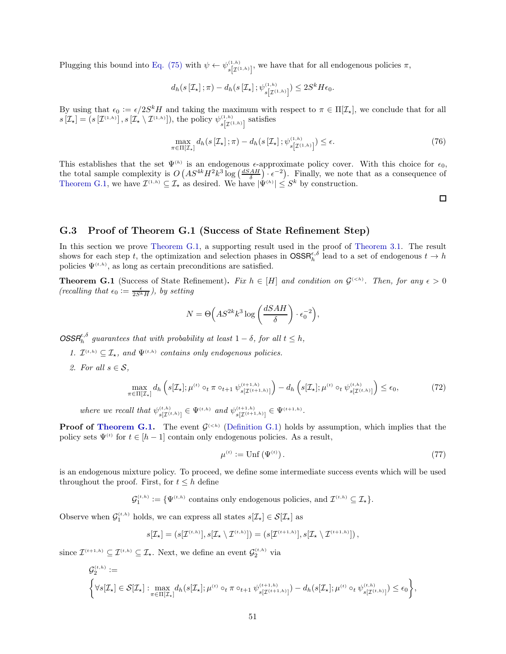Plugging this bound into [Eq. \(75\)](#page-49-0) with  $\psi \leftarrow \psi_{s[\mathcal{I}^{(1,h)}]}^{(1,h)}$ , we have that for all endogenous policies  $\pi$ ,

$$
d_h\big(s\left[\mathcal{I}_\star\right];\pi\big)-d_h\big(s\left[\mathcal{I}_\star\right];\psi^{(1,h)}_{s\left[\mathcal{I}^{(1,h)}\right]}\big)\leq 2S^kH\epsilon_0.
$$

By using that  $\epsilon_0 := \epsilon/2S^kH$  and taking the maximum with respect to  $\pi \in \Pi[\mathcal{I}_\star]$ , we conclude that for all  $s[\mathcal{I}_{\star}] = (s[\mathcal{I}^{(1,h)}], s[\mathcal{I}_{\star} \setminus \mathcal{I}^{(1,h)}]),$  the policy  $\psi_{s[\mathcal{I}^{(1,h)}]}^{(1,h)}$  satisfies

$$
\max_{\pi \in \Pi[\mathcal{I}_\star]} d_h(s[\mathcal{I}_\star]; \pi) - d_h(s[\mathcal{I}_\star]; \psi_{s[\mathcal{I}^{(1,h)}])}^{(1,h)} \le \epsilon. \tag{76}
$$

This establishes that the set  $\Psi^{(h)}$  is an endogenous  $\epsilon$ -approximate policy cover. With this choice for  $\epsilon_0$ , the total sample complexity is  $O(AS^{4k}H^2k^3\log\left(\frac{dSAH}{\delta}\right)\cdot\epsilon^{-2})$ . Finally, we note that as a consequence of [Theorem G.1,](#page-48-1) we have  $\mathcal{I}^{(1,h)} \subseteq \mathcal{I}_{\star}$  as desired. We have  $|\Psi^{(h)}| \leq S^k$  by construction.

 $\Box$ 

#### <span id="page-50-0"></span>G.3 Proof of Theorem G.1 (Success of State Refinement Step)

In this section we prove [Theorem G.1,](#page-48-1) a supporting result used in the proof of [Theorem 3.1.](#page-9-0) The result shows for each step t, the optimization and selection phases in  $\text{OSSR}_{h}^{\epsilon,\delta}$  lead to a set of endogenous  $t \to h$ policies  $\Psi^{(t,h)}$ , as long as certain preconditions are satisfied.

**Theorem G.1** (Success of State Refinement). Fix  $h \in [H]$  and condition on  $\mathcal{G}^{(< h)}$ . Then, for any  $\epsilon > 0$ (recalling that  $\epsilon_0 := \frac{\epsilon}{2S^kH}$ ), by setting

$$
N = \Theta\Big(AS^{2k}k^3\log\left(\frac{dSAH}{\delta}\right)\cdot\epsilon_0^{-2}\Big),\,
$$

 $\text{OSSR}_{h}^{\epsilon,\delta}$  guarantees that with probability at least  $1 - \delta$ , for all  $t \leq h$ ,

- 1.  $\mathcal{I}^{(t,h)} \subseteq \mathcal{I}_{\star}$ , and  $\Psi^{(t,h)}$  contains only endogenous policies.
- 2. For all  $s \in \mathcal{S}$ ,

$$
\max_{\pi \in \Pi[\mathcal{I}_{\star}]} d_h \left( s[\mathcal{I}_{\star}]; \mu^{(t)} \circ_t \pi \circ_{t+1} \psi_{s[\mathcal{I}^{(t+1,h)}]}^{(t+1,h)} \right) - d_h \left( s[\mathcal{I}_{\star}]; \mu^{(t)} \circ_t \psi_{s[\mathcal{I}^{(t,h)}]}^{(t,h)} \right) \le \epsilon_0,
$$
\n(72)

where we recall that  $\psi_{s[\mathcal{I}^{(t,h)}]}\in \Psi^{(t,h)}$  and  $\psi_{s[\mathcal{I}^{(t+1,h)}]}\in \Psi^{(t+1,h)}$ .

**Proof of [Theorem G.1.](#page-48-1)** The event  $\mathcal{G}^{(< h)}$  [\(Definition G.1\)](#page-48-4) holds by assumption, which implies that the policy sets  $\Psi^{(t)}$  for  $t \in [h-1]$  contain only endogenous policies. As a result,

<span id="page-50-1"></span>
$$
\mu^{(t)} := \text{Unf}\left(\Psi^{(t)}\right). \tag{77}
$$

is an endogenous mixture policy. To proceed, we define some intermediate success events which will be used throughout the proof. First, for  $t \leq h$  define

 $\mathcal{G}_1^{(t,h)} := \{ \Psi^{(t,h)} \text{ contains only endogenous policies, and } \mathcal{I}^{(t,h)} \subseteq \mathcal{I}_{\star} \}.$ 

Observe when  $\mathcal{G}_1^{(t,h)}$  holds, we can express all states  $s[\mathcal{I}_{\star}] \in \mathcal{S}[\mathcal{I}_{\star}]$  as

$$
s[\mathcal{I}_{\star}] = (s[\mathcal{I}^{(t,h)}], s[\mathcal{I}_{\star} \setminus \mathcal{I}^{(t,h)}]) = (s[\mathcal{I}^{(t+1,h)}], s[\mathcal{I}_{\star} \setminus \mathcal{I}^{(t+1,h)}])\,,
$$

since  $\mathcal{I}^{(t+1,h)} \subseteq \mathcal{I}^{(t,h)} \subseteq \mathcal{I}_{\star}$ . Next, we define an event  $\mathcal{G}_2^{(t,h)}$  via

$$
\mathcal{G}_{2}^{(t,h)} := \left\{ \forall s [\mathcal{I}_{\star}] \in \mathcal{S}[\mathcal{I}_{\star}] : \max_{\pi \in \Pi[\mathcal{I}_{\star}]} d_{h}(s[\mathcal{I}_{\star}]; \mu^{(t)} \circ_{t} \pi \circ_{t+1} \psi_{s[\mathcal{I}^{(t+1,h)}]}^{(t+1,h)}) - d_{h}(s[\mathcal{I}_{\star}]; \mu^{(t)} \circ_{t} \psi_{s[\mathcal{I}^{(t,h)}]}^{(t,h)}) \leq \epsilon_{0} \right\},
$$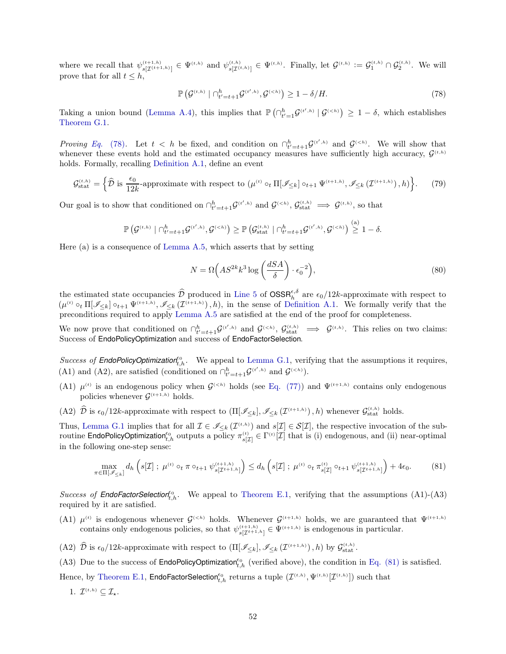where we recall that  $\psi_{s[\mathcal{I}^{(t+1,h)}]}^{(t+1,h)} \in \Psi^{(t,h)}$  and  $\psi_{s[\mathcal{I}^{(t,h)}]}^{(t,h)} \in \Psi^{(t,h)}$ . Finally, let  $\mathcal{G}^{(t,h)} := \mathcal{G}_1^{(t,h)} \cap \mathcal{G}_2^{(t,h)}$ . We will prove that for all  $t \leq h$ ,

<span id="page-51-0"></span>
$$
\mathbb{P}\left(\mathcal{G}^{(t,h)} \mid \bigcap_{t'=t+1}^{h} \mathcal{G}^{(t',h)}, \mathcal{G}^{(
$$

Taking a union bound [\(Lemma A.4\)](#page-16-6), this implies that  $\mathbb{P}(\bigcap_{t'=1}^h \mathcal{G}^{(t',h)} | \mathcal{G}^{(, which establishes$ [Theorem G.1.](#page-48-1)

*Proving Eq.* [\(78\)](#page-51-0). Let  $t < h$  be fixed, and condition on  $\bigcap_{t'=t+1}^{h} \mathcal{G}^{(t',h)}$  and  $\mathcal{G}^{(. We will show that$ whenever these events hold and the estimated occupancy measures have sufficiently high accuracy,  $\mathcal{G}^{(t,h)}$ holds. Formally, recalling [Definition A.1,](#page-17-1) define an event

$$
\mathcal{G}_{\text{stat}}^{(t,h)} = \left\{ \widehat{\mathcal{D}} \text{ is } \frac{\epsilon_0}{12k} \text{-approximate with respect to } \left( \mu^{(t)} \circ_t \Pi[\mathscr{I}_{\leq k}] \circ_{t+1} \Psi^{(t+1,h)}, \mathscr{I}_{\leq k}(\mathcal{I}^{(t+1,h)}), h \right) \right\}. \tag{79}
$$

Our goal is to show that conditioned on  $\bigcap_{t'=t+1}^h \mathcal{G}^{(t',h)}$  and  $\mathcal{G}^{(,  $\mathcal{G}^{(t,h)}$   $\implies \mathcal{G}^{(t,h)}$ , so that$ 

$$
\mathbb{P}\left(\mathcal{G}^{(t,h)}\mid \cap_{t'=t+1}^h\mathcal{G}^{(t',h)},\mathcal{G}^{(
$$

Here (a) is a consequence of [Lemma A.5,](#page-17-0) which asserts that by setting

<span id="page-51-1"></span>
$$
N = \Omega\left(AS^{2k}k^3 \log\left(\frac{dSA}{\delta}\right) \cdot \epsilon_0^{-2}\right),\tag{80}
$$

the estimated state occupancies  $\widehat{\mathcal{D}}$  produced in [Line 5](#page-47-3) of  $\text{OSSR}_{h}^{\epsilon,\delta}$  are  $\epsilon_0/12k$ -approximate with respect to  $(\mu^{(t)} \circ_t \Pi[\mathscr{I}_{\leq k}] \circ_{t+1} \Psi^{(t+1,h)}, \mathscr{I}_{\leq k}(\mathcal{I}^{(t+1,h)}), h),$  in the sense of [Definition A.1.](#page-17-1) We formally verify that the preconditions required to apply [Lemma A.5](#page-17-0) are satisfied at the end of the proof for completeness.

We now prove that conditioned on  $\bigcap_{t'=t+1}^h \mathcal{G}^{(t',h)}$  and  $\mathcal{G}^{(,  $\mathcal{G}^{(t,h)}_{\text{stat}} \implies \mathcal{G}^{(t,h)}$ . This relies on two claims:$ Success of EndoPolicyOptimization and success of EndoFactorSelection.

Success of **EndoPolicyOptimization**<sup> $\epsilon_0$ </sup>, We appeal to [Lemma G.1,](#page-52-1) verifying that the assumptions it requires, (A1) and (A2), are satisfied (conditioned on  $\bigcap_{t'=t+1}^h \mathcal{G}^{(t',h)}$  and  $\mathcal{G}^{().$ 

- (A1)  $\mu^{(t)}$  is an endogenous policy when  $\mathcal{G}^{(< h)}$  holds (see [Eq. \(77\)\)](#page-50-1) and  $\Psi^{(t+1,h)}$  contains only endogenous policies whenever  $\mathcal{G}^{(t+1,h)}$  holds.
- (A2)  $\hat{\mathcal{D}}$  is  $\epsilon_0/12k$ -approximate with respect to  $(\Pi[\mathscr{I}_{\leq k}], \mathscr{I}_{\leq k}(\mathcal{I}^{(t+1,h)}), h)$  whenever  $\mathcal{G}^{(t,h)}_{\text{stat}}$  holds.

Thus, [Lemma G.1](#page-52-1) implies that for all  $\mathcal{I} \in \mathscr{I}_{\leq k}(\mathcal{I}^{(t,h)})$  and  $s[\mathcal{I}] \in \mathcal{S}[\mathcal{I}]$ , the respective invocation of the subroutine EndoPolicyOptimization<sup>60</sup><sub>t,h</sub> outputs a policy  $\pi_{s[\mathcal{I}]}^{(t)} \in \Gamma^{(t)}[\mathcal{I}]$  that is (i) endogenous, and (ii) near-optimal in the following one-step sense:

$$
\max_{\pi \in \Pi[\mathscr{I}_{\leq k}]} d_h \left( s[\mathcal{I}] \; ; \; \mu^{(t)} \circ_t \pi \circ_{t+1} \psi_{s[\mathcal{I}^{t+1,h}]}^{(t+1,h)} \right) \leq d_h \left( s[\mathcal{I}] \; ; \; \mu^{(t)} \circ_t \pi_{s[\mathcal{I}]}^{(t)} \circ_{t+1} \psi_{s[\mathcal{I}^{t+1,h}]}^{(t+1,h)} \right) + 4\epsilon_0. \tag{81}
$$

Success of **EndoFactorSelection**<sup> $\epsilon_0$ </sup>, We appeal to [Theorem E.1,](#page-37-3) verifying that the assumptions (A1)-(A3) required by it are satisfied.

- (A1)  $\mu^{(t)}$  is endogenous whenever  $\mathcal{G}^{(< h)}$  holds. Whenever  $\mathcal{G}^{(t+1,h)}$  holds, we are guaranteed that  $\Psi^{(t+1,h)}$ contains only endogenous policies, so that  $\psi_{s[\mathcal{I}^{t+1,h}]}^{(t+1,h)} \in \Psi^{(t+1,h)}$  is endogenous in particular.
- (A2)  $\hat{\mathcal{D}}$  is  $\epsilon_0/12k$ -approximate with respect to  $(\Pi[\mathscr{I}_{\leq k}], \mathscr{I}_{\leq k}(\mathcal{I}^{(t+1,h)}), h)$  by  $\mathcal{G}_{\text{stat}}^{(t,h)}$ .

(A3) Due to the success of EndoPolicyOptimization<sup> $\epsilon_0$ </sup>, (verified above), the condition in [Eq. \(81\)](#page-51-1) is satisfied.

Hence, by [Theorem E.1,](#page-37-3)  $\mathsf{EndoFactorSelection}_{t,h}^{e_0}$  returns a tuple  $(\mathcal{I}^{(t,h)}, \Psi^{(t,h)}[\mathcal{I}^{(t,h)}])$  such that

1.  $\mathcal{I}^{(t,h)} \subseteq \mathcal{I}_{\star}.$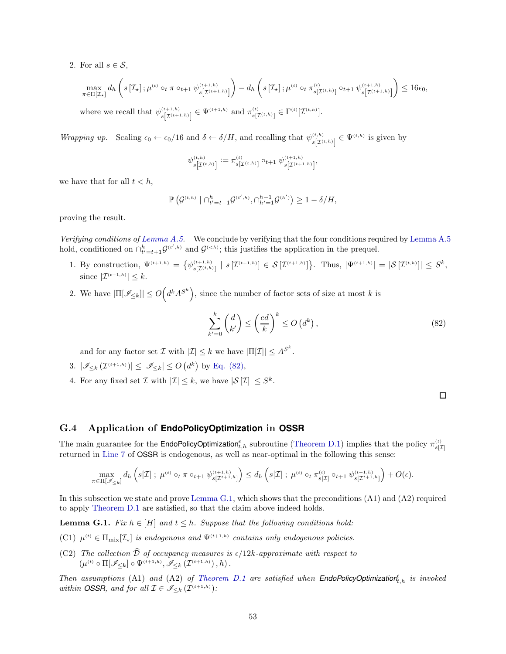2. For all  $s \in \mathcal{S}$ ,

$$
\max_{\pi \in \Pi[\mathcal{I}_{\star}]} d_h \left( s\left[\mathcal{I}_{\star}\right]; \mu^{(t)} \circ_t \pi \circ_{t+1} \psi_{s\left[\mathcal{I}^{(t+1,h)}\right]}^{(t+1,h)} \right) - d_h \left( s\left[\mathcal{I}_{\star}\right]; \mu^{(t)} \circ_t \pi_{s\left[\mathcal{I}^{(t,h)}\right]}^{(t)} \circ_{t+1} \psi_{s\left[\mathcal{I}^{(t+1,h)}\right]}^{(t+1,h)} \right) \leq 16\epsilon_0,
$$
\nwhere we recall that  $\psi_{s\left[\mathcal{I}^{(t+1,h)}\right]}^{(t+1,h)} \in \Psi^{(t+1,h)}_{s\left[\mathcal{I}^{(t+1,h)}\right]}$  and  $\pi_{s\left[\mathcal{I}^{(t,h)}\right]}^{(t)} \in \Gamma^{(t)}\left[\mathcal{I}^{(t,h)}\right].$ 

Wrapping up. Scaling  $\epsilon_0 \leftarrow \epsilon_0/16$  and  $\delta \leftarrow \delta/H$ , and recalling that  $\psi_{s[\mathcal{I}^{(t,h)}]}^{(t,h)} \in \Psi^{(t,h)}$  is given by

$$
\psi^{(t,h)}_{s \left[\mathcal{I}^{(t,h)}\right]} := \pi^{(t)}_{s \left[\mathcal{I}^{(t,h)}\right]} \circ_{t+1} \psi^{(t+1,h)}_{s \left[\mathcal{I}^{(t+1,h)}\right]},
$$

we have that for all  $t < h$ ,

$$
\mathbb{P}\left(\mathcal{G}^{(t,h)} \mid \bigcap_{t'=t+1}^h \mathcal{G}^{(t',h)}, \bigcap_{h'=1}^{h-1} \mathcal{G}^{(h')}\right) \geq 1 - \delta/H,
$$

proving the result.

Verifying conditions of [Lemma A.5.](#page-17-0) We conclude by verifying that the four conditions required by [Lemma A.5](#page-17-0) hold, conditioned on  $\bigcap_{t'=t+1}^{h} \mathcal{G}^{(t',h)}$  and  $\mathcal{G}^{(; this justifies the application in the prequel.$ 

- 1. By construction,  $\Psi^{(t+1,h)} = \{ \psi_{s[\mathcal{I}^{(t,h)}]}^{(t+1,h)} \mid s[\mathcal{I}^{(t+1,h)}] \in \mathcal{S}[\mathcal{I}^{(t+1,h)}] \}$ . Thus,  $|\Psi^{(t+1,h)}| = |\mathcal{S}[\mathcal{I}^{(t,h)}]| \leq S^k$ , since  $|\mathcal{I}^{(t+1,h)}| \leq k$ .
- 2. We have  $|\Pi[\mathscr{I}_{\leq k}]|\leq O\left(d^kA^{S^k}\right)$ , since the number of factor sets of size at most k is

$$
\sum_{k'=0}^{k} \binom{d}{k'} \le \left(\frac{ed}{k}\right)^k \le O\left(d^k\right),\tag{82}
$$

and for any factor set  $\mathcal I$  with  $|\mathcal I| \leq k$  we have  $|\Pi[\mathcal I]| \leq A^{S^k}$ .

- 3.  $|\mathscr{I}_{\leq k}(\mathcal{I}^{(t+1,h)})| \leq |\mathscr{I}_{\leq k}| \leq O(d^k)$  by [Eq. \(82\),](#page-52-2)
- 4. For any fixed set  $\mathcal I$  with  $|\mathcal I|\leq k$ , we have  $|\mathcal S[\mathcal I]| \leq S^k$ .

<span id="page-52-2"></span>

#### <span id="page-52-0"></span>G.4 Application of **EndoPolicyOptimization** in **OSSR**

The main guarantee for the **EndoPolicyOptimization**<sup>e</sup><sub>t,h</sub> subroutine [\(Theorem D.1\)](#page-32-1) implies that the policy  $\pi_{s[\mathcal{I}]}^{(t)}$ returned in [Line 7](#page-47-5) of OSSR is endogenous, as well as near-optimal in the following this sense:

$$
\max_{\pi \in \Pi[\mathscr{I}_{\leq k}]} d_h \left( s[\mathcal{I}] ; \ \mu^{(t)} \circ_t \pi \circ_{t+1} \psi_{s[\mathcal{I}^{t+1,h}]}^{(t+1,h)} \right) \leq d_h \left( s[\mathcal{I}] ; \ \mu^{(t)} \circ_t \pi_{s[\mathcal{I}]}^{(t)} \circ_{t+1} \psi_{s[\mathcal{I}^{t+1,h}]}^{(t+1,h)} \right) + O(\epsilon).
$$

<span id="page-52-1"></span>In this subsection we state and prove [Lemma G.1,](#page-52-1) which shows that the preconditions (A1) and (A2) required to apply [Theorem D.1](#page-32-1) are satisfied, so that the claim above indeed holds.

**Lemma G.1.** Fix  $h \in [H]$  and  $t \leq h$ . Suppose that the following conditions hold:

- (C1)  $\mu^{(t)} \in \Pi_{\text{mix}}[\mathcal{I}_\star]$  is endogenous and  $\Psi^{(t+1,h)}$  contains only endogenous policies.
- (C2) The collection  $\widehat{\mathcal{D}}$  of occupancy measures is  $\epsilon/12k$ -approximate with respect to  $(\mu^{(t)} \circ \Pi[\mathscr{I}_{\leq k}] \circ \Psi^{(t+1,h)}, \mathscr{I}_{\leq k}(\mathcal{I}^{(t+1,h)})$ ,  $h)$ .

Then assumptions  $(A1)$  and  $(A2)$  of [Theorem D.1](#page-32-1) are satisfied when **EndoPolicyOptimization**<sup> $f$ </sup><sub>t,h</sub> is invoked within *OSSR*, and for all  $\mathcal{I} \in \mathscr{I}_{\leq k}(\mathcal{I}^{(t+1,h)})$ :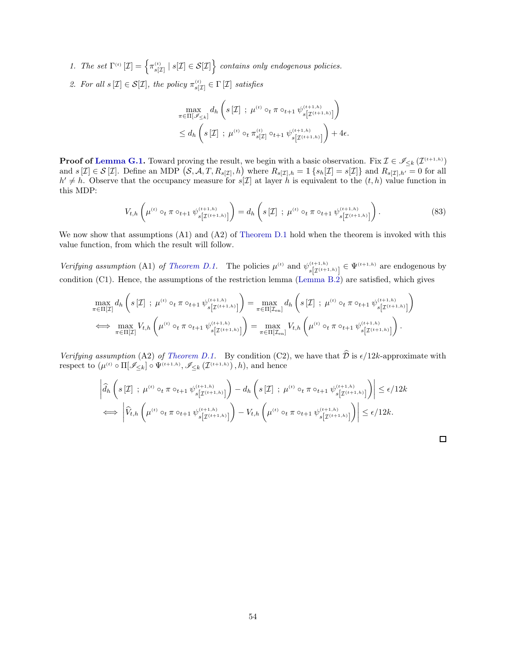1. The set  $\Gamma^{(t)}[\mathcal{I}] = \left\{ \pi_{s[\mathcal{I}]}^{(t)} \mid s[\mathcal{I}] \in \mathcal{S}[\mathcal{I}] \right\}$  contains only endogenous policies.

2. For all  $s[\mathcal{I}] \in \mathcal{S}[\mathcal{I}]$ , the policy  $\pi_{s[\mathcal{I}]}^{(t)} \in \Gamma[\mathcal{I}]$  satisfies

$$
\max_{\pi \in \Pi[\mathscr{I}_{\leq k}]} d_h \left( s[\mathcal{I}] ; \mu^{(t)} \circ_t \pi \circ_{t+1} \psi_{s[\mathcal{I}^{(t+1,h)}]}^{(t+1,h)} \right) \leq d_h \left( s[\mathcal{I}] ; \mu^{(t)} \circ_t \pi_{s[\mathcal{I}]}^{(t)} \circ_{t+1} \psi_{s[\mathcal{I}^{(t+1,h)}]}^{(t+1,h)} \right) + 4\epsilon.
$$

**Proof of [Lemma G.1.](#page-52-1)** Toward proving the result, we begin with a basic observation. Fix  $\mathcal{I} \in \mathscr{I}_{\leq k}(\mathcal{I}^{(t+1,h)})$ and  $s[\mathcal{I}] \in \mathcal{S}[\mathcal{I}]$ . Define an MDP  $(S, \tilde{A}, T, R_{s[\mathcal{I}]}, h)$  where  $R_{s[\mathcal{I}], h} = \mathbb{1} \{ s_h[\mathcal{I}] = s[\mathcal{I}] \}$  and  $R_{s[\mathcal{I}], h'} = 0$  for all  $h' \neq h$ . Observe that the occupancy measure for  $s[\mathcal{I}]$  at layer h is equivalent to the  $(t, h)$  value function in this MDP:

$$
V_{t,h}\left(\mu^{(t)}\circ_t \pi \circ_{t+1} \psi_{s[\mathcal{I}^{(t+1,h)}] }^{(t+1,h)}\right) = d_h\left(s[\mathcal{I}] \ ; \ \mu^{(t)}\circ_t \pi \circ_{t+1} \psi_{s[\mathcal{I}^{(t+1,h)}] }^{(t+1,h)}\right).
$$
 (83)

We now show that assumptions (A1) and (A2) of [Theorem D.1](#page-32-1) hold when the theorem is invoked with this value function, from which the result will follow.

Verifying assumption (A1) of [Theorem D.1.](#page-32-1) The policies  $\mu^{(t)}$  and  $\psi_{s[\mathcal{I}^{(t+1,h)}]}^{(t+1,h)} \in \Psi^{(t+1,h)}$  are endogenous by condition (C1). Hence, the assumptions of the restriction lemma [\(Lemma B.2\)](#page-24-0) are satisfied, which gives

$$
\max_{\pi \in \Pi[\mathcal{I}]} d_h \left( s[\mathcal{I}] \; ; \; \mu^{(t)} \circ_t \pi \circ_{t+1} \psi_{s[\mathcal{I}^{(t+1,h)}]}^{(t+1,h)} \right) = \max_{\pi \in \Pi[\mathcal{I}_{en}]} d_h \left( s[\mathcal{I}] \; ; \; \mu^{(t)} \circ_t \pi \circ_{t+1} \psi_{s[\mathcal{I}^{(t+1,h)}]}^{(t+1,h)} \right)
$$
\n
$$
\iff \max_{\pi \in \Pi[\mathcal{I}]} V_{t,h} \left( \mu^{(t)} \circ_t \pi \circ_{t+1} \psi_{s[\mathcal{I}^{(t+1,h)}]}^{(t+1,h)} \right) = \max_{\pi \in \Pi[\mathcal{I}_{en}]} V_{t,h} \left( \mu^{(t)} \circ_t \pi \circ_{t+1} \psi_{s[\mathcal{I}^{(t+1,h)}]}^{(t+1,h)} \right).
$$

Verifying assumption (A2) of [Theorem D.1.](#page-32-1) By condition (C2), we have that  $\hat{\mathcal{D}}$  is  $\epsilon/12k$ -approximate with respect to  $(\mu^{(t)} \circ \Pi[\mathscr{I}_{\leq k}] \circ \Psi^{(t+1,h)}, \mathscr{I}_{\leq k}(\mathcal{I}^{(t+1,h)}), h)$ , and hence

$$
\left| \hat{d}_{h} \left( s\left[\mathcal{I}\right] ; \ \mu^{(t)} \circ_{t} \pi \circ_{t+1} \psi_{s\left[\mathcal{I}^{(t+1,h)}\right]}^{(t+1,h)} \right) - d_{h} \left( s\left[\mathcal{I}\right] ; \ \mu^{(t)} \circ_{t} \pi \circ_{t+1} \psi_{s\left[\mathcal{I}^{(t+1,h)}\right]}^{(t+1,h)} \right) \right| \leq \epsilon/12k
$$
\n
$$
\iff \left| \hat{V}_{t,h} \left( \mu^{(t)} \circ_{t} \pi \circ_{t+1} \psi_{s\left[\mathcal{I}^{(t+1,h)}\right]}^{(t+1,h)} \right) - V_{t,h} \left( \mu^{(t)} \circ_{t} \pi \circ_{t+1} \psi_{s\left[\mathcal{I}^{(t+1,h)}\right]}^{(t+1,h)} \right) \right| \leq \epsilon/12k.
$$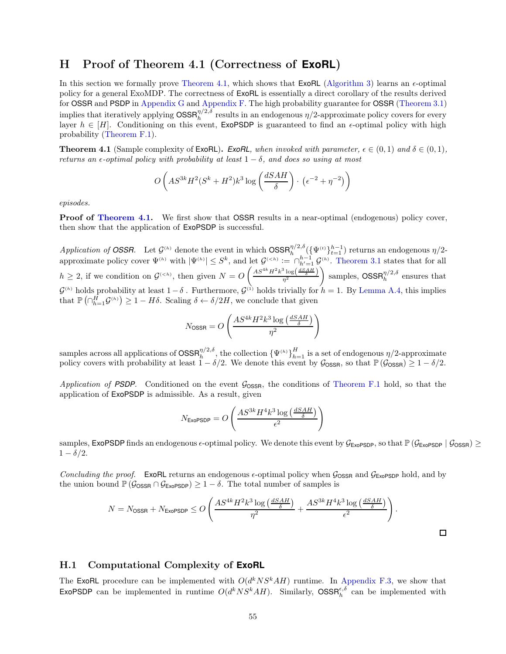# <span id="page-54-0"></span>H Proof of Theorem 4.1 (Correctness of **ExoRL**)

In this section we formally prove [Theorem 4.1,](#page-10-2) which shows that  $ExoRL$  [\(Algorithm 3\)](#page-10-3) learns an  $\epsilon$ -optimal policy for a general ExoMDP. The correctness of ExoRL is essentially a direct corollary of the results derived for OSSR and PSDP in [Appendix G](#page-46-0) and [Appendix F.](#page-41-1) The high probability guarantee for OSSR [\(Theorem 3.1\)](#page-9-0) implies that iteratively applying  $\text{OSSR}_{h}^{\eta/2,\delta}$  results in an endogenous  $\eta/2$ -approximate policy covers for every layer  $h \in [H]$ . Conditioning on this event, ExoPSDP is guaranteed to find an  $\epsilon$ -optimal policy with high probability [\(Theorem F.1\)](#page-42-1).

**Theorem 4.1** (Sample complexity of ExoRL). *ExoRL*, when invoked with parameter,  $\epsilon \in (0,1)$  and  $\delta \in (0,1)$ , returns an  $\epsilon$ -optimal policy with probability at least  $1 - \delta$ , and does so using at most

$$
O\left(AS^{3k}H^2(S^k+H^2)k^3\log\left(\frac{dSAH}{\delta}\right)\cdot\left(\epsilon^{-2}+\eta^{-2}\right)\right)
$$

episodes.

Proof of [Theorem 4.1.](#page-10-2) We first show that OSSR results in a near-optimal (endogenous) policy cover, then show that the application of ExoPSDP is successful.

Application of **OSSR.** Let  $\mathcal{G}^{(h)}$  denote the event in which  $\text{OSSR}_{h}^{\eta/2,\delta}(\{\Psi^{(t)}\}_{t=1}^{h-1})$  returns an endogenous  $\eta/2$ approximate policy cover  $\Psi^{(h)}$  with  $|\Psi^{(h)}| \leq S^k$ , and let  $\mathcal{G}^{(. [Theorem 3.1](#page-9-0) states that for all$  $h \geq 2$ , if we condition on  $\mathcal{G}^{(< h)}$ , then given  $N = O$  $\left(\frac{AS^{4k}H^2k^3\log\left(\frac{dSAH}{\delta}\right)}{\eta^2}\right)$  $\Big)$  samples,  $\text{OSSR}_{h}^{\eta/2,\delta}$  ensures that  $\mathcal{G}^{(h)}$  holds probability at least  $1-\delta$ . Furthermore,  $\mathcal{G}^{(1)}$  holds trivially for  $h = 1$ . By [Lemma A.4,](#page-16-6) this implies that  $\mathbb{P}(\bigcap_{h=1}^H \mathcal{G}^{(h)}\big) \geq 1 - H\delta$ . Scaling  $\delta \leftarrow \delta/2H$ , we conclude that given

$$
N_{\text{OSSR}} = O\left(\frac{AS^{4k}H^2k^3\log\left(\frac{dSAH}{\delta}\right)}{\eta^2}\right)
$$

samples across all applications of  $\text{OSSR}_{h}^{\eta/2,\delta}$ , the collection  $\{\Psi^{(h)}\}_{h=1}^H$  is a set of endogenous  $\eta/2$ -approximate policy covers with probability at least  $1 - \delta/2$ . We denote this event by  $\mathcal{G}_{\text{OSSR}}$ , so that  $\mathbb{P}(\mathcal{G}_{\text{OSSR}}) \geq 1 - \delta/2$ .

Application of **PSDP**. Conditioned on the event  $\mathcal{G}_{\text{OSSR}}$ , the conditions of [Theorem F.1](#page-42-1) hold, so that the application of ExoPSDP is admissible. As a result, given

$$
N_{\text{ExoPSDP}} = O\left(\frac{AS^{3k}H^4k^3\log\left(\frac{dSAH}{\delta}\right)}{\epsilon^2}\right)
$$

samples, ExoPSDP finds an endogenous  $\epsilon$ -optimal policy. We denote this event by  $\mathcal{G}_{\epsilon \in \mathcal{G}}(S_{\epsilon \in \mathcal{G}}(S_{\epsilon \in \mathcal{G}}(S_{\epsilon \in \mathcal{G}}(S_{\epsilon \in \mathcal{G}}(S_{\epsilon \in \mathcal{G}}(S_{\epsilon \in \mathcal{G}}(S_{\epsilon \in \mathcal{G}}(S_{\epsilon \in \mathcal{G}}(S_{\epsilon \in \mathcal{G}}(S_{\epsilon$  $1 - \delta/2$ .

Concluding the proof. ExoRL returns an endogenous  $\epsilon$ -optimal policy when  $\mathcal{G}_{\text{OSSR}}$  and  $\mathcal{G}_{\text{ExOPSDP}}$  hold, and by the union bound  $\mathbb{P}(\mathcal{G}_{\text{OSSR}} \cap \mathcal{G}_{\text{ExoPSDP}}) \geq 1 - \delta$ . The total number of samples is

$$
N = N_{\text{OSSR}} + N_{\text{ExoPSDP}} \leq O\left(\frac{AS^{4k}H^2k^3\log\left(\frac{dSAH}{\delta}\right)}{\eta^2} + \frac{AS^{3k}H^4k^3\log\left(\frac{dSAH}{\delta}\right)}{\epsilon^2}\right).
$$

 $\square$ 

#### <span id="page-54-1"></span>H.1 Computational Complexity of **ExoRL**

The ExoRL procedure can be implemented with  $O(d^kNS^kAH)$  runtime. In [Appendix F.3,](#page-44-0) we show that ExoPSDP can be implemented in runtime  $O(d^k N S^k A H)$ . Similarly,  $OSSR_h^{\epsilon,\delta}$  can be implemented with